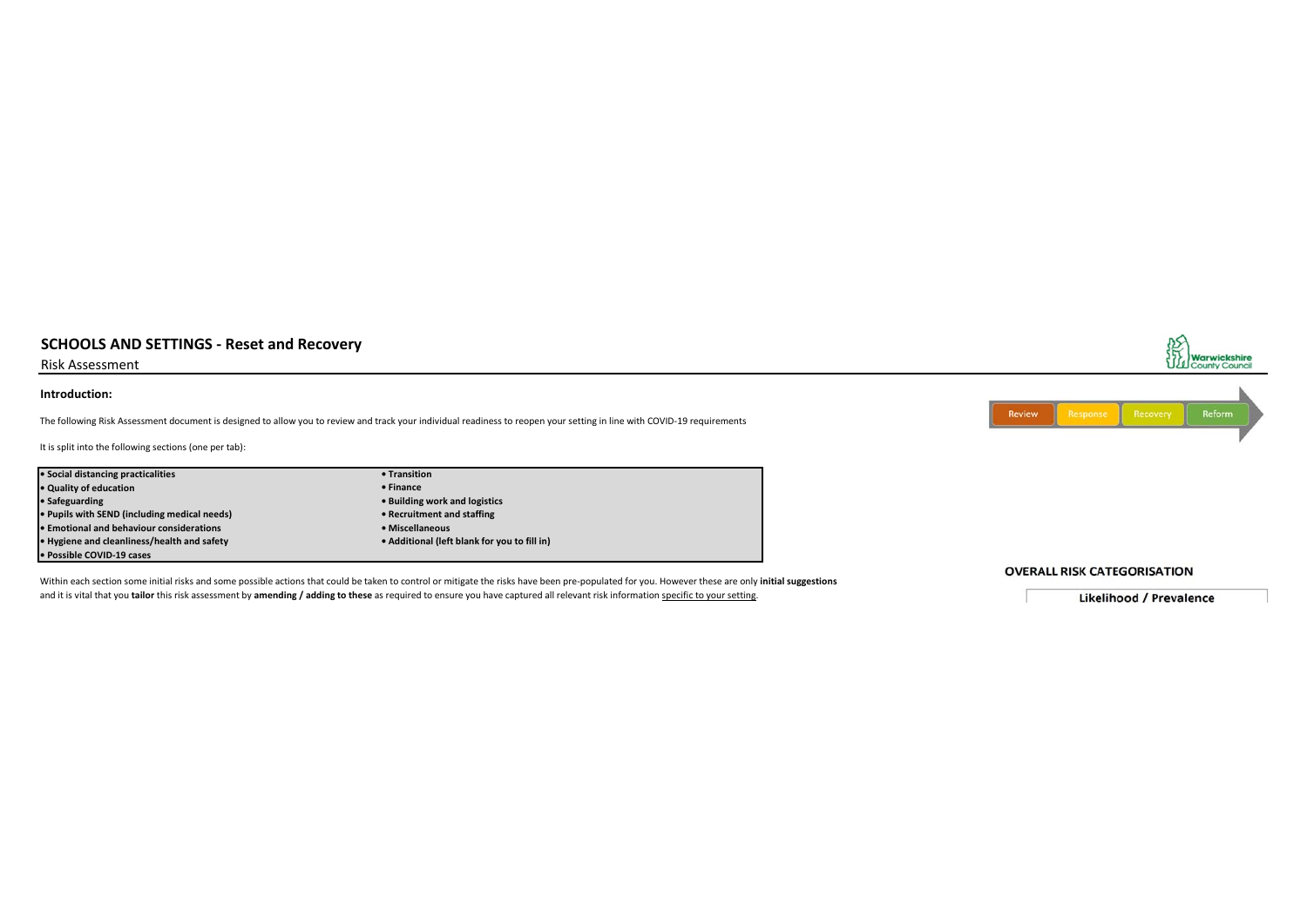Risk Assessment

#### **Introduction:**

The following Risk Assessment document is designed to allow you to review and track your individual readiness to reopen your setting in line with COVID-19 requirements

It is split into the following sections (one per tab):

| • Social distancing practicalities              | • Transition                                 |
|-------------------------------------------------|----------------------------------------------|
| • Quality of education                          | $\bullet$ Finance                            |
| • Safeguarding                                  | • Building work and logistics                |
| • Pupils with SEND (including medical needs)    | • Recruitment and staffing                   |
| <b>• Emotional and behaviour considerations</b> | • Miscellaneous                              |
| • Hygiene and cleanliness/health and safety     | • Additional (left blank for you to fill in) |
| • Possible COVID-19 cases                       |                                              |

Within each section some initial risks and some possible actions that could be taken to control or mitigate the risks have been pre-populated for you. However these are only **initial suggestions** and it is vital that you **tailor** this risk assessment by **amending / adding to these** as required to ensure you have captured all relevant risk information specific to your setting.



**OVERALL RISK CATEGORISATION** 

**Likelihood / Prevalence**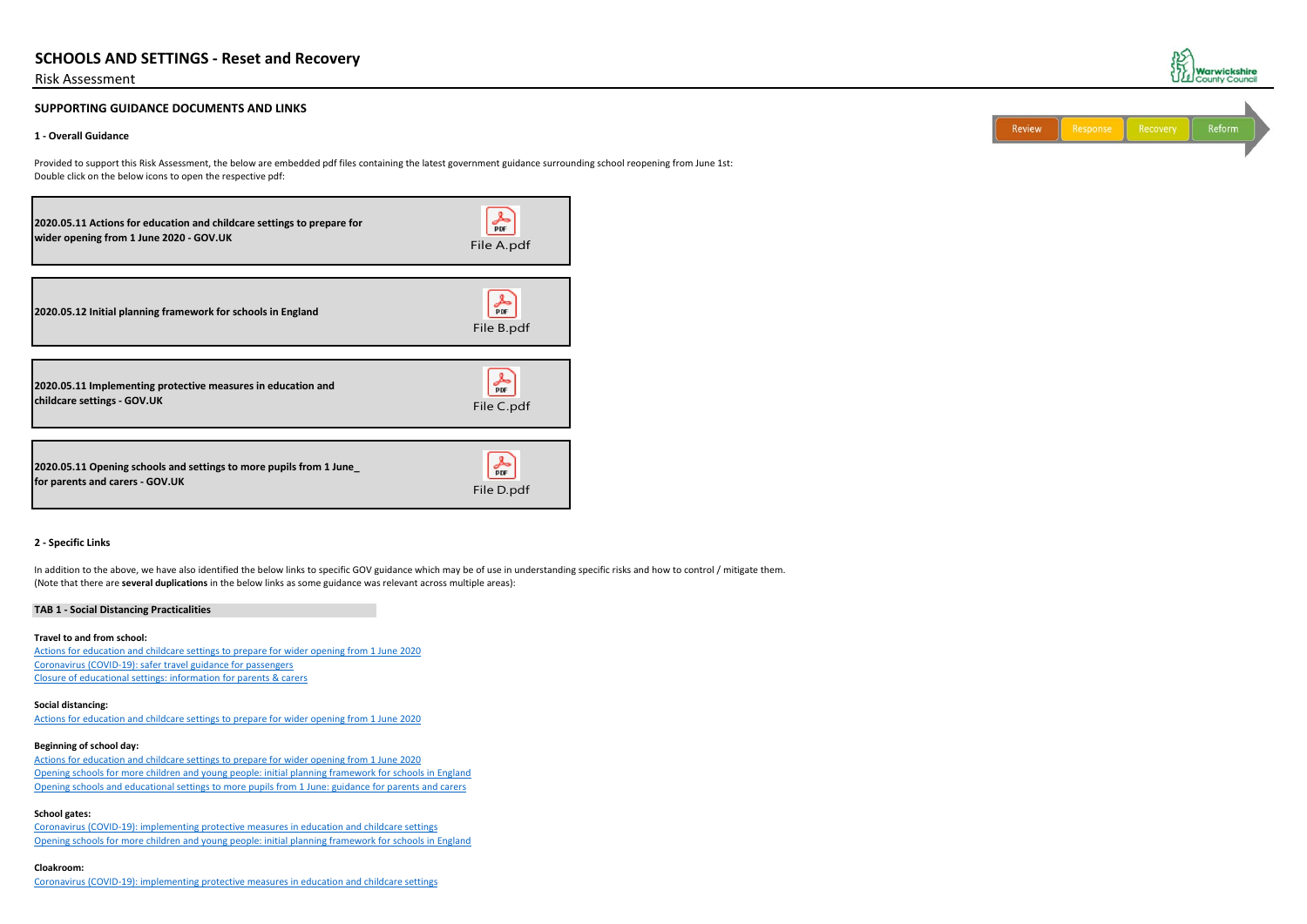## Risk Assessment

## **SUPPORTING GUIDANCE DOCUMENTS AND LINKS**

## **1 - Overall Guidance**

Provided to support this Risk Assessment, the below are embedded pdf files containing the latest government guidance surrounding school reopening from June 1st: Double click on the below icons to open the respective pdf:

In addition to the above, we have also identified the below links to specific GOV guidance which may be of use in understanding specific risks and how to control / mitigate them. (Note that there are **several duplications** in the below links as some guidance was relevant across multiple areas):

### **2 - Specific Links**

## **TAB 1 - Social Distancing Practicalities**

### **Travel to and from school:**

Actions for education and childcare settings to prepare for wider opening from 1 June 2020 Coronavirus (COVID-19): safer travel guidance for passengers Closure of educational settings: information for parents & carers

## **Social distancing:**

Actions for education and childcare settings to prepare for wider opening from 1 June 2020

## **Beginning of school day:**

Actions for education and childcare settings to prepare for wider opening from 1 June 2020 Opening schools for more children and young people: initial planning framework for schools in England Opening schools and educational settings to more pupils from 1 June: guidance for parents and carers

## **School gates:**

Coronavirus (COVID-19): implementing protective measures in education and childcare settings Opening schools for more children and young people: initial planning framework for schools in England

## **Cloakroom:**

Coronavirus (COVID-19): implementing protective measures in education and childcare settings



| Reform<br>Recovery<br>Response |  |  | Review |
|--------------------------------|--|--|--------|
|--------------------------------|--|--|--------|

| 2020.05.11 Actions for education and childcare settings to prepare for                                 | <b>DDF</b> |
|--------------------------------------------------------------------------------------------------------|------------|
| wider opening from 1 June 2020 - GOV.UK                                                                | File A.pdf |
| 2020.05.12 Initial planning framework for schools in England                                           | File B.pdf |
| 2020.05.11 Implementing protective measures in education and                                           | <b>PDF</b> |
| childcare settings - GOV.UK                                                                            | File C.pdf |
| 2020.05.11 Opening schools and settings to more pupils from 1 June_<br>for parents and carers - GOV.UK | File D.pdf |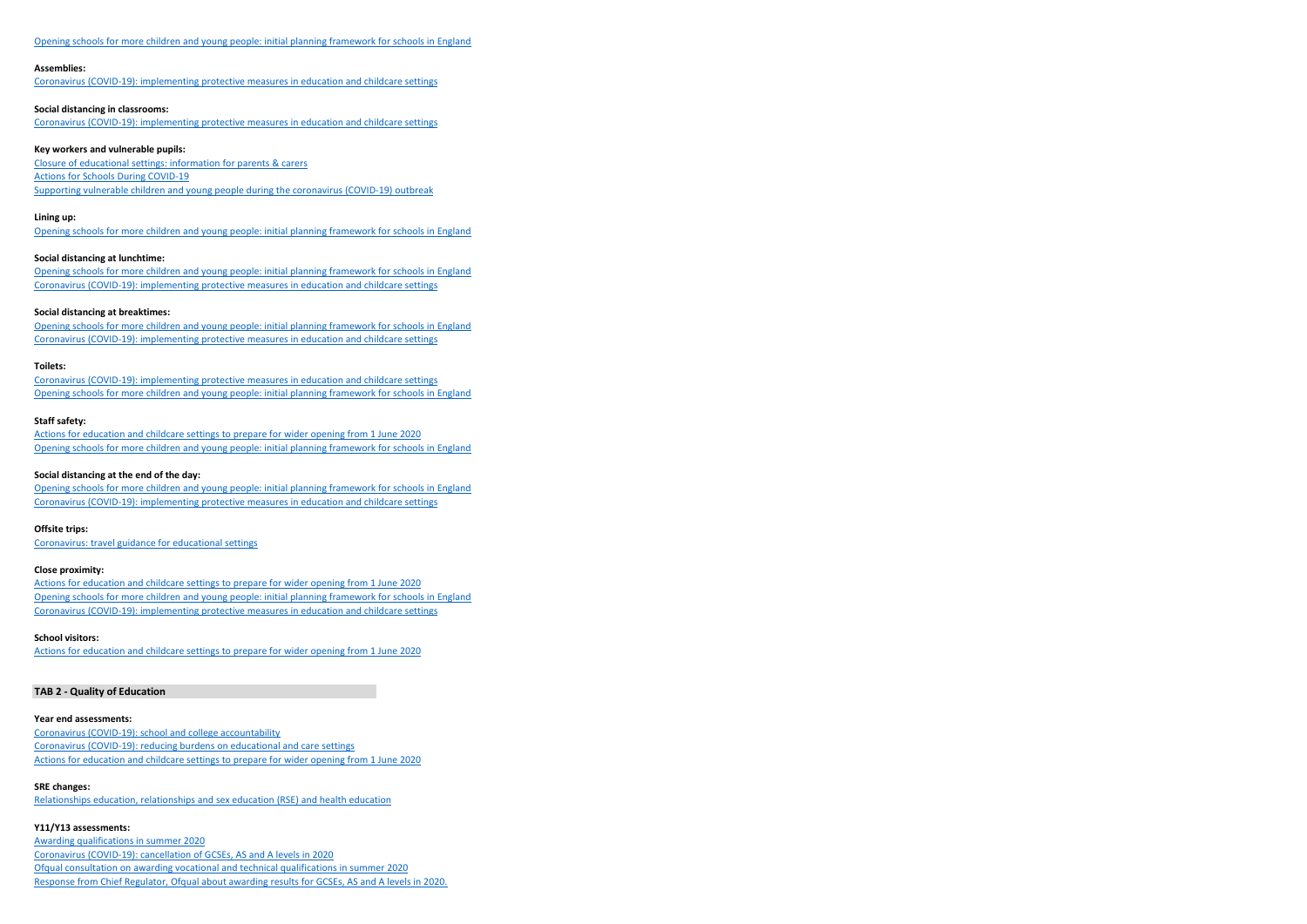### Opening schools for more children and young people: initial planning framework for schools in England

#### **Assemblies:**

Coronavirus (COVID-19): implementing protective measures in education and childcare settings

#### **Social distancing in classrooms:**

Coronavirus (COVID-19): implementing protective measures in education and childcare settings

#### **Key workers and vulnerable pupils:**

Closure of educational settings: information for parents & carers Actions for Schools During COVID-19 Supporting vulnerable children and young people during the coronavirus (COVID-19) outbreak

#### **Lining up:**

Opening schools for more children and young people: initial planning framework for schools in England

### **Social distancing at lunchtime:**

Opening schools for more children and young people: initial planning framework for schools in England Coronavirus (COVID-19): implementing protective measures in education and childcare settings

#### **Social distancing at breaktimes:**

Opening schools for more children and young people: initial planning framework for schools in England Coronavirus (COVID-19): implementing protective measures in education and childcare settings

#### **Toilets:**

Coronavirus (COVID-19): implementing protective measures in education and childcare settings Opening schools for more children and young people: initial planning framework for schools in England

### **Staff safety:**

Actions for education and childcare settings to prepare for wider opening from 1 June 2020 Opening schools for more children and young people: initial planning framework for schools in England

## **Social distancing at the end of the day:**

Opening schools for more children and young people: initial planning framework for schools in England Coronavirus (COVID-19): implementing protective measures in education and childcare settings

#### **Offsite trips:**

Coronavirus: travel guidance for educational settings

## **Close proximity:**

Actions for education and childcare settings to prepare for wider opening from 1 June 2020 Opening schools for more children and young people: initial planning framework for schools in England Coronavirus (COVID-19): implementing protective measures in education and childcare settings

### **School visitors:**

Actions for education and childcare settings to prepare for wider opening from 1 June 2020

## **TAB 2 - Quality of Education**

#### **Year end assessments:**

Coronavirus (COVID-19): school and college accountability Coronavirus (COVID-19): reducing burdens on educational and care settings Actions for education and childcare settings to prepare for wider opening from 1 June 2020

#### **SRE changes:**

Relationships education, relationships and sex education (RSE) and health education

### **Y11/Y13 assessments:**

Awarding qualifications in summer 2020 Coronavirus (COVID-19): cancellation of GCSEs, AS and A levels in 2020 Ofqual consultation on awarding vocational and technical qualifications in summer 2020 Response from Chief Regulator, Ofqual about awarding results for GCSEs, AS and A levels in 2020.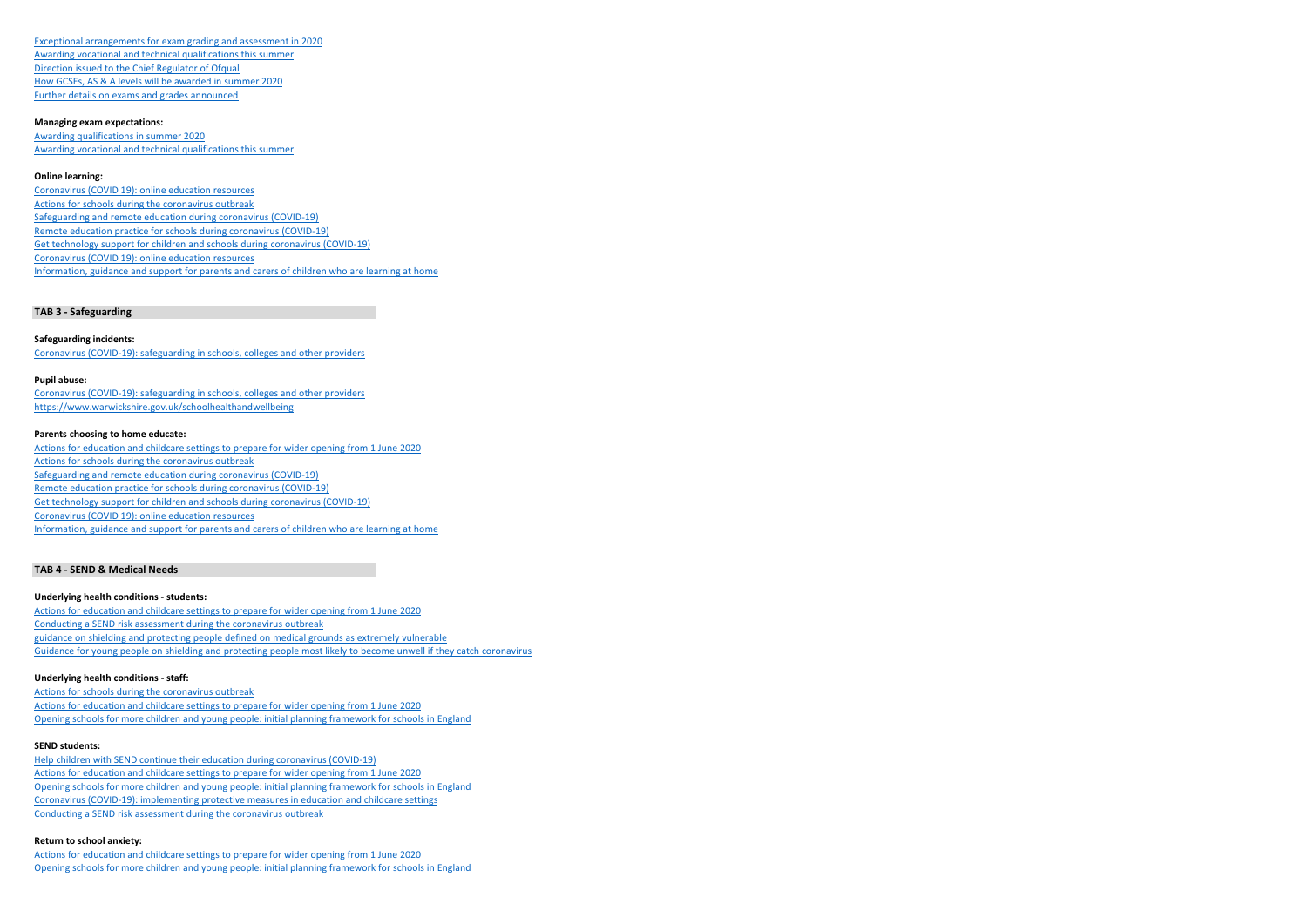Exceptional arrangements for exam grading and assessment in 2020 Awarding vocational and technical qualifications this summer Direction issued to the Chief Regulator of Ofqual How GCSEs, AS & A levels will be awarded in summer 2020 Further details on exams and grades announced

#### **Managing exam expectations:**

Awarding qualifications in summer 2020 Awarding vocational and technical qualifications this summer

### **Online learning:**

Coronavirus (COVID 19): online education resources Actions for schools during the coronavirus outbreak Safeguarding and remote education during coronavirus (COVID-19) Remote education practice for schools during coronavirus (COVID-19) Get technology support for children and schools during coronavirus (COVID-19) Coronavirus (COVID 19): online education resources Information, guidance and support for parents and carers of children who are learning at home

Actions for education and childcare settings to prepare for wider opening from 1 June 2020 Actions for schools during the coronavirus outbreak Safeguarding and remote education during coronavirus (COVID-19) Remote education practice for schools during coronavirus (COVID-19) Get technology support for children and schools during coronavirus (COVID-19) Coronavirus (COVID 19): online education resources Information, guidance and support for parents and carers of children who are learning at home

## **TAB 3 - Safeguarding**

#### **Safeguarding incidents:**

Coronavirus (COVID-19): safeguarding in schools, colleges and other providers

## **Pupil abuse:**

Coronavirus (COVID-19): safeguarding in schools, colleges and other providers https://www.warwickshire.gov.uk/schoolhealthandwellbeing

#### **Parents choosing to home educate:**

### **TAB 4 - SEND & Medical Needs**

#### **Underlying health conditions - students:**

Actions for education and childcare settings to prepare for wider opening from 1 June 2020 Conducting a SEND risk assessment during the coronavirus outbreak guidance on shielding and protecting people defined on medical grounds as extremely vulnerable Guidance for young people on shielding and protecting people most likely to become unwell if they catch coronavirus

## **Underlying health conditions - staff:**

Actions for schools during the coronavirus outbreak Actions for education and childcare settings to prepare for wider opening from 1 June 2020 Opening schools for more children and young people: initial planning framework for schools in England

#### **SEND students:**

Help children with SEND continue their education during coronavirus (COVID-19) Actions for education and childcare settings to prepare for wider opening from 1 June 2020 Opening schools for more children and young people: initial planning framework for schools in England Coronavirus (COVID-19): implementing protective measures in education and childcare settings Conducting a SEND risk assessment during the coronavirus outbreak

### **Return to school anxiety:**

Actions for education and childcare settings to prepare for wider opening from 1 June 2020 Opening schools for more children and young people: initial planning framework for schools in England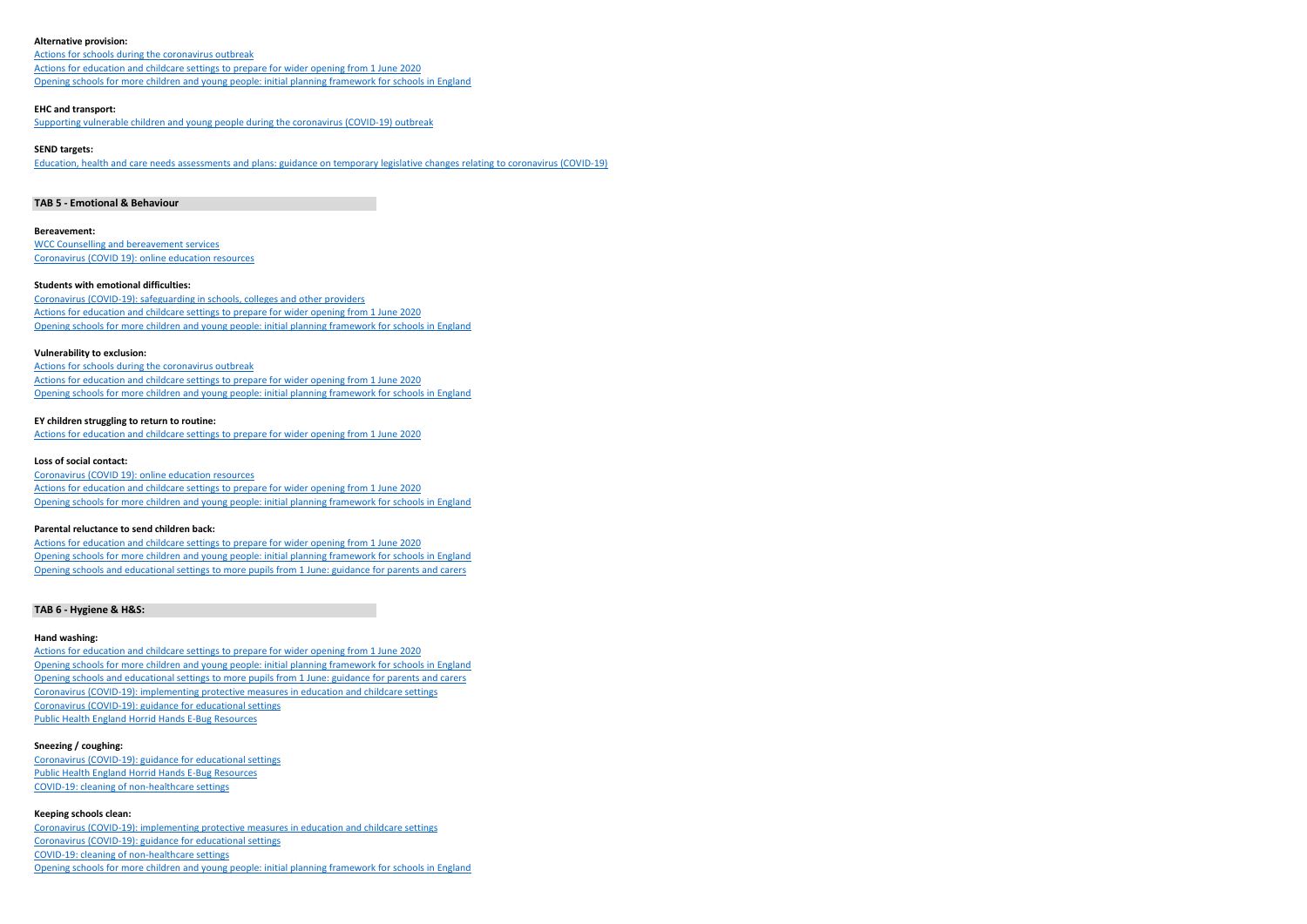#### **Alternative provision:**

Actions for schools during the coronavirus outbreak Actions for education and childcare settings to prepare for wider opening from 1 June 2020 Opening schools for more children and young people: initial planning framework for schools in England

#### **EHC and transport:**

Supporting vulnerable children and young people during the coronavirus (COVID-19) outbreak

### **SEND targets:**

Education, health and care needs assessments and plans: guidance on temporary legislative changes relating to coronavirus (COVID-19)

### **TAB 5 - Emotional & Behaviour**

#### **Bereavement:**

WCC Counselling and bereavement services Coronavirus (COVID 19): online education resources

### **Students with emotional difficulties:**

Coronavirus (COVID-19): safeguarding in schools, colleges and other providers Actions for education and childcare settings to prepare for wider opening from 1 June 2020 Opening schools for more children and young people: initial planning framework for schools in England

### **Vulnerability to exclusion:**

Actions for schools during the coronavirus outbreak Actions for education and childcare settings to prepare for wider opening from 1 June 2020 Opening schools for more children and young people: initial planning framework for schools in England

#### **EY children struggling to return to routine:**

Actions for education and childcare settings to prepare for wider opening from 1 June 2020

#### **Loss of social contact:**

Coronavirus (COVID 19): online education resources Actions for education and childcare settings to prepare for wider opening from 1 June 2020 Opening schools for more children and young people: initial planning framework for schools in England

#### **Parental reluctance to send children back:**

Actions for education and childcare settings to prepare for wider opening from 1 June 2020 Opening schools for more children and young people: initial planning framework for schools in England Opening schools and educational settings to more pupils from 1 June: guidance for parents and carers

### **TAB 6 - Hygiene & H&S:**

### **Hand washing:**

Actions for education and childcare settings to prepare for wider opening from 1 June 2020 Opening schools for more children and young people: initial planning framework for schools in England Opening schools and educational settings to more pupils from 1 June: guidance for parents and carers Coronavirus (COVID-19): implementing protective measures in education and childcare settings Coronavirus (COVID-19): guidance for educational settings Public Health England Horrid Hands E-Bug Resources

### **Sneezing / coughing:**

Coronavirus (COVID-19): guidance for educational settings Public Health England Horrid Hands E-Bug Resources COVID-19: cleaning of non-healthcare settings

## **Keeping schools clean:**

Coronavirus (COVID-19): implementing protective measures in education and childcare settings Coronavirus (COVID-19): guidance for educational settings COVID-19: cleaning of non-healthcare settings Opening schools for more children and young people: initial planning framework for schools in England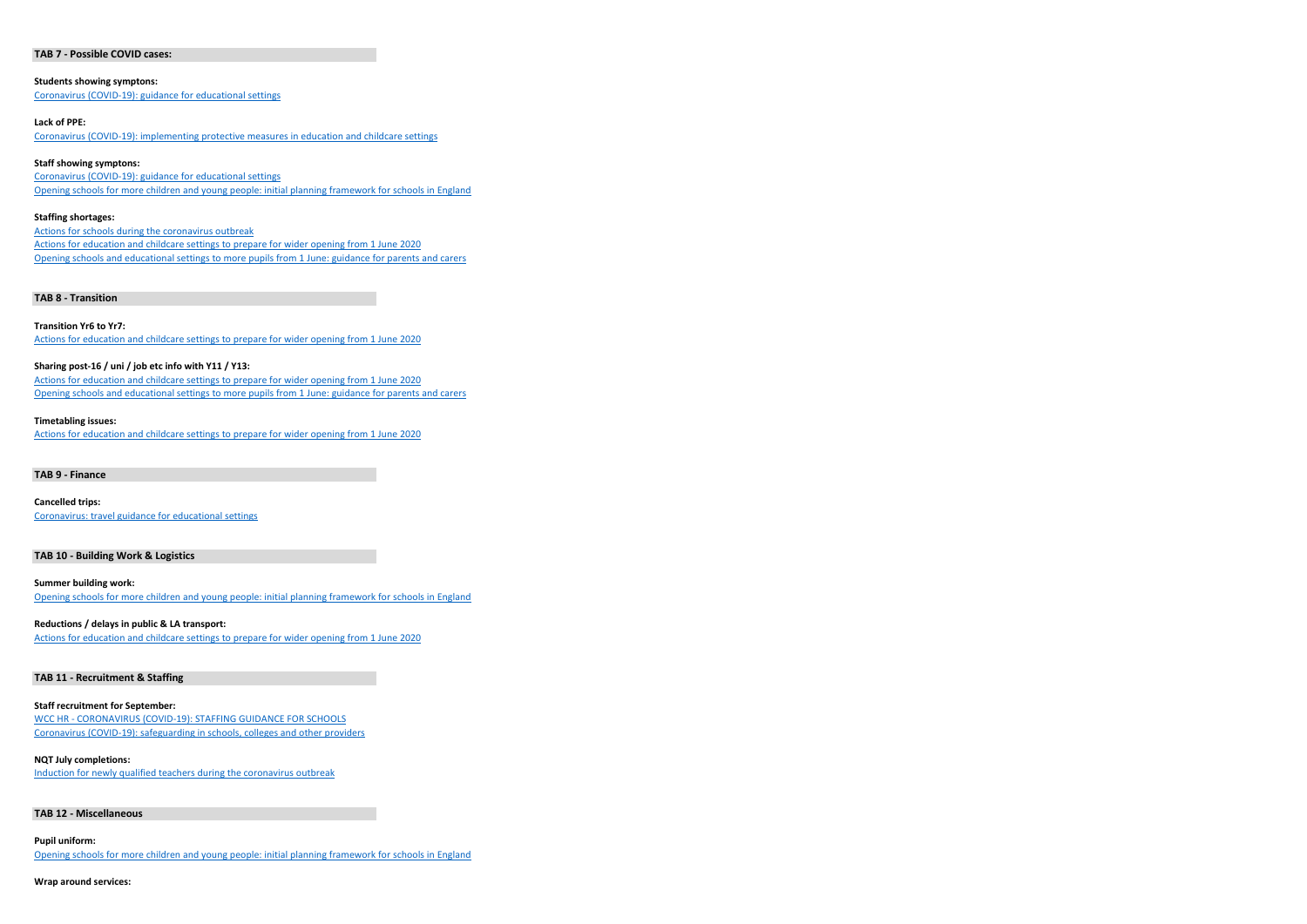#### **TAB 7 - Possible COVID cases:**

**Students showing symptons:** Coronavirus (COVID-19): guidance for educational settings

#### **Lack of PPE:**

Coronavirus (COVID-19): implementing protective measures in education and childcare settings

### **Staff showing symptons:**

Coronavirus (COVID-19): guidance for educational settings Opening schools for more children and young people: initial planning framework for schools in England

#### **Staffing shortages:**

Actions for schools during the coronavirus outbreak Actions for education and childcare settings to prepare for wider opening from 1 June 2020 Opening schools and educational settings to more pupils from 1 June: guidance for parents and carers

## **TAB 8 - Transition**

#### **Transition Yr6 to Yr7:**

Actions for education and childcare settings to prepare for wider opening from 1 June 2020

## **Sharing post-16 / uni / job etc info with Y11 / Y13:**

Actions for education and childcare settings to prepare for wider opening from 1 June 2020 Opening schools and educational settings to more pupils from 1 June: guidance for parents and carers

#### **Timetabling issues:**

Actions for education and childcare settings to prepare for wider opening from 1 June 2020

#### **TAB 9 - Finance**

**Cancelled trips:** Coronavirus: travel guidance for educational settings

## **TAB 10 - Building Work & Logistics**

**Summer building work:** Opening schools for more children and young people: initial planning framework for schools in England

### **Reductions / delays in public & LA transport:**

Actions for education and childcare settings to prepare for wider opening from 1 June 2020

## **TAB 11 - Recruitment & Staffing**

### **Staff recruitment for September:**

WCC HR - CORONAVIRUS (COVID-19): STAFFING GUIDANCE FOR SCHOOLS Coronavirus (COVID-19): safeguarding in schools, colleges and other providers

#### **NQT July completions:**

Induction for newly qualified teachers during the coronavirus outbreak

#### **TAB 12 - Miscellaneous**

#### **Pupil uniform:**

Opening schools for more children and young people: initial planning framework for schools in England

## **Wrap around services:**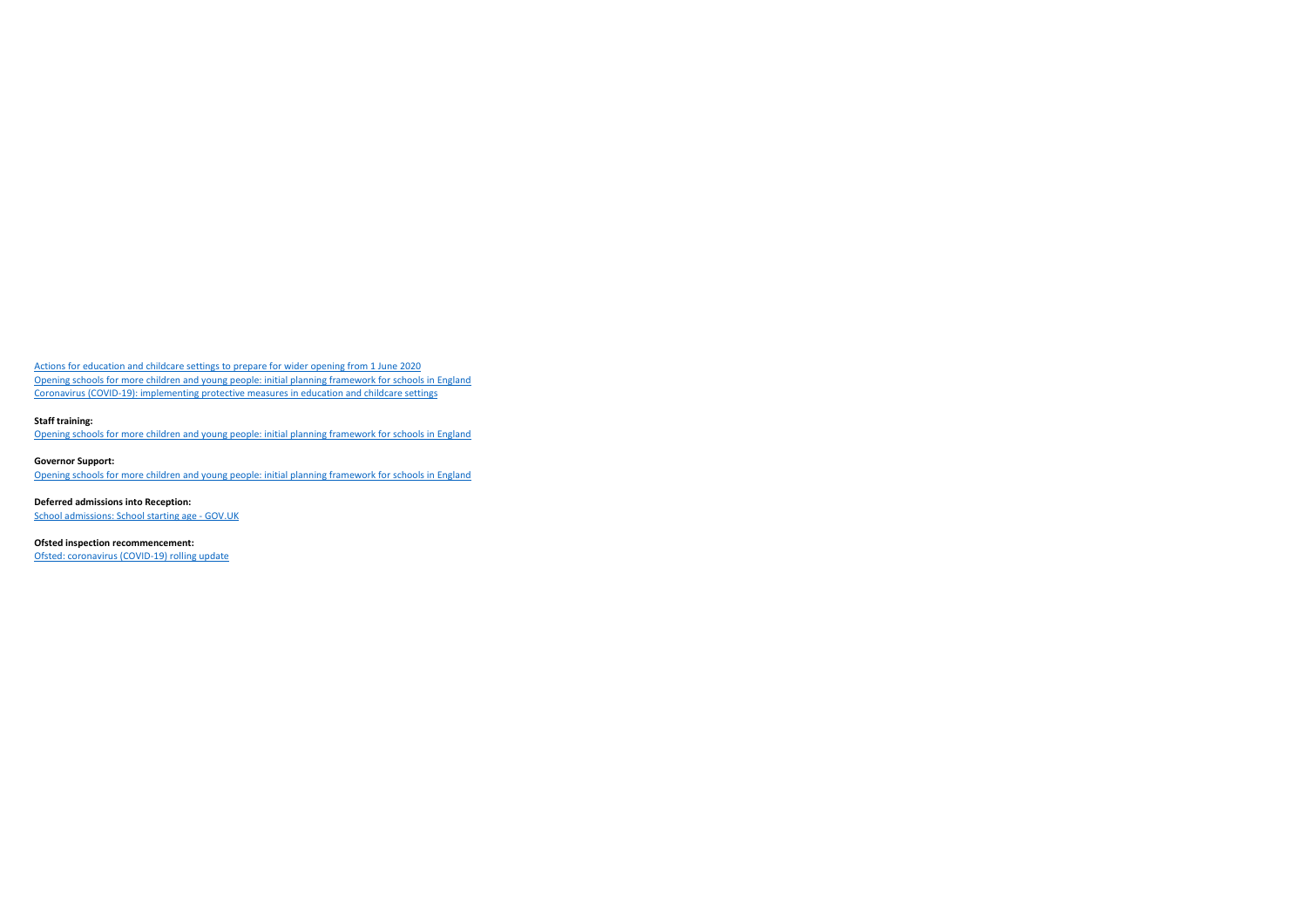Actions for education and childcare settings to prepare for wider opening from 1 June 2020 Opening schools for more children and young people: initial planning framework for schools in England Coronavirus (COVID-19): implementing protective measures in education and childcare settings

## **Staff training:**

Opening schools for more children and young people: initial planning framework for schools in England

**Governor Support:** Opening schools for more children and young people: initial planning framework for schools in England

**Deferred admissions into Reception:** School admissions: School starting age - GOV.UK

**Ofsted inspection recommencement:** Ofsted: coronavirus (COVID-19) rolling update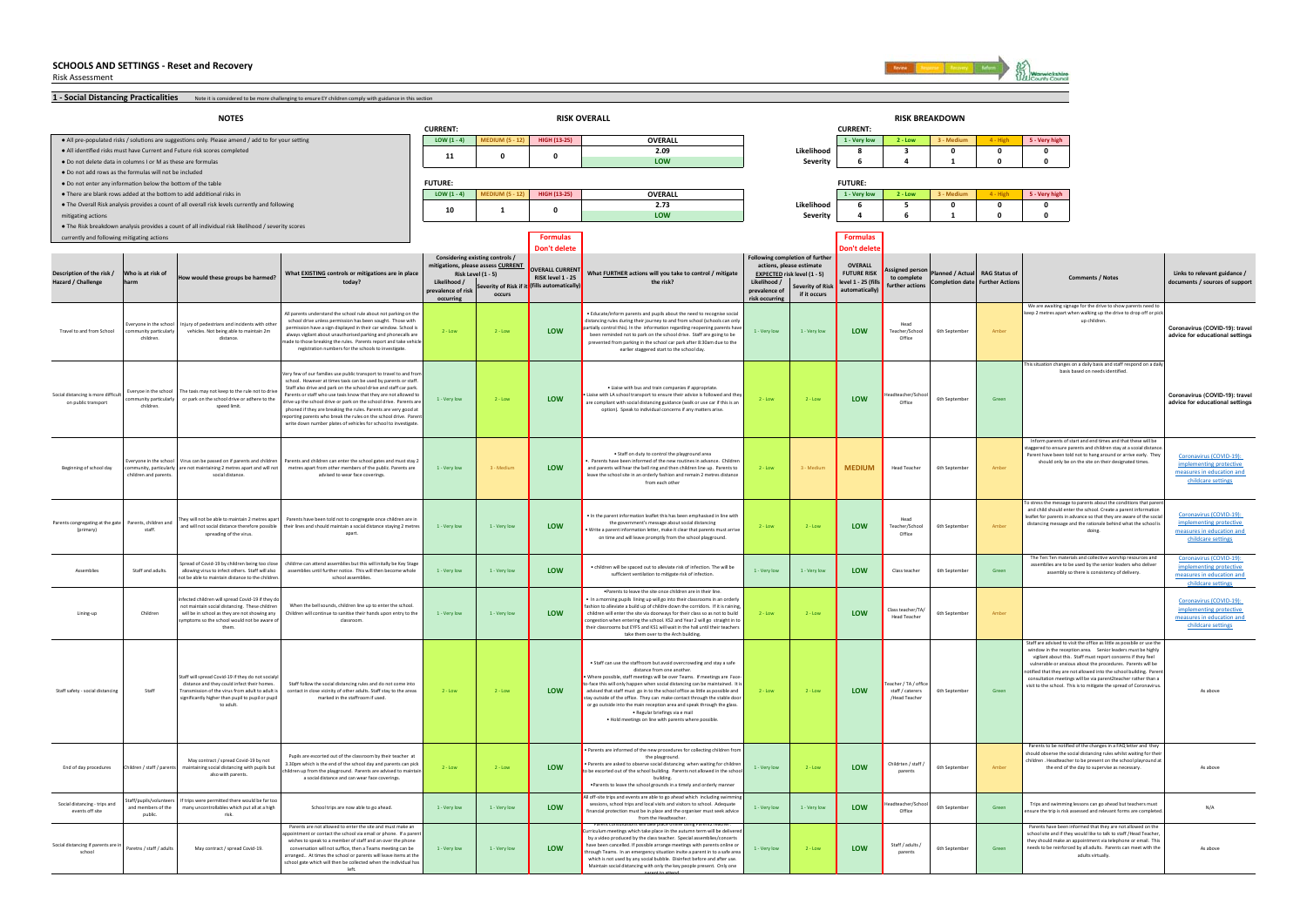Risk Assessment



**1 - Social Distancing Practicalities** Mote it is considered to be more challenging to ensure EY children comply with guidance in this section ● All pre-populated risks / solutions are suggestions only. Please amend / add to for your setting **LOW (1 - 4) LOW (1 - 4) MEDIUM (5 - 12) HIGH (13-25) OVERALL 1 - Very low 2 - Low 3 - Medium 4 - High 5 - Very high** ● All idenƟfied risks must have Current and Future risk scores completed **2.09 Likelihood 8 3 0 0 0** ● Do not delete data in columns I or M as these are formulas**LOW Severity 6 4 1 0 0** ● Do not add rows as the formulas will not be included ● Do not enter any informaƟon below the boƩom of the table • There are blank rows added at the bottom to add additional risks in **LOW (1 - 4) MEDIUM (5 - 12) HIGH (13-25) OVERALL 1 - Very low 2 - Low 3 - Medium 4 - High 5 - Very high** ● The Overall Risk analysis provides a count of all overall risk levels currently and following **2.73 Likelihood 6 5 0 0 0** mitigating actions **LOW Severity 4 6 1 0 0** ● The Risk breakdown analysis provides a count of all individual risk likelihood / severity scores currently and following mitigating actions **Formulas Formulas Don't delete Don't delete Likelihood / prevalence of risk occurring Severity of Risk if it occursLikelihood / prevalence of risk occurring Severity of Ris if it occurs**Travel to and from Schoolryone in the s community particularly children.ury of pedestrians and incidents with oth vehicles. Not being able to maintain 2m distance. $2 \cdot \text{Low}$   $2 \cdot \text{Low}$  **LOW** .<br>• Educate/inform parents and nunils about the need to recognise so istancing rules during their journey to and from school (schools can only partially control this). In the information regarding reopening parents have been reminded not to park on the school drive. Staff are going to be evented from parking in the school car park after 8:30am due to the earlier staggered start to the school day. 1 - Very low 1 - Very low **LOW** Head Teacher/School OfficeForth September Amber Amber Amber **Coronavirus (COVID-19): travel** advice for educational settings Social distancing is more diffion public transpor Everyoe in the school mmunity narticular children.taxis may not keep to the rule not to d or park on the school drive or adhere to the speed limi 1 - Very low 2 - Low **LOW**• Liaise with bus and train companies if approp .<br>laise with LA school transport to ensure their advice is followed and are compliant with social distancing guidance (walk or use car if this is an option). Speak to individual concerns if any matters arise. 2 - Low **LOW** Office 6th September Green **Coronavirus (COVID-19): travel advice for educational settings** Beginning of school day es in the school .<br>nunity, partic **bildren and parent** can be passed on if parents and child are not maintaining 2 metres apart and will not social distance. 1 - Very low 3 - Medium**n** LOW • Staff on duty to control the playground area •. Parents have been informed of the new routines in advance. Children and parents will hear the bell ring and then children line up. Parents to eave the school site in an orderly fashion and remain 2 metres distance from each other $2 - 1$  ov 3 - Medium **MEDIUM**M Head Teacher 6th September Amber Coronavirus (COVID-19): implementing protective measures in education and childcare settings Parents congregating at the gate (primary) Parents, children and staff.They will not be able to maintain 2 metres apart ney will not be able to maintain 2 metres<br>and will not social distance therefore pos spreading of the virus. 1 - Very low **L** 1 - Very low **LOW** • In the parent information leaflet this has been emphasised in line with the government's message about social distancing • Write a parent information letter, make it clear that parents must arrive on time and will leave promptly from the school playground.  $2 \cdot 1$ ow  $2 \cdot 1$  **LOW** Head Teacher/School **Office** 6th Sept onavirus (COVID-19): implementing protective measures in education and childcare settings Assemblies Staff and adults. .<br>Spread of Covid-19 by children being too c allowing virus to infect others. Staff will also not be able to maintain distance to the children.1 - Very low 1 - Very low **LOW**• children will be spaced out to alleviate risk of infection. The will be sufficient ventilation to mitigate risk of infection. The will be sufficient of the september  $1 - \text{Verv}$  low **LOW** Class teacher 6th September 6th S Coronavirus (COVID-19): implementing protective measures in education and childcare settings Lining-up Children Infected children will spread Covid-19 if they do not maintain social distancing. These children is a maintain social distancing. will be in school as they are not showing any symptoms so the school would not be aware of them. 1 - Very low 1 - Very low **LOW**•Parents to leave the site once children are in their line. • In a morning pupils lining up will go into their classrooms in an orderly fashion to alleviate a build up of childre down the corridors. If it is raining, children will enter the site via doorways for their class so as not to build constitution when entering the school. KS2 and Year 2 will go straight in the countries and KS1 will wait in the hall until their team of the hall until their team take them over to the Arch building. 2 - Low **LOW** Head Teache 6th September Coronavirus (COVID-19): implementing protective measures in education and childcare settings Staff safety - social distancing Staff State of the do not social distance and they could infect their homes. Transmission of the virus from adult to adult is significantly higher than pupil to pupil or pu to adult.2 - Low **Low** 2 - Low **LOW** • Staff can use the staffroom but avoid overcrowding and stay a safe distance from one another. • Where possible, staff meetings will be over Teams. If meetings are Faceo-face this will only happen when social distancing can be maintained. It advised that staff must go in to the school office as little as possible and stay outside of the office. They can make contact through the stable do or go outside into the main reception area and speak through the glass. • Regular briefings via e mail • Hold meetings on line with parents where possible.  $2 - 1$ ow  $2 - 1$  **LOW** acher / TA / off staff / caterers /Head Teacher visit to the school. This is to mitigate the spread of Coronavirus.<br>As above End of day procedures Children / staff / pare May contract / spread Covid-19 by not maintaining social distancing with pupils but also with parents.  $2 \cdot \text{low}$   $2 \cdot \text{low}$  **LOW** • Parents are informed of the new procedures for collecting children from the playground. • Parents are asked to observe social distancing when waiting for children to be escorted out of the school building. Parents not allowed in the school building. •Parents to leave the school grounds in a timely and orderly manner 1 - Very low 2 - Low **LOW Childrten / staff / parents 6th September Amber Amber Amber Amber As above**<br> **Children As above** As above  $\epsilon$ ing - trins an events off siteff/pupils/ and members of the public. trips were permitted there would be far to many uncontrollables which put all at a high risk. 1 - Very low 1 - Very low **LOW**off-site trips and events are able to go ahead which including swimm sessions, school trips and local visits and visitors to school. Adequate financial protection must be in place and the organiser must seek advice from the Headteacher.1 - Very low 1 - Very low **LOW**Office FINIS THE SEPTEMBER GREEN SEPTEMBER GREEN N/A<br>
ensure the trip is risk assessed and relevant forms are completed. Social distancing if parents are schoolParetns / staff / adults May contract / spread Covid-19. **1 - Conversation will not suffice, then a Teams meeting can be** 1 - Very low 1 - Very low **1 - Very low** 1 - Very low **LOW** Parent consultations will take place online using Parent2Teacher. Curriculum meetings which take place in the autumn term will be delivered with the delivered will be delivered by a video produced by the class teacher. Special assemblies/ ave been cancelled. If possible arrange meetings with parents online through Teams. In an emergency situation invite a parent in to a safe area which is not used by any social bubble. Disinfect before and after use. 1 - Very low **Low** 2 - Low **LOW Staff / adults / parents 6th September As above** Green As above and the meet with the As above a complements of the complements of the complements of the complements of the complements of the complements of the complement **NOTES RISK OVERALL RISK BREAKDOWN**When the bell sounds, children line up to enter the school hildren will continue to sanitise their hands upon entry to th classroom. Staff follow the social distancing rules and do not come in contact in close vicinity of other adults. Staff stay to the areas marked in the staffroom if used. **0CURRENT:** $LOW (1 - 4)$ **FUTURE:10**We are awaiting signage for the drive to show parents need kenage for the drive to show parents need to<br>t when walking up the drive to drop off or p up children. his situation changes on a daily basis and staff respond on a dail basis based on needs identified.Inform parents of start and end times and that these will be stagered to ensure parents and children stay at a scoial distance. Parent been told not to hang around or arrive early. The should only be on the site on their designated times. childrne can attend assemblies but this will initally be Key Stage assemblies until further notice. This will then become whole school assemblies. **Links to relevant guidance / documents / sources of support What EXISTING controls or mitigations are in place Description of the risk / Risk Level (1 - 5) today?** All parents understand the school rule about not parking on the school drive unless permission has been sought. Those with permission have a sign displayed in their car window. School is always vigilant about unauthorised parking and phonecalls are ways vigilant about unauthorised parking and phonecalls<br>le to those breaking the rules. Parents report and take ve registration numbers for the schools to investigate. ery few of our families use public transport to travel to and fro school. However at times taxis can be used by parents or staff. school: However at times taxis can be used by parents or star<br>Staff also drive and park on the school drive and staff car parl arents or staff who use taxis know that they are not allowed t drive up the school drive or park on the school drive. Parents are phoned if they are breaking the rules. Parents are very good at orting parents who break the rules on the school drive. Pare write down number plates of vehicles for school to investigation Parents and children can enter the school gates and must stay 2 metres apart from other members of the public. Parents are advised to wear face coverings. Parents have been told not to congregate once children are in their lines and should maintain a social distance staying 2 metres apart. Parents have been informed that they are not allowed on the school site and if they would like to talk to staff /Head Teacher, they should make an appointment via telephone or email. Th adults virtually. Staff are advised to visit the office as little as possbile or use the window in the reception area. Senior leaders must be highl vigilant about this. Staff must report concerns if they feel a book and start must report concerns a city received able or anxious about the procedures. Parents will be tified that they are not allowed into the school building. Par consultation meetings will be via parent2teacher rather than Parents to be notified of the changes in a FAQ letter and the should observe the social distancing rules whilst waiting for the children . Headteacher to be present on the school playround at the school playround at  $\alpha$ Trips and swimming lessons can go ahead but teachers must **OVERALL FUTURE RISK level 1 - 25 (fills automatically)** o stress the message to parents about the conditions that part of and child should enter the school. Create a parent information and the school. leaflet for parents in advance so that they are istancing message and the rationale behind what the school doing. The Ten:Ten materials and collective worship resources an assemblies are to be used by the senior leaders who delive assembly so there is consistency of delivery. **CURRENT:Comments / Notes Signed pers to complete further actionsPlanned / Actual Completion date RAG Status of Further Action 11 0 Considering existing controls / mitigations, please assess CURRENT**<br>**Risk Level (1 - 5) Hazard / Challenge Who is at risk of harmW** would these groups be harmed? **Following completion of further actions, please estimate What FURTHER actions will you take to control / mitigat the risk?**Pupils are escorted out of the classroom by their teacher at 3.30pm which is the end of the school day and parents can pick children up from the playground. Parents are advised to maint a social distance and can wear face coverings. School trips are now able to go ahead. Parents are not allowed to enter the site and must make an I via email or phone. If a pare wishes to speak to a member of staff and an over the phone **1 0 OVERALL CURREN RISK level 1 - 25** *(fills automatical***)</del> FUTURE:**

> Maintain social distancing with only the key people present. Only one parent to attend

arranged.. At times the school or parents will leave items at the school gate which will then be collected when the individual has left.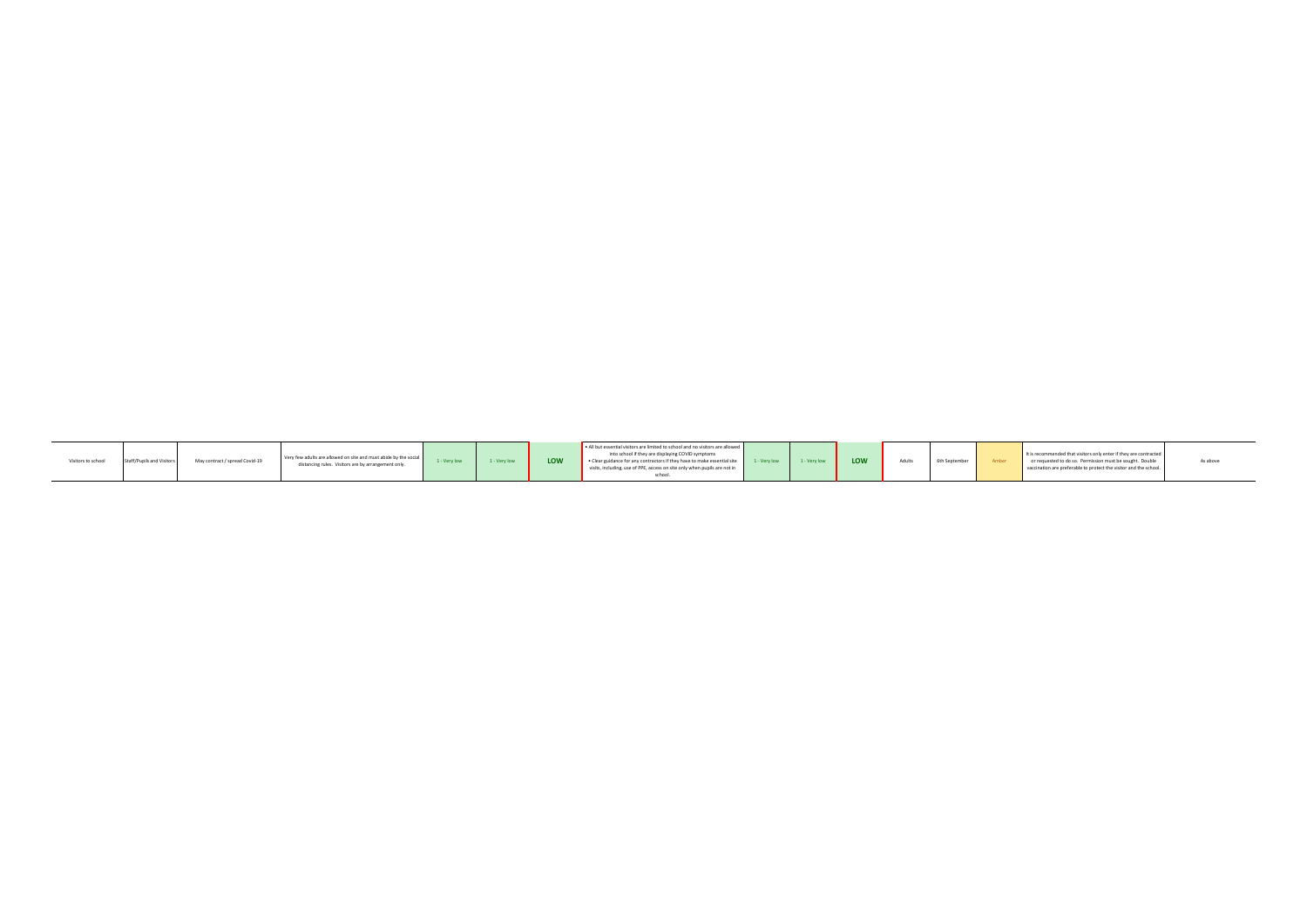| Visitors to school | pils and Visitors<br>I Staff/ | May contract / spread Covid-19 | Very few adults are allowed on site and must abide by the social<br>distancing rules. Visitors are by arrangement only. | 1 - Very low | 1 - Very low | LOW | - All but essential visitors are limited to school and no visitors are allowed<br>into school if they are displaying COVID symptoms<br>Clear guidance for any contractors if they have to make essential site 1 - Very low 1 - Very low<br>visits, including, use of PPE, access on site only when pupils are not in |  |  | LOW | 6th September<br><b>Adults</b> |  | It is recommended that visitors only enter if they are contracted<br>or requested to do so. Permission must be sought. Double<br>vaccination are preferable to protect the visitor and the school. | As abov |
|--------------------|-------------------------------|--------------------------------|-------------------------------------------------------------------------------------------------------------------------|--------------|--------------|-----|----------------------------------------------------------------------------------------------------------------------------------------------------------------------------------------------------------------------------------------------------------------------------------------------------------------------|--|--|-----|--------------------------------|--|----------------------------------------------------------------------------------------------------------------------------------------------------------------------------------------------------|---------|
|--------------------|-------------------------------|--------------------------------|-------------------------------------------------------------------------------------------------------------------------|--------------|--------------|-----|----------------------------------------------------------------------------------------------------------------------------------------------------------------------------------------------------------------------------------------------------------------------------------------------------------------------|--|--|-----|--------------------------------|--|----------------------------------------------------------------------------------------------------------------------------------------------------------------------------------------------------|---------|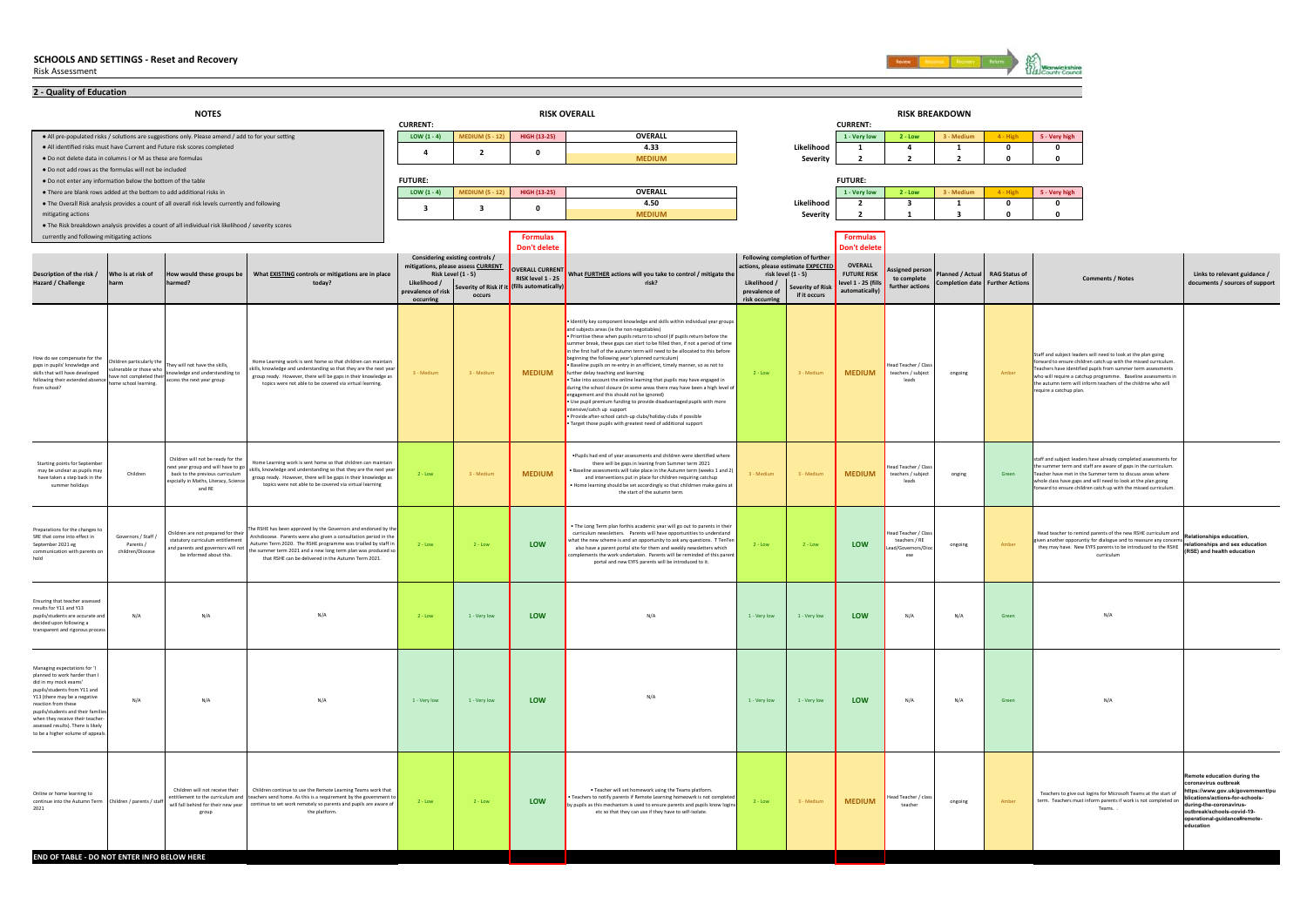

| 2 - Quality of Education                                                                                                                                                                                                                                                                                                       |                                                                                                      |                                                                                                                                                               |                                                                                                                                                                                                                                                                                                                               |                                 |                                                          |                                          |                                                                                                                                                                                                                                                                                                                                                                                                                                                                                                                                                                                                                                                                                                                                                                                                                                                                                                                                                                                              |                                 |                                                           |                                 |                                                            |                       |                        |                                                                                                                                                                                                                                                                                                                                                              |                                                                                                                                                                                                                       |
|--------------------------------------------------------------------------------------------------------------------------------------------------------------------------------------------------------------------------------------------------------------------------------------------------------------------------------|------------------------------------------------------------------------------------------------------|---------------------------------------------------------------------------------------------------------------------------------------------------------------|-------------------------------------------------------------------------------------------------------------------------------------------------------------------------------------------------------------------------------------------------------------------------------------------------------------------------------|---------------------------------|----------------------------------------------------------|------------------------------------------|----------------------------------------------------------------------------------------------------------------------------------------------------------------------------------------------------------------------------------------------------------------------------------------------------------------------------------------------------------------------------------------------------------------------------------------------------------------------------------------------------------------------------------------------------------------------------------------------------------------------------------------------------------------------------------------------------------------------------------------------------------------------------------------------------------------------------------------------------------------------------------------------------------------------------------------------------------------------------------------------|---------------------------------|-----------------------------------------------------------|---------------------------------|------------------------------------------------------------|-----------------------|------------------------|--------------------------------------------------------------------------------------------------------------------------------------------------------------------------------------------------------------------------------------------------------------------------------------------------------------------------------------------------------------|-----------------------------------------------------------------------------------------------------------------------------------------------------------------------------------------------------------------------|
|                                                                                                                                                                                                                                                                                                                                |                                                                                                      | <b>NOTES</b>                                                                                                                                                  |                                                                                                                                                                                                                                                                                                                               | <b>CURRENT:</b>                 |                                                          |                                          | <b>RISK OVERALL</b>                                                                                                                                                                                                                                                                                                                                                                                                                                                                                                                                                                                                                                                                                                                                                                                                                                                                                                                                                                          |                                 |                                                           | <b>CURRENT:</b>                 |                                                            | <b>RISK BREAKDOWN</b> |                        |                                                                                                                                                                                                                                                                                                                                                              |                                                                                                                                                                                                                       |
|                                                                                                                                                                                                                                                                                                                                |                                                                                                      | . All pre-populated risks / solutions are suggestions only. Please amend / add to for your setting                                                            |                                                                                                                                                                                                                                                                                                                               | LOW $(1 - 4)$                   | <b>MEDIUM (5 - 12)</b>                                   | HIGH (13-25)                             | <b>OVERALL</b>                                                                                                                                                                                                                                                                                                                                                                                                                                                                                                                                                                                                                                                                                                                                                                                                                                                                                                                                                                               |                                 |                                                           | 1 - Very low                    | $2 - Low$                                                  | 3 - Medium            | 4 - High               | 5 - Very high                                                                                                                                                                                                                                                                                                                                                |                                                                                                                                                                                                                       |
|                                                                                                                                                                                                                                                                                                                                |                                                                                                      | . All identified risks must have Current and Future risk scores completed                                                                                     |                                                                                                                                                                                                                                                                                                                               | $\mathbf{A}$                    | $\overline{2}$                                           | $\mathbf 0$                              | 4.33                                                                                                                                                                                                                                                                                                                                                                                                                                                                                                                                                                                                                                                                                                                                                                                                                                                                                                                                                                                         |                                 | Likelihood                                                | 1                               | $\overline{a}$                                             | $\mathbf{1}$          | $\mathbf 0$            | 0                                                                                                                                                                                                                                                                                                                                                            |                                                                                                                                                                                                                       |
| . Do not delete data in columns I or M as these are formulas                                                                                                                                                                                                                                                                   |                                                                                                      |                                                                                                                                                               |                                                                                                                                                                                                                                                                                                                               |                                 |                                                          |                                          | <b>MEDIUM</b>                                                                                                                                                                                                                                                                                                                                                                                                                                                                                                                                                                                                                                                                                                                                                                                                                                                                                                                                                                                |                                 | Severity                                                  | $\overline{2}$                  | $\overline{2}$                                             | $\overline{2}$        | $\mathbf{0}$           | $\mathbf{0}$                                                                                                                                                                                                                                                                                                                                                 |                                                                                                                                                                                                                       |
| . Do not add rows as the formulas will not be included                                                                                                                                                                                                                                                                         |                                                                                                      |                                                                                                                                                               |                                                                                                                                                                                                                                                                                                                               |                                 |                                                          |                                          |                                                                                                                                                                                                                                                                                                                                                                                                                                                                                                                                                                                                                                                                                                                                                                                                                                                                                                                                                                                              |                                 |                                                           |                                 |                                                            |                       |                        |                                                                                                                                                                                                                                                                                                                                                              |                                                                                                                                                                                                                       |
| . Do not enter any information below the bottom of the table<br>. There are blank rows added at the bottom to add additional risks in                                                                                                                                                                                          |                                                                                                      |                                                                                                                                                               |                                                                                                                                                                                                                                                                                                                               | <b>FUTURE:</b><br>LOW $(1 - 4)$ | <b>MEDIUM (5 - 12)</b>                                   | <b>HIGH (13-25)</b>                      | <b>OVERALL</b>                                                                                                                                                                                                                                                                                                                                                                                                                                                                                                                                                                                                                                                                                                                                                                                                                                                                                                                                                                               |                                 |                                                           | <b>FUTURE:</b><br>1 - Very low  | $2 - Low$                                                  | 3 - Medium            | 4 - High               | 5 - Very high                                                                                                                                                                                                                                                                                                                                                |                                                                                                                                                                                                                       |
|                                                                                                                                                                                                                                                                                                                                |                                                                                                      | . The Overall Risk analysis provides a count of all overall risk levels currently and following                                                               |                                                                                                                                                                                                                                                                                                                               |                                 |                                                          |                                          | 4.50                                                                                                                                                                                                                                                                                                                                                                                                                                                                                                                                                                                                                                                                                                                                                                                                                                                                                                                                                                                         |                                 | Likelihood                                                | $\overline{2}$                  | -3                                                         | 1                     | 0                      | $\mathbf 0$                                                                                                                                                                                                                                                                                                                                                  |                                                                                                                                                                                                                       |
| mitigating actions                                                                                                                                                                                                                                                                                                             |                                                                                                      |                                                                                                                                                               |                                                                                                                                                                                                                                                                                                                               | $\overline{\mathbf{3}}$         | $\overline{\mathbf{3}}$                                  | $\Omega$                                 | <b>MEDIUM</b>                                                                                                                                                                                                                                                                                                                                                                                                                                                                                                                                                                                                                                                                                                                                                                                                                                                                                                                                                                                |                                 | Severity                                                  | $\overline{2}$                  | $\mathbf{1}$                                               | 3                     | $\mathbf 0$            | $\mathbf 0$                                                                                                                                                                                                                                                                                                                                                  |                                                                                                                                                                                                                       |
|                                                                                                                                                                                                                                                                                                                                |                                                                                                      | . The Risk breakdown analysis provides a count of all individual risk likelihood / severity scores                                                            |                                                                                                                                                                                                                                                                                                                               |                                 |                                                          |                                          |                                                                                                                                                                                                                                                                                                                                                                                                                                                                                                                                                                                                                                                                                                                                                                                                                                                                                                                                                                                              |                                 |                                                           |                                 |                                                            |                       |                        |                                                                                                                                                                                                                                                                                                                                                              |                                                                                                                                                                                                                       |
| currently and following mitigating actions                                                                                                                                                                                                                                                                                     |                                                                                                      |                                                                                                                                                               |                                                                                                                                                                                                                                                                                                                               |                                 |                                                          | <b>Formulas</b><br>Don't delete          |                                                                                                                                                                                                                                                                                                                                                                                                                                                                                                                                                                                                                                                                                                                                                                                                                                                                                                                                                                                              |                                 |                                                           | <b>Formulas</b><br>Don't delete |                                                            |                       |                        |                                                                                                                                                                                                                                                                                                                                                              |                                                                                                                                                                                                                       |
|                                                                                                                                                                                                                                                                                                                                |                                                                                                      |                                                                                                                                                               |                                                                                                                                                                                                                                                                                                                               |                                 | Considering existing controls /                          |                                          |                                                                                                                                                                                                                                                                                                                                                                                                                                                                                                                                                                                                                                                                                                                                                                                                                                                                                                                                                                                              |                                 | Following completion of further                           |                                 |                                                            |                       |                        |                                                                                                                                                                                                                                                                                                                                                              |                                                                                                                                                                                                                       |
| Description of the risk /                                                                                                                                                                                                                                                                                                      | Who is at risk of                                                                                    | would these groups be                                                                                                                                         | What EXISTING controls or mitigations are in place                                                                                                                                                                                                                                                                            |                                 | mitigations, please assess CURRENT<br>Risk Level (1 - 5) | <b>OVERALL CURRENT</b>                   | What FURTHER actions will you take to control / mitigate the                                                                                                                                                                                                                                                                                                                                                                                                                                                                                                                                                                                                                                                                                                                                                                                                                                                                                                                                 |                                 | actions, please estimate EXPECTED<br>risk level $(1 - 5)$ | OVERALL<br><b>FUTURE RISK</b>   | ssigned perso                                              | anned / Actual        | <b>RAG Status of</b>   |                                                                                                                                                                                                                                                                                                                                                              | Links to relevant guidance /                                                                                                                                                                                          |
| Hazard / Challenge                                                                                                                                                                                                                                                                                                             |                                                                                                      | med?                                                                                                                                                          | today?                                                                                                                                                                                                                                                                                                                        | Likelihood /                    | Severity of Risk if i                                    | RISK level 1 - 25<br>fills automatically | risk?                                                                                                                                                                                                                                                                                                                                                                                                                                                                                                                                                                                                                                                                                                                                                                                                                                                                                                                                                                                        | Likelihood /                    | Severity of Risk                                          | level 1 - 25 (fills             | to complete<br>further actions                             | Completion date       | <b>Further Actions</b> | <b>Comments / Notes</b>                                                                                                                                                                                                                                                                                                                                      | documents / sources of support                                                                                                                                                                                        |
|                                                                                                                                                                                                                                                                                                                                |                                                                                                      |                                                                                                                                                               |                                                                                                                                                                                                                                                                                                                               | prevalence of risk<br>occurring | occurs                                                   |                                          |                                                                                                                                                                                                                                                                                                                                                                                                                                                                                                                                                                                                                                                                                                                                                                                                                                                                                                                                                                                              | prevalence of<br>risk occurring | if it occurs                                              | automatically)                  |                                                            |                       |                        |                                                                                                                                                                                                                                                                                                                                                              |                                                                                                                                                                                                                       |
| How do we compensate for the<br>gaps in pupils' knowledge and<br>skills that will have developed<br>following their extended absence<br>from school?                                                                                                                                                                           | dren particularly the<br>rulnerable or those who<br>have not completed their<br>ome school learning. | They will not have the skills,<br>mowledge and understandiing to<br>access the next year group                                                                | Home Learning work is sent home so that children can maintain<br>skills, knowledge and understanding so that they are the next year<br>group ready. However, there will be gaps in their knowledge as<br>topics were not able to be covered via virtual learning.                                                             | 3 - Medium                      | 3 - Mediun                                               | <b>MEDIUM</b>                            | Identify key component knowledge and skills within individual year groups<br>and subjects areas (ie the non-negotiables)<br>Prioritise these when pupils return to school (if pupils return before the<br>mmer break, these gaps can start to be filled then, if not a period of time<br>in the first half of the autumn term will need to be allocated to this before<br>beginning the following year's planned curriculum)<br>Baseline pupils on re-entry in an efficient, timely manner, so as not to<br>further delay teaching and learning<br>Take into account the online learning that pupils may have engaged in<br>during the school closure (in some areas there may have been a high level of<br>engagement and this should not be ignored)<br>Use pupil premium funding to provide disadvantaged pupils with more<br>tensive/catch up support<br>· Provide after-school catch-up clubs/holiday clubs if possible<br>Target those pupils with greatest need of additional support | $2 - Low$                       | 3 - Medium                                                | <b>MEDIUM</b>                   | ad Teacher / Class<br>teachers / subject<br>leads          | ongoing               | Amber                  | Staff and subject leaders will need to look at the plan going<br>forward to ensure children catch up with the missed curriculum.<br>Teachers have identified pupils from summer term assessments<br>who will require a catchup programme. Baseline assessments in<br>he autumn term will inform teachers of the childrne who will<br>require a catchup plan. |                                                                                                                                                                                                                       |
| Starting points for Septembe<br>may be unclear as pupils may<br>have taken a step back in the<br>summer holidays                                                                                                                                                                                                               | Children                                                                                             | Children will not be ready for the<br>ext year group and will have to go<br>back to the previous curriculum<br>spcially in Maths, Literacy, Science<br>and RE | Home Learning work is sent home so that children can maintain<br>skills, knowledge and understanding so that they are the next year<br>group ready. However, there will be gaps in their knowledge as<br>topics were not able to be covered via virtual learning                                                              | $2 - Low$                       | 3 - Medium                                               | <b>MEDIUM</b>                            | . Pupils had end of year assessments and children were identified where<br>there will be gaps in leaning from Summer term 2021<br>. Baseline assessments will take place in the Autumn term (weeks 1 and 2)<br>and interventions put in place for children requiring catchup<br>Home learning should be set accordingly so that childrnen make gains at<br>the start of the autumn term.                                                                                                                                                                                                                                                                                                                                                                                                                                                                                                                                                                                                     | 3 - Medium                      | 3 - Medium                                                | <b>MEDIUM</b>                   | ad Teacher / Clas<br>teachers / subject<br>leads           | onging                | Green                  | staff and subject leaders have already completed assessments for<br>he summer term and staff are aware of gaps in the curriculum.<br>Teacher have met in the Summer term to discuss areas where<br>hole class have gaps and will need to look at the plan going<br>orward to ensure children catch up with the missed curriculum.                            |                                                                                                                                                                                                                       |
| Preparations for the changes to<br>SRE that come into effect in<br>September 2021 eg<br>communication with narents of<br>hold                                                                                                                                                                                                  | Governors / Staff /<br>Parents /<br>children/Diocese                                                 | hildren are not prepared for their<br>statutory curriculum entitlement<br>nd parents and governors will not<br>be informed about this.                        | The RSHE has been approved by the Governors and endorsed by the<br>Archdiocese. Parents were also given a consultation period in the<br>Autumn Term 2020. The RSHE programme was trialled by staff in<br>the summer term 2021 and a new long term plan was produced so<br>that RSHE can be delivered in the Autumn Term 2021. | $2 - Low$                       | $2 - Low$                                                | LOW                                      | . The Long Term plan forthis academic year will go out to parents in their<br>curriculum newsletters. Parents will have opportunities to understand<br>what the new scheme is and an opportunity to ask any questions. T TenTer<br>also have a parent portal site for them and weekly newsletters which<br>nents the work undertaken. Parents will be reminded of this paren<br>portal and new EYFS parents will be introduced to it.                                                                                                                                                                                                                                                                                                                                                                                                                                                                                                                                                        | $2 - Low$                       | $2 - \text{Lov}$                                          | LOW                             | ad Teacher / Cla-<br>teachers / RE<br>d/Governors/D<br>ese | ongoing               | Ambe                   | Head teacher to remind parents of the new RSHE curriculum and<br>ven another opporuntly for dialogue and to reassure any concerns<br>they may have. New EYFS parents to be introduced to the RSHE relationships and sex equipment<br>curriculum                                                                                                              | <b>Relationships education</b><br>relationships and sex education                                                                                                                                                     |
| Ensuring that teacher assessed<br>results for Y11 and Y13<br>pupils/students are accurate and<br>decided upon following a<br>transparent and rigorous proces                                                                                                                                                                   | N/A                                                                                                  | N/A                                                                                                                                                           | N/A                                                                                                                                                                                                                                                                                                                           | $2 - Low$                       | 1 - Very low                                             | LOW                                      | N/A                                                                                                                                                                                                                                                                                                                                                                                                                                                                                                                                                                                                                                                                                                                                                                                                                                                                                                                                                                                          | 1 - Very low                    | 1 - Very low                                              | LOW                             | N/A                                                        | N/A                   | Green                  | N/A                                                                                                                                                                                                                                                                                                                                                          |                                                                                                                                                                                                                       |
| Managing expectations for 'I<br>planned to work harder than I<br>did in my mock exams'<br>pupils/students from Y11 and<br>Y13 (there may be a negative<br>reaction from these<br>pupils/students and their familie<br>when they receive their teacher<br>assessed results). There is likely<br>to be a higher volume of appeal | N/A                                                                                                  | N/A                                                                                                                                                           | $\rm N/A$                                                                                                                                                                                                                                                                                                                     | 1 - Very low                    | $1 - \text{Very low}$                                    | LOW                                      | N/A                                                                                                                                                                                                                                                                                                                                                                                                                                                                                                                                                                                                                                                                                                                                                                                                                                                                                                                                                                                          | 1 - Very low                    | 1 - Very low                                              | LOW                             | N/A                                                        | $\rm N/A$             | Green                  | N/A                                                                                                                                                                                                                                                                                                                                                          |                                                                                                                                                                                                                       |
| Online or home learning to<br>continue into the Autumn Term<br>2021<br>END OF TABLE - DO NOT ENTER INFO BELOW HERE                                                                                                                                                                                                             | Children / parents / staff                                                                           | Children will not receive their<br>hos mulutities adt of themeltithe<br>group                                                                                 | Children continue to use the Remote Learning Teams work that<br>teachers send home. As this is a requirement by the government to<br>will fall behind for their new year continue to set work remotely so parents and pupils are aware of<br>the platform.                                                                    | $2 - Low$                       | $2 - Low$                                                | LOW                                      | . Teacher will set homework using the Teams platform.<br>Teachers to notify parents if Remote Learning homeowrk is not complete<br>by pupils as this mechanism is used to ensure parents and pupils know logins<br>etc so that they can use if they have to self-isolate.                                                                                                                                                                                                                                                                                                                                                                                                                                                                                                                                                                                                                                                                                                                    | $2 - Low$                       | 3 - Medium                                                | <b>MEDIUM</b>                   | ead Teacher / clas<br>teacher                              | ongoing               | Amber                  | Teachers to give out logins for Microsoft Teams at the start of<br>term. Teachers must inform parents if work is not completed on<br>Teams                                                                                                                                                                                                                   | emote education during the<br>ronavirus outbreak<br>https://www.gov.uk/government/pu<br>ications/actions-for-schools-<br>uring-the-coronavirus-<br>utbreak/schools-covid-19-<br>erational-guidance#remote<br>ducation |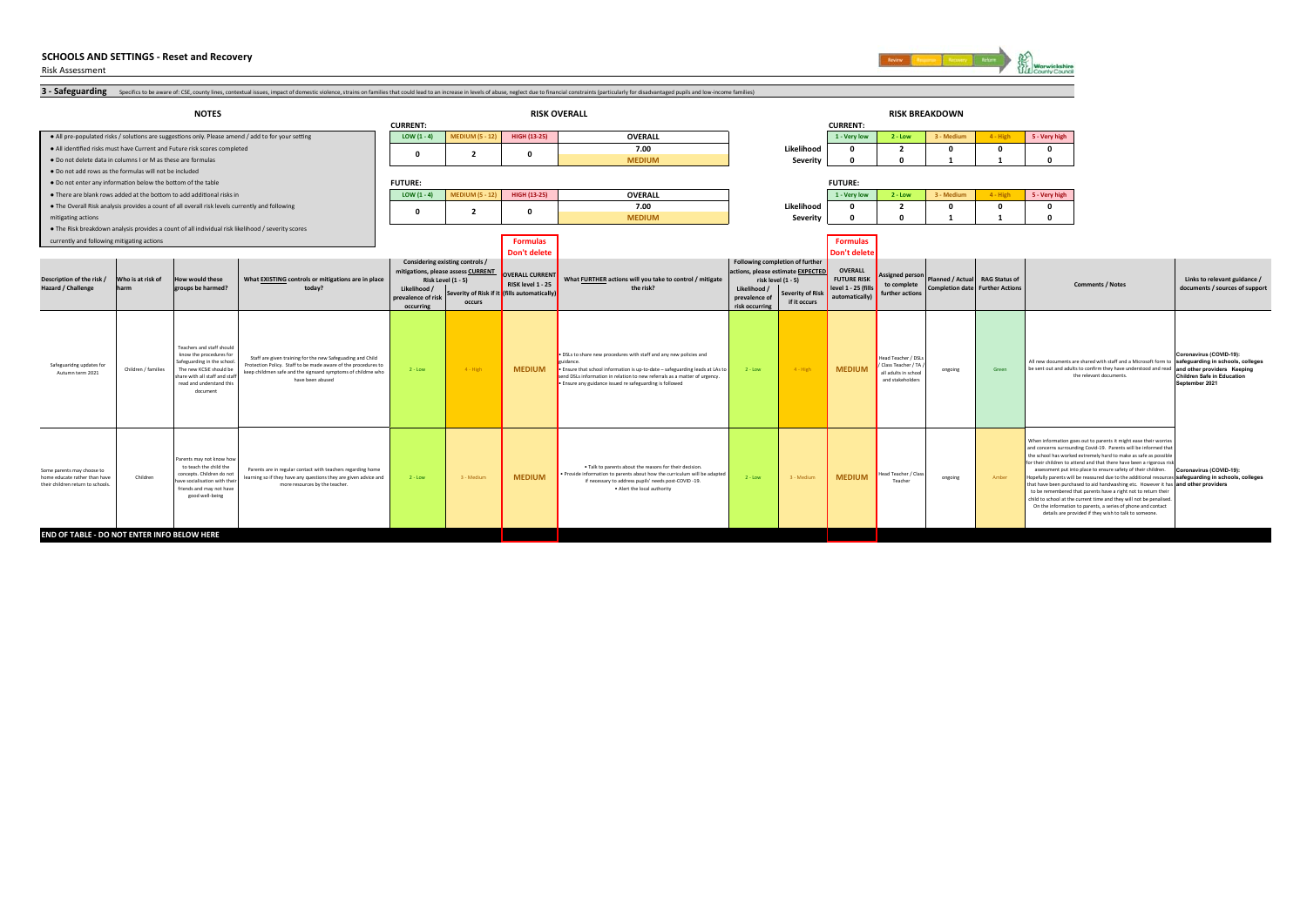

**Coronavirus (COVID-19): safeguarding in schools, colleges and other providers Keeping Children Safe in Education September 2021**

**Links to relevant guidance / documents / sources of support**

Risk Assessment 3 - Safeguarding specifics to be aware of: CSE, county lines, contextual issues, impact of domestic violence, strains on families that could lead to an increase in levels of abuse, neglect due to financial constraints (par **•** All pre-populated risks / solutions are suggestions only. Please amend / add to for your setting **LOW (1 - 4) LOW (1 - 4) MEDIUM (5 - 12) HIGH (13-25) OVERALL 1 - Very low 2 - Low 3 - Medium 4 - High 5 - Very high** ● All idenƟfied risks must have Current and Future risk scores completed **7.00 Likelihood 0 2 0 0 0** ● Do not delete data in columns I or M as these are formulas**S** And the contract of the contract of the contract of the contract of the contract of the contract of the contract of the contract of the contract of the contract of the contract of the contract of the contract of the co **Severity 0 0 1 1 0** ● Do not add rows as the formulas will not be included ● Do not enter any informaƟon below the boƩom of the table ● There are blank rows added at the boƩom to add addiƟonal risks in **LOW (1 - 4) MEDIUM (5 - 12) HIGH (13-25) OVERALL 1 - Very low 2 - Low 3 - Medium 4 - High 5 - Very high** ● The Overall Risk analysis provides a count of all overall risk levels currently and following **7.00 Likelihood 0 2 0 0 0** mitigating actions **MEDIUM Severity 0 0 1 1 0** ● The Risk breakdown analysis provides a count of all individual risk likelihood / severity scores currently and following mitigating actions **FormulasFormulas Formulas Don't deleteDon't delet Likelihood / prevalence of risk occurring Severity of Risk if it (fills automatically) occurs Likelihood / prevalence of risk occurring Severity of Risk if it occurs** Safeguaridng updates for Autumn term 2021 Children / families Teachers and staff should know the procedures for Safeguarding in the school. The new KCSiE should be share with all staff and staff read and understand this document  $2 - Low$  4 - High **MEDIUM**• DSLs to share new procedures with staff and any new policies and guidance. • Ensure that school information is up-to-date – safeguarding leads at LAs to send DSLs information in relation to new referrals as a matter of urgency. • Ensure any guidance issued re safeguarding is followed 2 - Low 4 - High **MEDIUM**ead Teacher / DS / Class Teacher / TA / all adults in school and stakeholder ongoing Green Some parents may choose to home educate rather than have their children return to schools.Childrenarents may not know h to teach the child the concepts. Children do not have socialisation with their friends and may not have good well-being 2 - Low 3 - Mediumm **MEDIUM** • Talk to parents about the reasons for their decision. • Provide information to parents about how the curriculum will be adapted if necessary to address pupils' needs post-COVID -19. • Alert the local authority 2 - Low 3 - Medium **MEDIUM**Teacher for their children to attend and that there have then a rigorous risk<br>assessment put into place to ensure safety of their children. Coronavirus (COVID-19):<br>That is a section of the ensure due to the additional resources sa **NOTES RISK OVERALL RISK BREAKDOWN CURRENT: CURRENT: Description of the risk / Hazard / Challenge Who is at risk of harmHow would these groups be harmed? What EXISTING controls or mitigations are in place today? Considering existing controls / mitigations, please assess CURRENT Risk Level (1 - 5) 020FUTURE: FUTURE: 020RAG Status of Further Action Comments / Notes OVERALL CURRENT RISK level 1 - 25 What FURTHER actions will you take to control / mitigate the risk?Following completion of further actions, please estimate EXPECTED risk level (1 - 5) OVERALL FUTURE RISK level 1 - 25 (fill) automatically) Assigned pers to complete further actionsPlanned / Actual Completion date** All new documents are shared with staff and a Microsoft form to be sent out and adults to confirm they have understood and read the relevant documents. Staff are given training for the new Safeguading and Child Protection Policy. Staff to be made aware of the procedures to keep childrnen safe and the signsand symptoms of childrne who have been abusedParents are in regular contact with teachers regarding home learning so if they have any questions they are given advice and more resources by the teacher. When information goes out to parents it might ease their wor and concerns surrounding Covid-19. Parents will be informed that the school has worked extremely hard to make as safe as possible to be remembered that parents have a right not to return their child to school at the current time and they will not be penalised. On the information to parents, a series of phone and contact details are provided if they wish to talk to someone.

**END OF TABLE - DO NOT ENTER INFO BELOW HERE**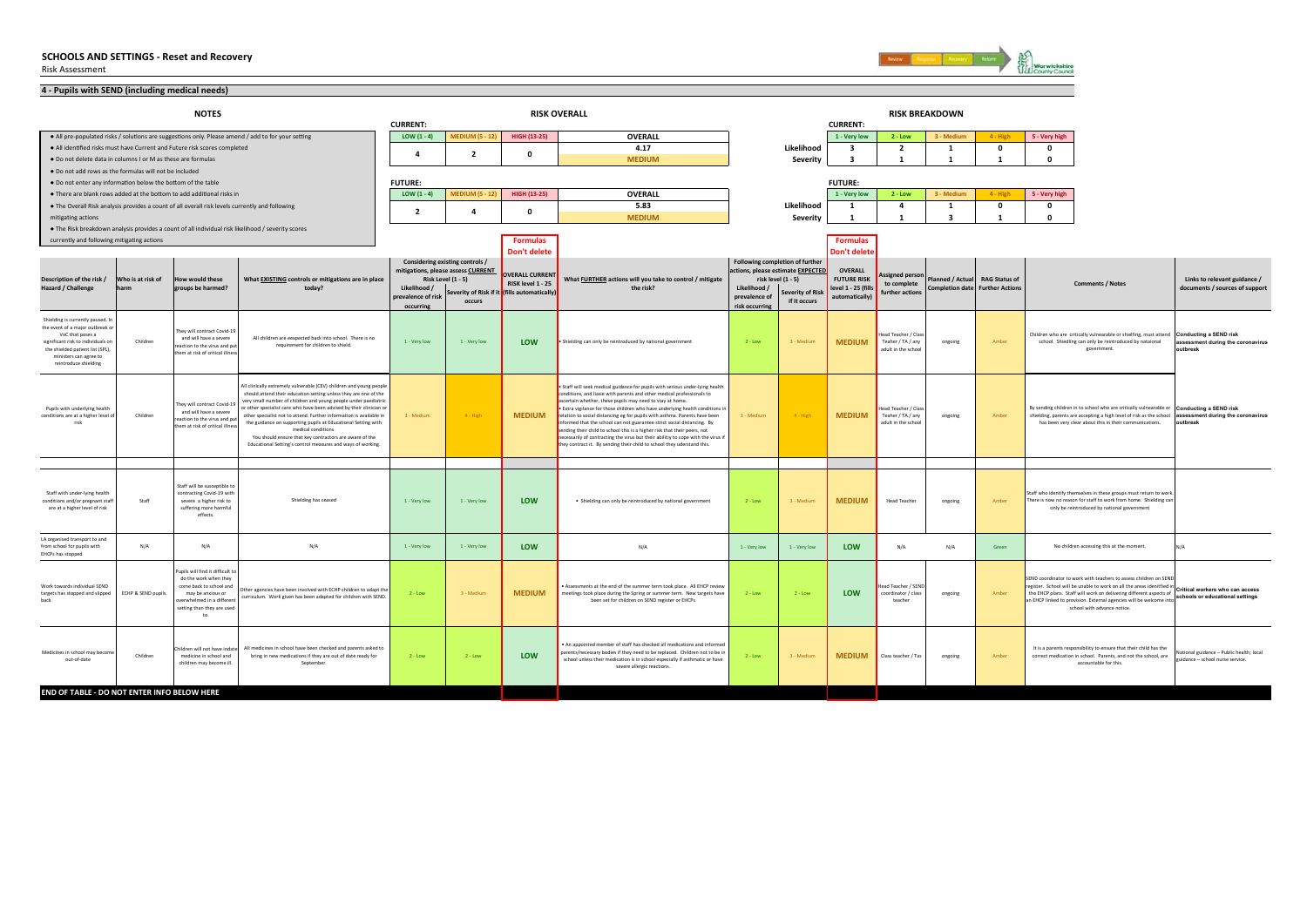

| 4 - Pupils with SEND (including medical needs)                        |                     |                                                                                                 |                                                                                                                                         |                         |                                                          |                                                                   |                                                                                                                                                              |                |                                                         |                                      |                                           |                                        |                      |                                                                                                                                                                  |                                                                            |
|-----------------------------------------------------------------------|---------------------|-------------------------------------------------------------------------------------------------|-----------------------------------------------------------------------------------------------------------------------------------------|-------------------------|----------------------------------------------------------|-------------------------------------------------------------------|--------------------------------------------------------------------------------------------------------------------------------------------------------------|----------------|---------------------------------------------------------|--------------------------------------|-------------------------------------------|----------------------------------------|----------------------|------------------------------------------------------------------------------------------------------------------------------------------------------------------|----------------------------------------------------------------------------|
|                                                                       |                     | <b>NOTES</b>                                                                                    |                                                                                                                                         | <b>CURRENT:</b>         |                                                          |                                                                   | <b>RISK OVERALL</b>                                                                                                                                          |                |                                                         | <b>CURRENT:</b>                      | <b>RISK BREAKDOWN</b>                     |                                        |                      |                                                                                                                                                                  |                                                                            |
|                                                                       |                     |                                                                                                 | . All pre-populated risks / solutions are suggestions only. Please amend / add to for your setting                                      | LOW $(1 - 4)$           | <b>MEDIUM (5 - 12)</b>                                   | <b>HIGH (13-25)</b>                                               | <b>OVERALL</b>                                                                                                                                               |                |                                                         | 1 - Very low                         | $2 - Low$                                 | 3 - Medium                             | $4 - High$           | 5 - Very high                                                                                                                                                    |                                                                            |
|                                                                       |                     | . All identified risks must have Current and Future risk scores completed                       |                                                                                                                                         |                         |                                                          |                                                                   | 4.17                                                                                                                                                         |                | Likelihood                                              | $\mathbf{3}$                         | $\overline{2}$                            | 1                                      | $\mathbf 0$          | $\mathbf{0}$                                                                                                                                                     |                                                                            |
| . Do not delete data in columns I or M as these are formulas          |                     |                                                                                                 |                                                                                                                                         | $\mathbf{a}$            | $\overline{2}$                                           | $\mathbf{0}$                                                      | <b>MEDIUM</b>                                                                                                                                                |                | Severity                                                | ર                                    | $\overline{\mathbf{1}}$                   |                                        |                      | $\Omega$                                                                                                                                                         |                                                                            |
| . Do not add rows as the formulas will not be included                |                     |                                                                                                 |                                                                                                                                         |                         |                                                          |                                                                   |                                                                                                                                                              |                |                                                         |                                      |                                           |                                        |                      |                                                                                                                                                                  |                                                                            |
| . Do not enter any information below the bottom of the table          |                     |                                                                                                 |                                                                                                                                         | <b>FUTURE:</b>          |                                                          |                                                                   |                                                                                                                                                              |                |                                                         | <b>FUTURE:</b>                       |                                           |                                        |                      |                                                                                                                                                                  |                                                                            |
|                                                                       |                     | . There are blank rows added at the bottom to add additional risks in                           |                                                                                                                                         | LOW $(1 - 4)$           | <b>MEDIUM (5 - 12)</b>                                   | <b>HIGH (13-25)</b>                                               | <b>OVERALL</b>                                                                                                                                               |                |                                                         | 1 - Very low                         | $2 - Low$                                 | 3 - Medium                             | $4 - High$           | 5 - Very high                                                                                                                                                    |                                                                            |
|                                                                       |                     | . The Overall Risk analysis provides a count of all overall risk levels currently and following |                                                                                                                                         |                         |                                                          |                                                                   | 5.83                                                                                                                                                         |                | Likelihood                                              | 1                                    | $\overline{a}$                            | 1                                      | $\Omega$             | $\Omega$                                                                                                                                                         |                                                                            |
| mitigating actions                                                    |                     |                                                                                                 |                                                                                                                                         | $\overline{\mathbf{2}}$ | $\overline{a}$                                           | $\mathbf 0$                                                       | <b>MEDIUM</b>                                                                                                                                                |                | Severity                                                | $\overline{1}$                       | $\mathbf{1}$                              | $\overline{\mathbf{3}}$                |                      | $\Omega$                                                                                                                                                         |                                                                            |
|                                                                       |                     |                                                                                                 | . The Risk breakdown analysis provides a count of all individual risk likelihood / severity scores                                      |                         |                                                          |                                                                   |                                                                                                                                                              |                |                                                         |                                      |                                           |                                        |                      |                                                                                                                                                                  |                                                                            |
| currently and following mitigating actions                            |                     |                                                                                                 |                                                                                                                                         |                         |                                                          | <b>Formulas</b>                                                   |                                                                                                                                                              |                |                                                         | <b>Formulas</b>                      |                                           |                                        |                      |                                                                                                                                                                  |                                                                            |
|                                                                       |                     |                                                                                                 |                                                                                                                                         |                         |                                                          | Don't delete                                                      |                                                                                                                                                              |                |                                                         | Don't delet                          |                                           |                                        |                      |                                                                                                                                                                  |                                                                            |
|                                                                       |                     |                                                                                                 |                                                                                                                                         |                         | Considering existing controls /                          |                                                                   |                                                                                                                                                              |                | Following completion of further                         |                                      |                                           |                                        |                      |                                                                                                                                                                  |                                                                            |
| Description of the risk /                                             | Who is at risk of   | <b>How would these</b>                                                                          | What EXISTING controls or mitigations are in place                                                                                      |                         | mitigations, please assess CURRENT<br>Risk Level (1 - 5) | <b>OVERALL CURRENT</b>                                            | What FURTHER actions will you take to control / mitigate                                                                                                     |                | actions, please estimate EXPECTED<br>risk level (1 - 5) | <b>OVERALL</b><br><b>FUTURE RISK</b> | Assigned person                           | Planned / Actual                       | <b>RAG Status of</b> |                                                                                                                                                                  | Links to relevant guidance /                                               |
| Hazard / Challenge                                                    | harm                | groups be harmed?                                                                               | today?                                                                                                                                  | Likelihood /            |                                                          | RISK level 1 - 25<br>Severity of Risk if it (fills automatically) | the risk?                                                                                                                                                    | Likelihood /   | Severity of Risk                                        | level 1 - 25 (fills                  | to complete<br>further actions            | <b>Completion date Further Actions</b> |                      | <b>Comments / Notes</b>                                                                                                                                          | documents / sources of support                                             |
|                                                                       |                     |                                                                                                 |                                                                                                                                         | prevalence of risk      | occurs                                                   |                                                                   |                                                                                                                                                              | prevalence of  | if it occurs                                            | automatically)                       |                                           |                                        |                      |                                                                                                                                                                  |                                                                            |
|                                                                       |                     |                                                                                                 |                                                                                                                                         | occurring               |                                                          |                                                                   |                                                                                                                                                              | risk occurring |                                                         |                                      |                                           |                                        |                      |                                                                                                                                                                  |                                                                            |
| Shielding is currently paused. In<br>the event of a major outbreak or |                     |                                                                                                 |                                                                                                                                         |                         |                                                          |                                                                   |                                                                                                                                                              |                |                                                         |                                      |                                           |                                        |                      |                                                                                                                                                                  |                                                                            |
| VoC that poses a<br>significant risk to individuals o                 | Children            | hey will contract Covid-19<br>and will have a severe                                            | All children are eexpected back into school. There is no                                                                                | 1 - Very low            | 1 - Very low                                             |                                                                   |                                                                                                                                                              | $2 - Low$      | 3 - Medium                                              | <b>MEDIUM</b>                        | lead Teacher / Class<br>Teaher / TA / any |                                        | Amber                | Children who are critically vulnearable or shielfing, must attend                                                                                                | <b>Conducting a SEND risk</b>                                              |
| the shielded patient list (SPL)                                       |                     | reaction to the virus and put<br>them at risk of critical illness                               | requirement for children to shield.                                                                                                     |                         |                                                          | LOW                                                               | · Shielding can only be reintroduced by national government                                                                                                  |                |                                                         |                                      | adult in the school                       | ongoing                                |                      | school. Shiedling can only be reintroduced by nataional<br>government.                                                                                           | assessment during the coronavirus<br>outbreak                              |
| ministers can agree to<br>reintroduce shielding                       |                     |                                                                                                 |                                                                                                                                         |                         |                                                          |                                                                   |                                                                                                                                                              |                |                                                         |                                      |                                           |                                        |                      |                                                                                                                                                                  |                                                                            |
|                                                                       |                     |                                                                                                 |                                                                                                                                         |                         |                                                          |                                                                   |                                                                                                                                                              |                |                                                         |                                      |                                           |                                        |                      |                                                                                                                                                                  |                                                                            |
|                                                                       |                     |                                                                                                 | All clinically extremely vulnerable (CEV) children and young people                                                                     |                         |                                                          |                                                                   | · Staff will seek medical guidance for pupils with serious under-lying health                                                                                |                |                                                         |                                      |                                           |                                        |                      |                                                                                                                                                                  |                                                                            |
|                                                                       |                     |                                                                                                 | should attend their education setting unless they are one of the                                                                        |                         |                                                          |                                                                   | conditions, and liasie with parents and other medical professionals to                                                                                       |                |                                                         |                                      |                                           |                                        |                      |                                                                                                                                                                  |                                                                            |
| Punils with underlying health                                         |                     | hey will contract Covid-19<br>and will have a severe                                            | very small number of children and young people under paediatric<br>or other specialist care who have been advised by their clinician or |                         |                                                          |                                                                   | ascertain whether, these pupils may need to stay at home.<br>. Extra vigilance for those children who have underlying health conditions in                   |                |                                                         |                                      | Head Teacher / Class                      |                                        |                      | By sending children in to school who are critically vulnearable or Conducting a SEND risk                                                                        |                                                                            |
| conditions are at a higher level of<br>risk                           | Children            | reaction to the virus and put                                                                   | other specialist not to attend. Further information is available in<br>the guidance on supporting pupils at Educational Setting with    | 3 - Medium              | 4 - High                                                 | <b>MEDIUM</b>                                                     | relation to social distancing eg for pupils with asthma. Parents have been<br>informed that the school can not guarantee strict social distancing. By        | 3 - Medium     | $4 - High$                                              | <b>MEDIUM</b>                        | Teaher / TA / any<br>adult in the school  | ongoing                                | Amber                | shielding, parents are accepting a high level of risk as the school assessment during the coronavirus<br>has been very clear about this in their communications. | outbreak                                                                   |
|                                                                       |                     | them at risk of critical illness                                                                | medical conditions.                                                                                                                     |                         |                                                          |                                                                   | sending their child to school this is a higher risk that their peers, not                                                                                    |                |                                                         |                                      |                                           |                                        |                      |                                                                                                                                                                  |                                                                            |
|                                                                       |                     |                                                                                                 | You should ensure that key contractors are aware of the<br>Educational Setting's control measures and ways of working.                  |                         |                                                          |                                                                   | necessarily of contracting the virus but their abilitiy to cope with the virus if<br>they contract it. By sending their child to school they uderstand this. |                |                                                         |                                      |                                           |                                        |                      |                                                                                                                                                                  |                                                                            |
|                                                                       |                     |                                                                                                 |                                                                                                                                         |                         |                                                          |                                                                   |                                                                                                                                                              |                |                                                         |                                      |                                           |                                        |                      |                                                                                                                                                                  |                                                                            |
|                                                                       |                     |                                                                                                 |                                                                                                                                         |                         |                                                          |                                                                   |                                                                                                                                                              |                |                                                         |                                      |                                           |                                        |                      |                                                                                                                                                                  |                                                                            |
|                                                                       |                     |                                                                                                 |                                                                                                                                         |                         |                                                          |                                                                   |                                                                                                                                                              |                |                                                         |                                      |                                           |                                        |                      |                                                                                                                                                                  |                                                                            |
| Staff with under-lying health                                         |                     | Staff will be susceptible to<br>contracting Covid-19 with                                       |                                                                                                                                         |                         |                                                          |                                                                   |                                                                                                                                                              |                |                                                         |                                      |                                           |                                        |                      | Staff who identify themselves in these groups must return to work                                                                                                |                                                                            |
| conditions and/or pregnant staff<br>are at a higher level of risk     | Staff               | severe a higher risk to<br>suffering more harmful                                               | Shielding has ceased                                                                                                                    | 1 - Very low            | 1 - Very low                                             | LOW                                                               | . Shielding can only be reintroduced by national government                                                                                                  | $2 - 1$ mw     | 3 - Medium                                              | <b>MEDIUM</b>                        | <b>Head Teacher</b>                       | ongoing                                | Amher                | There is now no reason for staff to work from home. Shielding can<br>only be reintroduced by national government                                                 |                                                                            |
|                                                                       |                     | effects.                                                                                        |                                                                                                                                         |                         |                                                          |                                                                   |                                                                                                                                                              |                |                                                         |                                      |                                           |                                        |                      |                                                                                                                                                                  |                                                                            |
|                                                                       |                     |                                                                                                 |                                                                                                                                         |                         |                                                          |                                                                   |                                                                                                                                                              |                |                                                         |                                      |                                           |                                        |                      |                                                                                                                                                                  |                                                                            |
| LA organised transport to and                                         |                     |                                                                                                 |                                                                                                                                         |                         |                                                          |                                                                   |                                                                                                                                                              |                |                                                         |                                      |                                           |                                        |                      |                                                                                                                                                                  |                                                                            |
| from school for pupils with<br>EHCPs has stopped                      | N/A                 | N/A                                                                                             | N/A                                                                                                                                     | 1 - Very low            | 1 - Very low                                             | LOW                                                               | N/A                                                                                                                                                          | 1 - Very low   | 1 - Very low                                            | LOW                                  | N/A                                       | N/A                                    | Green                | No children accessing this at the moment                                                                                                                         |                                                                            |
|                                                                       |                     |                                                                                                 |                                                                                                                                         |                         |                                                          |                                                                   |                                                                                                                                                              |                |                                                         |                                      |                                           |                                        |                      |                                                                                                                                                                  |                                                                            |
|                                                                       |                     | upils will find it difficult to<br>do the work when they                                        |                                                                                                                                         |                         |                                                          |                                                                   |                                                                                                                                                              |                |                                                         |                                      |                                           |                                        |                      | SEND coordinator to work with teachers to assess children on SENE                                                                                                |                                                                            |
| Work towards individual SEND                                          |                     | come back to school and                                                                         | her agencies have been involved with ECHP children to adapt the                                                                         |                         |                                                          |                                                                   | Assessments at the end of the summer term took place. All EHCP review                                                                                        |                |                                                         |                                      | lead Teacher / SEND                       |                                        |                      | register. School will be unable to work on all the areas idenitfied in                                                                                           | Critical workers who can access                                            |
| targets has stopped and slipped<br>hack                               | ECHP & SEND pupils. | may be anxious or<br>verwhelmed in a differen                                                   | urriculum. Work given has been adapted for children with SEND.                                                                          | $2 - Low$               | 3 - Mediun                                               | <b>MEDIUM</b>                                                     | meetings took place during the Spring or summer term. New targets have<br>been set for children on SEND register or EHCPs                                    | $2 - Low$      | $2 - Low$                                               | <b>LOW</b>                           | coordinator / class<br>teacher            | ongoing                                | Amber                | the EHCP plans. Staff will work on delivering different aspects of<br>an EHCP linked to provision. External agencies will be welcome into                        | schools or educational settings                                            |
|                                                                       |                     | setting than they are used<br>to.                                                               |                                                                                                                                         |                         |                                                          |                                                                   |                                                                                                                                                              |                |                                                         |                                      |                                           |                                        |                      | school with advance notice.                                                                                                                                      |                                                                            |
|                                                                       |                     |                                                                                                 |                                                                                                                                         |                         |                                                          |                                                                   |                                                                                                                                                              |                |                                                         |                                      |                                           |                                        |                      |                                                                                                                                                                  |                                                                            |
|                                                                       |                     |                                                                                                 |                                                                                                                                         |                         |                                                          |                                                                   |                                                                                                                                                              |                |                                                         |                                      |                                           |                                        |                      |                                                                                                                                                                  |                                                                            |
|                                                                       |                     | hildren will not have indate                                                                    | All medicines in school have been checked and parents asked to                                                                          |                         |                                                          |                                                                   | An appointed member of staff has checked all medications and informed                                                                                        |                |                                                         |                                      |                                           |                                        |                      | It is a parents responsibility to ensure that their child has the                                                                                                |                                                                            |
| Medicines in school may become<br>out-of-date                         | Children            | medicine in school and<br>children may become ill.                                              | bring in new medications if they are out of date ready for<br>September                                                                 | $2 - Low$               | $2 - Low$                                                | LOW                                                               | parents/necessary bodies if they need to be replaced. Children not to be in<br>school unless their medication is in school especially if asthmatic or have   | $2 - Low$      | 3 - Medium                                              | <b>MEDIUM</b>                        | Class teacher / Tas                       | ongoing                                | Amher                | correct medication in school. Parents, and not the school, are<br>accountable for this.                                                                          | ational guidance - Public health; local<br>uidance - school nurse service. |
|                                                                       |                     |                                                                                                 |                                                                                                                                         |                         |                                                          |                                                                   | severe allergic reactions.                                                                                                                                   |                |                                                         |                                      |                                           |                                        |                      |                                                                                                                                                                  |                                                                            |
|                                                                       |                     |                                                                                                 |                                                                                                                                         |                         |                                                          |                                                                   |                                                                                                                                                              |                |                                                         |                                      |                                           |                                        |                      |                                                                                                                                                                  |                                                                            |
| END OF TABLE - DO NOT ENTER INFO BELOW HERE                           |                     |                                                                                                 |                                                                                                                                         |                         |                                                          |                                                                   |                                                                                                                                                              |                |                                                         |                                      |                                           |                                        |                      |                                                                                                                                                                  |                                                                            |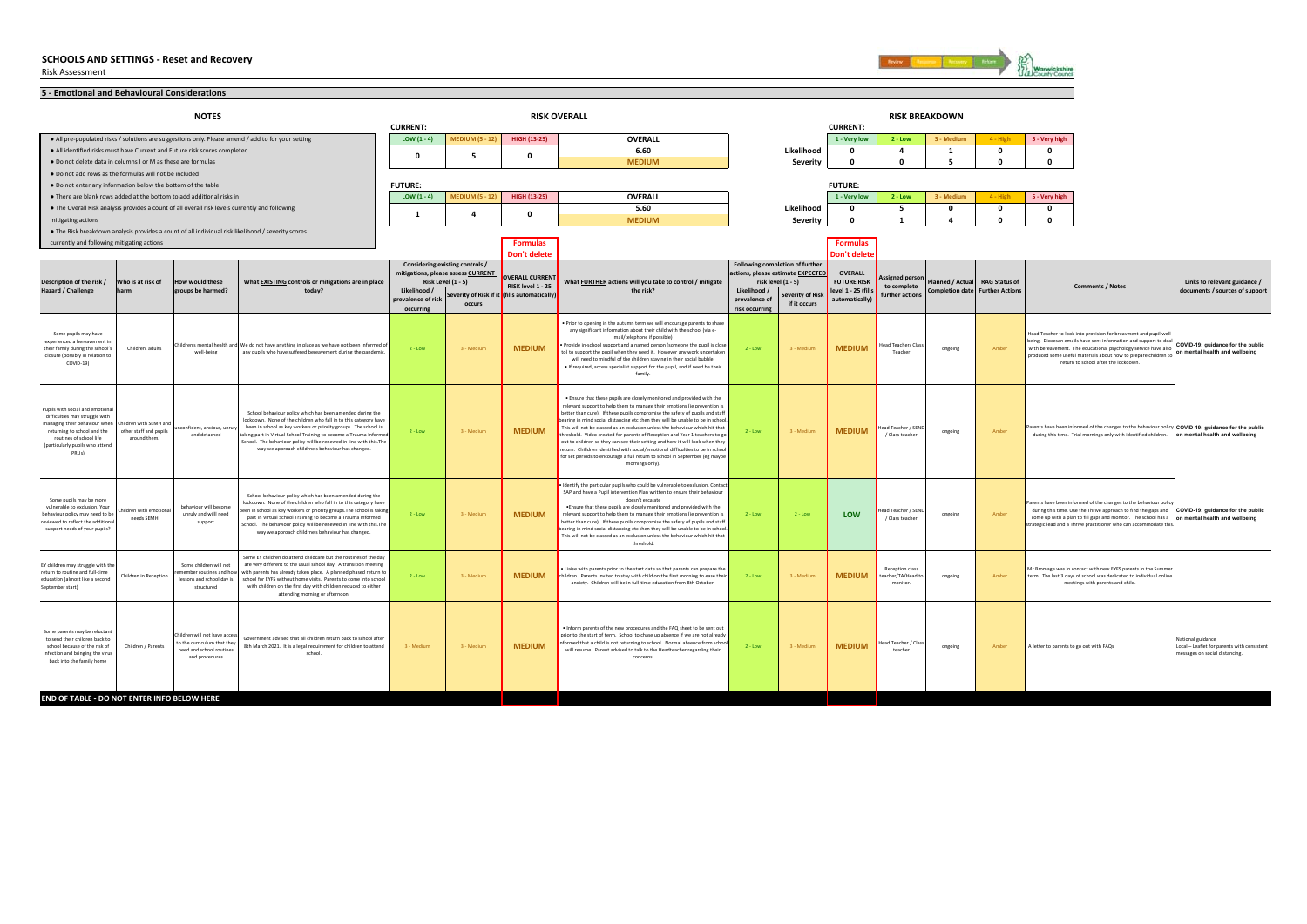

| 5 - Emotional and Behavioural Considerations                                                                                                                                                                                    |                                       |                                                                                                           |                                                                                                                                                                                                                                                                                                                                                                                                    |                                    |                                                                       |                                              |                                                                                                                                                                                                                                                                                                                                                                                                                                                                                                                                                                                                                                                                                                                                                          |                               |                                                                      |                                       |                                                  |                         |                         |                                         |                                                                                                                                                                                                                                                                                                                                                                                                                                                                                        |                                                                                                    |
|---------------------------------------------------------------------------------------------------------------------------------------------------------------------------------------------------------------------------------|---------------------------------------|-----------------------------------------------------------------------------------------------------------|----------------------------------------------------------------------------------------------------------------------------------------------------------------------------------------------------------------------------------------------------------------------------------------------------------------------------------------------------------------------------------------------------|------------------------------------|-----------------------------------------------------------------------|----------------------------------------------|----------------------------------------------------------------------------------------------------------------------------------------------------------------------------------------------------------------------------------------------------------------------------------------------------------------------------------------------------------------------------------------------------------------------------------------------------------------------------------------------------------------------------------------------------------------------------------------------------------------------------------------------------------------------------------------------------------------------------------------------------------|-------------------------------|----------------------------------------------------------------------|---------------------------------------|--------------------------------------------------|-------------------------|-------------------------|-----------------------------------------|----------------------------------------------------------------------------------------------------------------------------------------------------------------------------------------------------------------------------------------------------------------------------------------------------------------------------------------------------------------------------------------------------------------------------------------------------------------------------------------|----------------------------------------------------------------------------------------------------|
|                                                                                                                                                                                                                                 |                                       | <b>NOTES</b>                                                                                              |                                                                                                                                                                                                                                                                                                                                                                                                    | <b>CURRENT:</b>                    |                                                                       |                                              | <b>RISK OVERALL</b>                                                                                                                                                                                                                                                                                                                                                                                                                                                                                                                                                                                                                                                                                                                                      |                               |                                                                      | <b>CURRENT:</b>                       |                                                  | <b>RISK BREAKDOWN</b>   |                         |                                         |                                                                                                                                                                                                                                                                                                                                                                                                                                                                                        |                                                                                                    |
| . All pre-populated risks / solutions are suggestions only. Please amend / add to for your setting                                                                                                                              |                                       |                                                                                                           |                                                                                                                                                                                                                                                                                                                                                                                                    | LOW $(1 - 4)$                      | <b>MEDIUM (5 - 12)</b>                                                | HIGH (13-25)                                 | OVERALL                                                                                                                                                                                                                                                                                                                                                                                                                                                                                                                                                                                                                                                                                                                                                  |                               |                                                                      | 1 - Very low                          | $2 - Low$                                        | 3 - Mediun              | 4 - High                | 5 - Very high                           |                                                                                                                                                                                                                                                                                                                                                                                                                                                                                        |                                                                                                    |
| . All identified risks must have Current and Future risk scores completed<br>. Do not delete data in columns I or M as these are formulas                                                                                       |                                       |                                                                                                           |                                                                                                                                                                                                                                                                                                                                                                                                    | $\mathbf 0$                        | - 5                                                                   | $\Omega$                                     | 6.60<br><b>MEDIUM</b>                                                                                                                                                                                                                                                                                                                                                                                                                                                                                                                                                                                                                                                                                                                                    |                               | Likelihood<br>Severity                                               | $\Omega$<br>$\Omega$                  | $\overline{a}$<br>$\Omega$                       | 1<br>-5                 | $\mathbf 0$<br>$\Omega$ | $\mathbf{o}$<br>$\mathbf{0}$            |                                                                                                                                                                                                                                                                                                                                                                                                                                                                                        |                                                                                                    |
| . Do not add rows as the formulas will not be included                                                                                                                                                                          |                                       |                                                                                                           |                                                                                                                                                                                                                                                                                                                                                                                                    |                                    |                                                                       |                                              |                                                                                                                                                                                                                                                                                                                                                                                                                                                                                                                                                                                                                                                                                                                                                          |                               |                                                                      |                                       |                                                  |                         |                         |                                         |                                                                                                                                                                                                                                                                                                                                                                                                                                                                                        |                                                                                                    |
| . Do not enter any information below the bottom of the table                                                                                                                                                                    |                                       |                                                                                                           |                                                                                                                                                                                                                                                                                                                                                                                                    | <b>FUTURE:</b>                     |                                                                       |                                              |                                                                                                                                                                                                                                                                                                                                                                                                                                                                                                                                                                                                                                                                                                                                                          |                               |                                                                      | <b>FUTURE:</b>                        |                                                  |                         |                         |                                         |                                                                                                                                                                                                                                                                                                                                                                                                                                                                                        |                                                                                                    |
| . There are blank rows added at the bottom to add additional risks in                                                                                                                                                           |                                       |                                                                                                           |                                                                                                                                                                                                                                                                                                                                                                                                    | LOW $(1 - 4)$                      | <b>MEDIUM (5 - 12)</b>                                                | HIGH (13-25)                                 | OVERALL                                                                                                                                                                                                                                                                                                                                                                                                                                                                                                                                                                                                                                                                                                                                                  |                               |                                                                      | 1 - Very low                          | $2 - Low$                                        | 3 - Mediun              | 4 - High                | 5 - Very high                           |                                                                                                                                                                                                                                                                                                                                                                                                                                                                                        |                                                                                                    |
| . The Overall Risk analysis provides a count of all overall risk levels currently and following                                                                                                                                 |                                       |                                                                                                           |                                                                                                                                                                                                                                                                                                                                                                                                    | 1                                  | $\overline{a}$                                                        | $\mathbf{0}$                                 | 5.60                                                                                                                                                                                                                                                                                                                                                                                                                                                                                                                                                                                                                                                                                                                                                     |                               | Likelihood                                                           | $\Omega$                              | 5                                                | $\mathbf 0$             | $\mathbf 0$             | $\mathbf{o}$                            |                                                                                                                                                                                                                                                                                                                                                                                                                                                                                        |                                                                                                    |
| mitigating actions<br>. The Risk breakdown analysis provides a count of all individual risk likelihood / severity scores                                                                                                        |                                       |                                                                                                           |                                                                                                                                                                                                                                                                                                                                                                                                    |                                    |                                                                       |                                              | <b>MEDIUM</b>                                                                                                                                                                                                                                                                                                                                                                                                                                                                                                                                                                                                                                                                                                                                            |                               | Severity                                                             | $\Omega$                              | $\mathbf{1}$                                     | $\overline{\mathbf{a}}$ | $\Omega$                | $\mathbf{0}$                            |                                                                                                                                                                                                                                                                                                                                                                                                                                                                                        |                                                                                                    |
| currently and following mitigating actions                                                                                                                                                                                      |                                       |                                                                                                           |                                                                                                                                                                                                                                                                                                                                                                                                    |                                    |                                                                       | <b>Formulas</b>                              |                                                                                                                                                                                                                                                                                                                                                                                                                                                                                                                                                                                                                                                                                                                                                          |                               |                                                                      | <b>Formulas</b>                       |                                                  |                         |                         |                                         |                                                                                                                                                                                                                                                                                                                                                                                                                                                                                        |                                                                                                    |
|                                                                                                                                                                                                                                 |                                       |                                                                                                           |                                                                                                                                                                                                                                                                                                                                                                                                    |                                    |                                                                       | <b>Don't delete</b>                          |                                                                                                                                                                                                                                                                                                                                                                                                                                                                                                                                                                                                                                                                                                                                                          |                               |                                                                      | Don't delete                          |                                                  |                         |                         |                                         |                                                                                                                                                                                                                                                                                                                                                                                                                                                                                        |                                                                                                    |
|                                                                                                                                                                                                                                 |                                       |                                                                                                           |                                                                                                                                                                                                                                                                                                                                                                                                    |                                    | Considering existing controls /<br>mitigations, please assess CURRENT |                                              |                                                                                                                                                                                                                                                                                                                                                                                                                                                                                                                                                                                                                                                                                                                                                          |                               | Following completion of further<br>actions, please estimate EXPECTED | <b>OVERALL</b>                        |                                                  |                         |                         |                                         |                                                                                                                                                                                                                                                                                                                                                                                                                                                                                        |                                                                                                    |
| Description of the risk /                                                                                                                                                                                                       | Who is at risk of                     | How would these                                                                                           | What EXISTING controls or mitigations are in place                                                                                                                                                                                                                                                                                                                                                 |                                    | Risk Level (1 - 5)                                                    | <b>OVERALL CURRENT</b><br>RISK level 1 - 25  | What FURTHER actions will you take to control / mitigate                                                                                                                                                                                                                                                                                                                                                                                                                                                                                                                                                                                                                                                                                                 |                               | risk level (1 - 5)                                                   | <b>FUTURE RISK</b>                    | <b>Assigned perso</b><br>to complete             | lanned / Actual         | <b>RAG Status of</b>    |                                         | <b>Comments / Notes</b>                                                                                                                                                                                                                                                                                                                                                                                                                                                                | Links to relevant guidance /                                                                       |
| Hazard / Challenge                                                                                                                                                                                                              |                                       | groups be harmed?                                                                                         | today?                                                                                                                                                                                                                                                                                                                                                                                             | Likelihood /<br>prevalence of risk | occurs                                                                | Severity of Risk if it (fills automatically) | the risk?                                                                                                                                                                                                                                                                                                                                                                                                                                                                                                                                                                                                                                                                                                                                                | Likelihood /<br>prevalence of | <b>Severity of Risk</b><br>if it occurs                              | level 1 - 25 (fill:<br>automatically) | further actions                                  | Completion date         | <b>Further Actions</b>  |                                         |                                                                                                                                                                                                                                                                                                                                                                                                                                                                                        | documents / sources of support                                                                     |
|                                                                                                                                                                                                                                 |                                       |                                                                                                           |                                                                                                                                                                                                                                                                                                                                                                                                    | occurring                          |                                                                       |                                              |                                                                                                                                                                                                                                                                                                                                                                                                                                                                                                                                                                                                                                                                                                                                                          | risk occurring                |                                                                      |                                       |                                                  |                         |                         |                                         |                                                                                                                                                                                                                                                                                                                                                                                                                                                                                        |                                                                                                    |
| Some pupils may have<br>experienced a bereavement i<br>their family during the school's<br>closure (possibly in relation to<br>COVID-19)                                                                                        | Children, adults                      | well-being                                                                                                | Children's mental health and We do not have anything in place as we have not been informed of<br>any pupils who have suffered bereavement during the pandemic.                                                                                                                                                                                                                                     | $2 - Low$                          | 3 - Medium                                                            | <b>MEDIUM</b>                                | . Prior to opening in the autumn term we will encourage parents to share<br>any significant information about their child with the school (via e-<br>mail/telephone if possible)<br>Provide in-school support and a named person (someone the pupil is close<br>to) to support the pupil when they need it. However any work undertaken<br>will need to mindful of the children staying in their social bubble.<br>. If required, access specialist support for the pupil, and if need be their<br>family                                                                                                                                                                                                                                                | $2 - Low$                     | 3 - Mediun                                                           | <b>MEDIUM</b>                         | ead Teacher/ Clas<br>Teacher                     | ongoing                 | Amber                   |                                         | Head Teacher to look into provision for breavment and pupil well<br>being. Diocesan emails have sent information and support to deal<br>Denig. Diocesan emails nave sent information and support to deal<br>with bereavement. The educational psychology service have also control control and wellbeing<br>nondinad coma useful materials about bow to regnance delideon t<br>produced some useful materials about how to prepare children to<br>return to school after the lockdown. |                                                                                                    |
| Pupils with social and emotiona<br>difficulties may struggle with<br>managing their behaviour when Children with SEMH and<br>returning to school and the<br>routines of school life<br>(particularly pupils who attend<br>PRUs) | other staff and pupils<br>around them | confident, anxious, unruh<br>and detached                                                                 | School behaviour policy which has been amended during the<br>lockdown. None of the children who fall in to this category have<br>been in school as key workers or priority groups. The school is<br>taking part in Virtual School Training to become a Trauma Informed<br>School. The behaviour policy will be renewed in line with this. The<br>way we approach childrne's behaviour has changed. | $2 - Low$                          | 3 - Mediun                                                            | <b>MEDIUM</b>                                | . Ensure that these pupils are closely monitored and provided with the<br>relevant support to help them to manage their emotions (ie prevention is<br>better than cure). If these pupils compromise the safety of pupils and staff<br>earing in mind social distancing etc then they will be unable to be in school.<br>This will not be classed as an exclusion unless the behaviour which hit that<br>threshold. Video created for parents of Reception and Year 1 teachers to go<br>out to children so they can see their setting and how it will look when they<br>return. Chilldren identified with social/emotional difficulties to be in school<br>for set periods to encourage a full return to school in September (eg maybe<br>mornings only). | $2 - Low$                     | 3 - Medium                                                           | <b>MEDIUM</b>                         | Head Teacher / SEND<br>/ Class teacher           | ongoing                 | Amber                   |                                         | Parents have been informed of the changes to the behaviour policy COVID-19: quidance for the public<br>during this time. Trial mornings only with identified children. on mental health and wellbeing                                                                                                                                                                                                                                                                                  |                                                                                                    |
| Some pupils may be more<br>vulnerable to exclusion. Your<br>behaviour policy may need to be<br>reviewed to reflect the additional<br>support needs of your pupils?                                                              | Children with emotion<br>needs SEMH   | behaviour will become<br>unruly and will need<br>support                                                  | School behaviour policy which has been amended during the<br>lockdown. None of the children who fall in to this category have<br>een in school as key workers or priority groups. The school is taking<br>part in Virtual School Training to become a Trauma Informed<br>School. The behaviour policy will be renewed in line with this. The<br>way we approach childrne's behaviour has changed.  | $2 - Low$                          | 3 - Mediun                                                            | <b>MEDIUM</b>                                | Identify the particular pupils who could be vulnerable to exclusion. Contact<br>SAP and have a Pupil intervention Plan written to ensure their behaviour<br>doesn't escalate<br>. Ensure that these pupils are closely monitored and provided with the<br>relevant support to help them to manage their emotions (ie prevention is<br>better than cure). If these pupils compromise the safety of pupils and staff<br>bearing in mind social distancing etc then they will be unable to be in school.<br>This will not be classed as an exclusion unless the behaviour which hit that<br>threshold                                                                                                                                                       | $2 - Low$                     | $2 - Low$                                                            | LOW                                   | ead Teacher / SEND<br>/ Class teacher            | ongoing                 | Amher                   |                                         | Parents have been informed of the changes to the behaviour policy<br>during this time. Use the Thrive approach to find the gaps and COVID-19: guidance for the public<br>come up with a plan to fill gaps and monitor. The school has a on mental health and wellbeing<br>strategic lead and a Thrive practitioner who can accommodate this.                                                                                                                                           |                                                                                                    |
| EY children may struggle with th<br>return to routine and full-time<br>education (almost like a second<br>September start)                                                                                                      | Children in Reception                 | Some children will not<br>nember routines and how<br>lessons and school day is<br>structured              | Some FY children do attend childcare but the routines of the day<br>are very different to the usual school day. A transition meeting<br>with narents has already taken place. A planned phased return to<br>school for EYFS without home visits. Parents to come into school<br>with children on the first day with children reduced to either<br>attending morning or afternoon.                  | $2 - 1$ CM                         | 3 - Mediun                                                            | <b>MEDIUM</b>                                | Liaise with parents prior to the start date so that parents can prepare the<br>children Parents invited to stay with child on the first morning to ease their<br>anxiety. Children will be in full-time education from 8th October.                                                                                                                                                                                                                                                                                                                                                                                                                                                                                                                      | $2 - Low$                     | 3 - Medium                                                           | <b>MEDIUM</b>                         | Reception class<br>teacher/TA/Head to<br>monitor | ongoing                 | Amher                   |                                         | Mr Bromage was in contact with new EYFS parents in the Summe<br>term. The last 3 days of school was dedicated to individual online<br>meetings with parents and child.                                                                                                                                                                                                                                                                                                                 |                                                                                                    |
| Some parents may be reluctant<br>to send their children back to<br>school because of the risk of<br>infection and bringing the virus<br>back into the family home<br>END OF TABLE - DO NOT ENTER INFO BELOW HERE                | Children / Parents                    | Children will not have acces<br>to the curriculum that they<br>need and school routines<br>and procedures | Government advised that all children return back to school afte<br>8th March 2021. It is a legal requirement for children to attend<br>school                                                                                                                                                                                                                                                      | 3 - Medium                         | 3 - Medium                                                            | <b>MEDIUM</b>                                | . Inform parents of the new procedures and the FAQ sheet to be sent out<br>prior to the start of term. School to chase up absence if we are not already<br>nformed that a child is not returning to school. Normal absence from school<br>will resume. Parent advised to talk to the Headteacher regarding their<br>concerns.                                                                                                                                                                                                                                                                                                                                                                                                                            | $2 - Low$                     | 3 - Medium                                                           | <b>MEDIUM</b>                         | ead Teacher / Clas<br>teacher                    | ongoing                 | Amber                   | A letter to parents to go out with FAQs |                                                                                                                                                                                                                                                                                                                                                                                                                                                                                        | National guidance<br>Local - Leaflet for parents with consistent<br>nessages on social distancing. |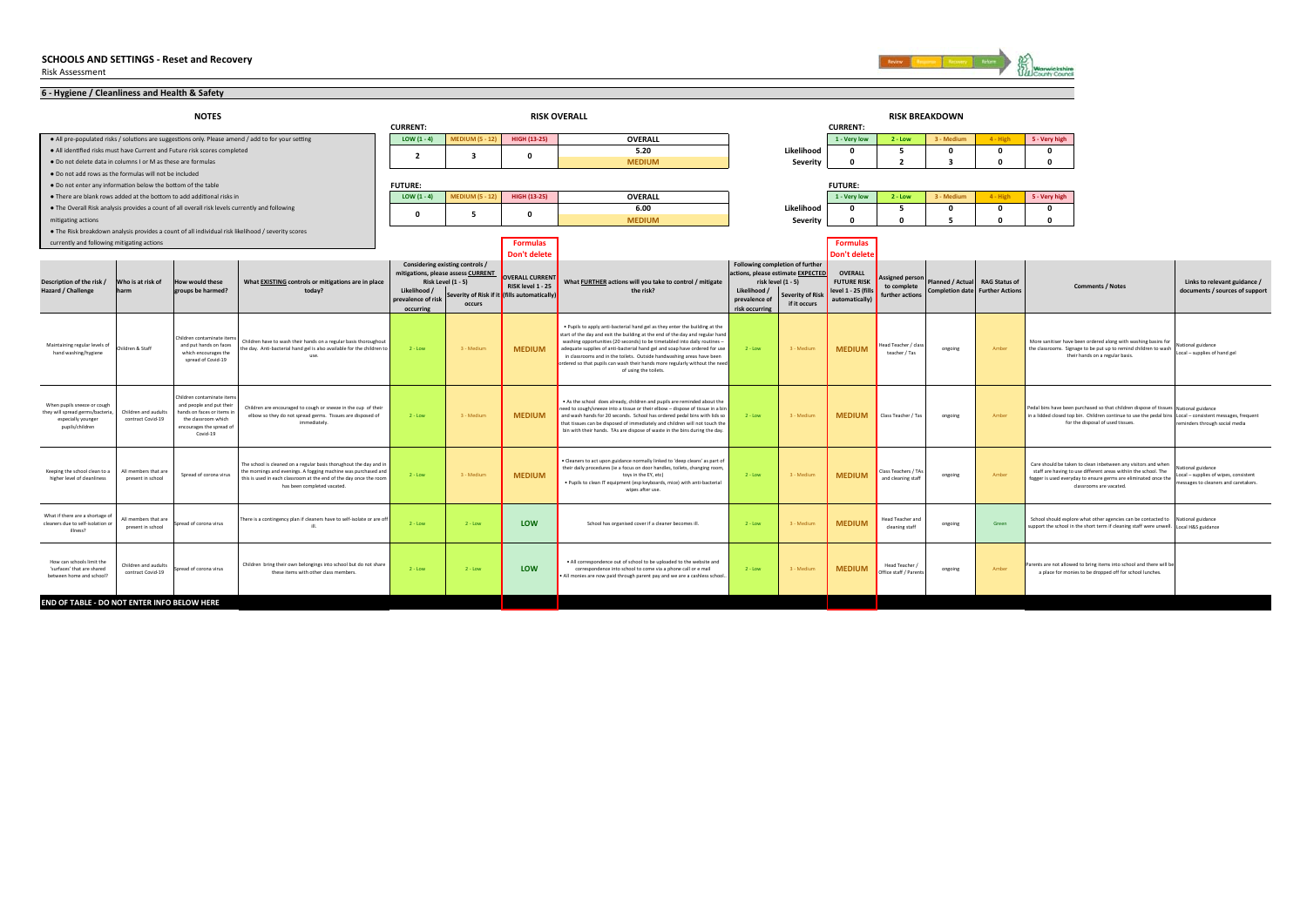

| 6 - Hygiene / Cleanliness and Health & Safety                                                           |                                           |                                                                                                                                                    |                                                                                                                                                                                                                                           |                                                 |                                                                           |                                                                                      |                                                                                                                                                                                                                                                                                                                                                                                                                                                                                                          |                                                                                     |                                                               |                                                                               |                                                          |                                                                          |            |               |                                                                                                                                                                                                                                        |                                                                                               |
|---------------------------------------------------------------------------------------------------------|-------------------------------------------|----------------------------------------------------------------------------------------------------------------------------------------------------|-------------------------------------------------------------------------------------------------------------------------------------------------------------------------------------------------------------------------------------------|-------------------------------------------------|---------------------------------------------------------------------------|--------------------------------------------------------------------------------------|----------------------------------------------------------------------------------------------------------------------------------------------------------------------------------------------------------------------------------------------------------------------------------------------------------------------------------------------------------------------------------------------------------------------------------------------------------------------------------------------------------|-------------------------------------------------------------------------------------|---------------------------------------------------------------|-------------------------------------------------------------------------------|----------------------------------------------------------|--------------------------------------------------------------------------|------------|---------------|----------------------------------------------------------------------------------------------------------------------------------------------------------------------------------------------------------------------------------------|-----------------------------------------------------------------------------------------------|
|                                                                                                         |                                           | <b>NOTES</b>                                                                                                                                       |                                                                                                                                                                                                                                           | <b>CURRENT:</b>                                 |                                                                           |                                                                                      | <b>RISK OVERALL</b>                                                                                                                                                                                                                                                                                                                                                                                                                                                                                      |                                                                                     |                                                               | <b>CURRENT:</b>                                                               |                                                          | <b>RISK BREAKDOWN</b>                                                    |            |               |                                                                                                                                                                                                                                        |                                                                                               |
|                                                                                                         |                                           |                                                                                                                                                    | . All pre-populated risks / solutions are suggestions only. Please amend / add to for your setting                                                                                                                                        | LOW $(1 - 4)$                                   | <b>MEDIUM (5 - 12)</b>                                                    | <b>HIGH (13-25)</b>                                                                  | <b>OVERALL</b>                                                                                                                                                                                                                                                                                                                                                                                                                                                                                           |                                                                                     |                                                               | 1 - Very low                                                                  | $2 - Low$                                                | 3 - Medium                                                               | $4 - High$ | 5 - Very high |                                                                                                                                                                                                                                        |                                                                                               |
|                                                                                                         |                                           | . All identified risks must have Current and Future risk scores completed                                                                          |                                                                                                                                                                                                                                           |                                                 |                                                                           |                                                                                      | 5.20                                                                                                                                                                                                                                                                                                                                                                                                                                                                                                     |                                                                                     | Likelihood                                                    | $\Omega$                                                                      | 5                                                        | $\Omega$                                                                 | $\Omega$   | 0             |                                                                                                                                                                                                                                        |                                                                                               |
| . Do not delete data in columns I or M as these are formulas                                            |                                           |                                                                                                                                                    |                                                                                                                                                                                                                                           | $\overline{2}$                                  | 3                                                                         |                                                                                      | <b>MEDIUM</b>                                                                                                                                                                                                                                                                                                                                                                                                                                                                                            |                                                                                     | Severity                                                      | $\Omega$                                                                      | $\overline{2}$                                           | $\overline{\mathbf{3}}$                                                  | $\Omega$   | $\Omega$      |                                                                                                                                                                                                                                        |                                                                                               |
| . Do not add rows as the formulas will not be included                                                  |                                           |                                                                                                                                                    |                                                                                                                                                                                                                                           |                                                 |                                                                           |                                                                                      |                                                                                                                                                                                                                                                                                                                                                                                                                                                                                                          |                                                                                     |                                                               |                                                                               |                                                          |                                                                          |            |               |                                                                                                                                                                                                                                        |                                                                                               |
| . Do not enter any information below the bottom of the table                                            |                                           |                                                                                                                                                    |                                                                                                                                                                                                                                           | <b>FUTURE:</b>                                  |                                                                           |                                                                                      |                                                                                                                                                                                                                                                                                                                                                                                                                                                                                                          |                                                                                     |                                                               | <b>FUTURE:</b>                                                                |                                                          |                                                                          |            |               |                                                                                                                                                                                                                                        |                                                                                               |
|                                                                                                         |                                           | . There are blank rows added at the bottom to add additional risks in                                                                              |                                                                                                                                                                                                                                           | $LOW(1-4)$                                      | <b>MEDIUM (5 - 12)</b>                                                    | <b>HIGH (13-25)</b>                                                                  | <b>OVERALL</b>                                                                                                                                                                                                                                                                                                                                                                                                                                                                                           |                                                                                     |                                                               | 1 - Very low                                                                  | $2 - Low$                                                | 3 - Medium                                                               | $4 - High$ | 5 - Very high |                                                                                                                                                                                                                                        |                                                                                               |
|                                                                                                         |                                           | • The Overall Risk analysis provides a count of all overall risk levels currently and following                                                    |                                                                                                                                                                                                                                           | $\Omega$                                        | 5                                                                         |                                                                                      | 6.00                                                                                                                                                                                                                                                                                                                                                                                                                                                                                                     |                                                                                     | Likelihood                                                    | $\mathbf{0}$                                                                  | 5                                                        | 0                                                                        | $\Omega$   | 0             |                                                                                                                                                                                                                                        |                                                                                               |
| mitigating actions                                                                                      |                                           |                                                                                                                                                    |                                                                                                                                                                                                                                           |                                                 |                                                                           |                                                                                      | <b>MEDIUM</b>                                                                                                                                                                                                                                                                                                                                                                                                                                                                                            |                                                                                     | Severity                                                      | $\Omega$                                                                      | $\Omega$                                                 | 5                                                                        | $\Omega$   | $\Omega$      |                                                                                                                                                                                                                                        |                                                                                               |
|                                                                                                         |                                           |                                                                                                                                                    | . The Risk breakdown analysis provides a count of all individual risk likelihood / severity scores                                                                                                                                        |                                                 |                                                                           |                                                                                      |                                                                                                                                                                                                                                                                                                                                                                                                                                                                                                          |                                                                                     |                                                               |                                                                               |                                                          |                                                                          |            |               |                                                                                                                                                                                                                                        |                                                                                               |
| currently and following mitigating actions                                                              |                                           |                                                                                                                                                    |                                                                                                                                                                                                                                           |                                                 |                                                                           | <b>Formulas</b>                                                                      |                                                                                                                                                                                                                                                                                                                                                                                                                                                                                                          |                                                                                     |                                                               | <b>Formulas</b>                                                               |                                                          |                                                                          |            |               |                                                                                                                                                                                                                                        |                                                                                               |
|                                                                                                         |                                           |                                                                                                                                                    |                                                                                                                                                                                                                                           |                                                 | Considering existing controls /                                           | Don't delete                                                                         |                                                                                                                                                                                                                                                                                                                                                                                                                                                                                                          |                                                                                     | Following completion of further                               | Don't delet                                                                   |                                                          |                                                                          |            |               |                                                                                                                                                                                                                                        |                                                                                               |
| Description of the risk /<br>Hazard / Challenge                                                         | Who is at risk of                         | <b>How would these</b><br>groups be harmed?                                                                                                        | What EXISTING controls or mitigations are in place<br>today?                                                                                                                                                                              | Likelihood /<br>prevalence of risk<br>occurring | mitigations, please assess CURRENT<br><b>Risk Level (1 - 5)</b><br>occurs | OVERALL CURRENT<br>RISK level 1 - 25<br>Severity of Risk if it (fills automatically) | What FURTHER actions will you take to control / mitigate<br>the risk?                                                                                                                                                                                                                                                                                                                                                                                                                                    | actions, please estimate EXPECTED<br>Likelihood /<br>prevalence o<br>risk occurring | risk level (1 - 5)<br><b>Severity of Risk</b><br>if it occurs | <b>OVERALL</b><br><b>FUTURE RISK</b><br>level 1 - 25 (fills<br>automatically) | <b>Assigned persor</b><br>to complete<br>further actions | Planned / Actual RAG Status of<br><b>Completion date Further Actions</b> |            |               | <b>Comments / Notes</b>                                                                                                                                                                                                                | Links to relevant guidance /<br>documents / sources of support                                |
| Maintaining regular levels of<br>hand washing/hygiene                                                   | Children & Staff                          | Children contaminate item<br>and put hands on faces<br>which encourages the<br>spread of Covid-19                                                  | Children have to wash their hands on a regular basis thoroughout<br>he day. Anti-bacterial hand gel is also available for the children to                                                                                                 | $2 - Low$                                       | 3 - Medium                                                                | <b>MEDIUM</b>                                                                        | . Pupils to apply anti-bacterial hand gel as they enter the building at the<br>start of the day and exit the building at the end of the day and regular hand<br>washing opportunities (20 seconds) to be timetabled into daily routines -<br>adequate supplies of anti-bacterial hand gel and soap have ordered for use<br>in classrooms and in the toilets. Outside handwashing areas have been<br>ordered so that pupils can wash their hands more regularly without the need<br>of using the toilets. | $2 - Low$                                                                           | 3 - Medium                                                    | <b>MEDIUM</b>                                                                 | ead Teacher / class<br>teacher / Tas                     | ongoing                                                                  | Amber      |               | More sanitiser have been ordered along with washing basins for<br>the classrooms. Signage to be put up to remind children to wash<br>their hands on a regular basis.                                                                   | ational guidance<br>Local - supplies of hand gel                                              |
| When pupils sneeze or cough<br>they will spread germs/bacteria<br>especially younger<br>pupils/children | Children and audults<br>contract Covid-19 | Children contaminate item<br>and people and put their<br>hands on faces or items in<br>the classroom which<br>encourages the spread of<br>Covid-19 | Children are encouraged to cough or sneeze in the cup of their<br>elbow so they do not spread germs. Tissues are disposed of<br>immediately.                                                                                              | $2 - Low$                                       | 3 - Medium                                                                | <b>MEDIUM</b>                                                                        | . As the school does already, children and pupils are reminded about the<br>need to cough/sneeze into a tissue or their elbow - dispose of tissue in a bin<br>and wash hands for 20 seconds. School has ordered pedal bins with lids so<br>that tissues can be disposed of immediately and children will not touch the<br>bin with their hands. TAs are dispose of waste in the bins during the day.                                                                                                     | $2 - Low$                                                                           | 3 - Medium                                                    | <b>MEDIUM</b>                                                                 | Class Teacher / Tas                                      | ongoing                                                                  | Amber      |               | Pedal bins have been purchased so that children dispose of tissues National guidance<br>in a lidded closed top bin. Children continue to use the pedal bins Local - consistent messages, frequent<br>for the disposal of used tissues. | eminders through social media                                                                 |
| Keeping the school clean to a<br>higher level of cleanliness                                            | All members that are<br>present in school | Spread of corona virus                                                                                                                             | The school is cleaned on a regular basis thorughout the day and in<br>the mornings and evenings. A fogging machine was purchased and<br>this is used in each classroom at the end of the day once the room<br>has been completed vacated. | $2 - Low$                                       | 3 - Medium                                                                | <b>MEDIUM</b>                                                                        | . Cleaners to act upon guidance normally linked to 'deep cleans' as part of<br>their daily procedures (ie a focus on door handles, toilets, changing room,<br>toys in the EY, etc)<br>. Pupils to clean IT equipment (esp keyboards, mice) with anti-bacterial<br>wipes after use.                                                                                                                                                                                                                       | $2 - Low$                                                                           | 3 - Medium                                                    | <b>MEDIUM</b>                                                                 | <b>Jass Teachers / TA</b><br>and cleaning staff          | ongoing                                                                  | Amber      |               | Care should be taken to clean inbetween any visitors and when<br>staff are having to use different areas withiin the school. The<br>fogger is used everyday to ensure germs are eliminated once the<br>classrooms are vacated.         | tional guidance<br>ocal - supplies of wipes, consistent<br>ssages to cleaners and caretakers. |
| What if there are a shortage o<br>cleaners due to self-isolation or<br>illness?                         | All members that are<br>present in school | Spread of corona virus                                                                                                                             | There is a contingency plan if cleaners have to self-isolate or are of<br>ill                                                                                                                                                             | $2 - Low$                                       | $2 - Low$                                                                 | <b>LOW</b>                                                                           | School has organised cover if a cleaner becomes ill.                                                                                                                                                                                                                                                                                                                                                                                                                                                     | $2 - Low$                                                                           | 3 - Medium                                                    | <b>MEDIUM</b>                                                                 | lead Teacher and<br>cleaning staff                       | ongoing                                                                  | Green      |               | School should explore what other agencies can be contacted to<br>support the school in the short term if cleaning staff were unwell. Local H&S guidance                                                                                | National guidance                                                                             |
| How can schools limit the<br>'surfaces' that are shared<br>between home and school?                     | Children and audults<br>contract Covid-19 | Spread of corona virus                                                                                                                             | Children bring their own belongings into school but do not share<br>these items with other class members.                                                                                                                                 | $2 - Low$                                       | $2 - Low$                                                                 | LOW                                                                                  | . All correspondence out of school to be uploaded to the website and<br>correspondence into school to come via a phone call or e mail<br>All monies are now paid through parent pay and we are a cashless school.                                                                                                                                                                                                                                                                                        | $2 - Low$                                                                           | 3 - Medium                                                    | <b>MEDIUM</b>                                                                 | Head Teacher /<br>Office staff / Parents                 | ongoing                                                                  | Amber      |               | Parents are not allowed to bring items into school and there will be<br>a place for monies to be dropped off for school lunches.                                                                                                       |                                                                                               |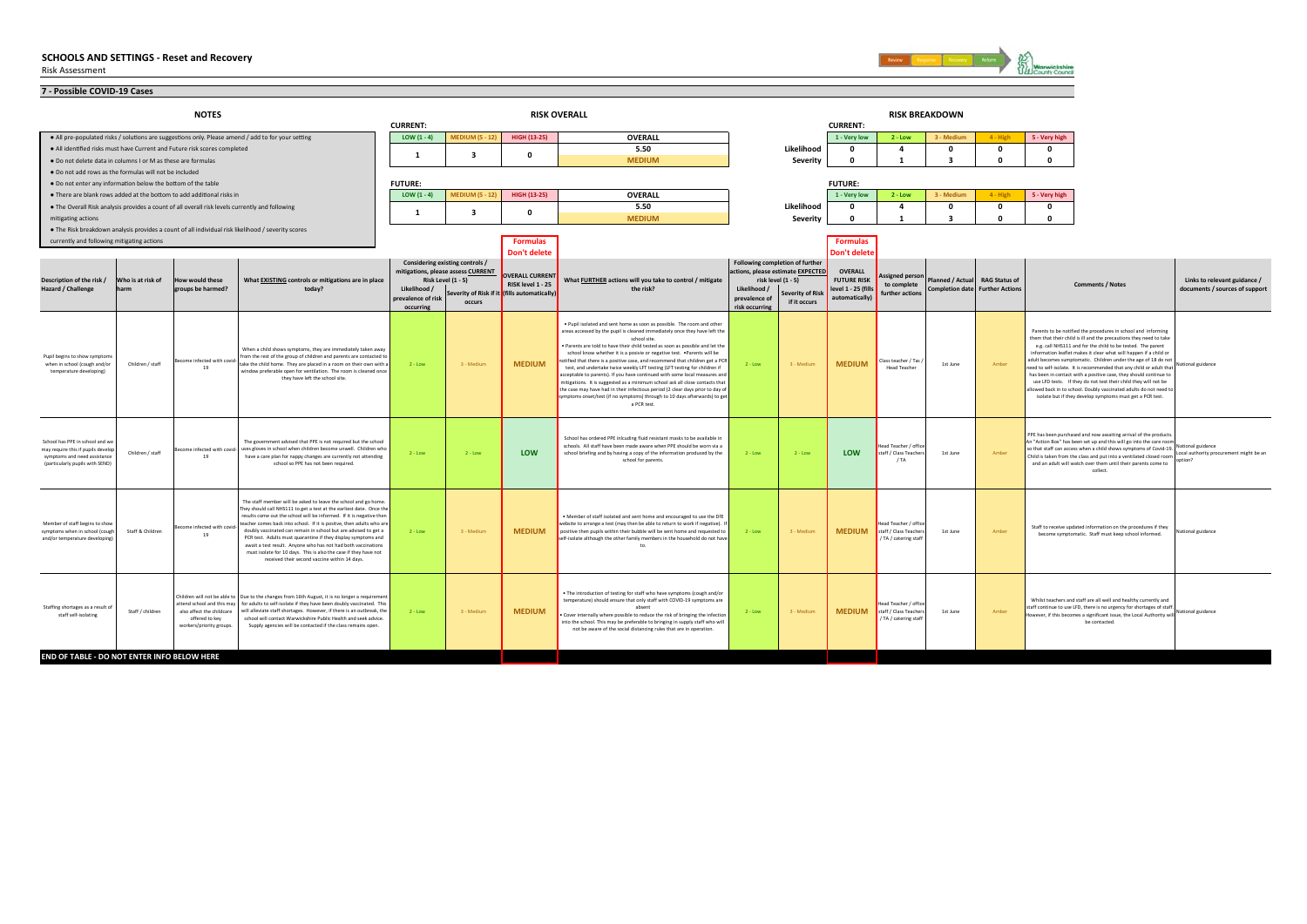

| 7 - Possible COVID-19 Cases                                                                                                           |                                             |                                                                                                                                              |                                    |                                                                       |                                              |                                                                                                                                                              |                                                                      |                                         |                                          |                                                 |                                                                   |              |               |                                                                                                                                            |                                                                |
|---------------------------------------------------------------------------------------------------------------------------------------|---------------------------------------------|----------------------------------------------------------------------------------------------------------------------------------------------|------------------------------------|-----------------------------------------------------------------------|----------------------------------------------|--------------------------------------------------------------------------------------------------------------------------------------------------------------|----------------------------------------------------------------------|-----------------------------------------|------------------------------------------|-------------------------------------------------|-------------------------------------------------------------------|--------------|---------------|--------------------------------------------------------------------------------------------------------------------------------------------|----------------------------------------------------------------|
|                                                                                                                                       | <b>NOTES</b>                                |                                                                                                                                              |                                    |                                                                       |                                              | <b>RISK OVERALL</b>                                                                                                                                          |                                                                      |                                         |                                          |                                                 | <b>RISK BREAKDOWN</b>                                             |              |               |                                                                                                                                            |                                                                |
|                                                                                                                                       |                                             |                                                                                                                                              | <b>CURRENT:</b>                    |                                                                       |                                              |                                                                                                                                                              |                                                                      |                                         | <b>CURRENT:</b>                          |                                                 |                                                                   |              |               |                                                                                                                                            |                                                                |
| • All pre-populated risks / solutions are suggestions only. Please amend / add to for your setting                                    |                                             |                                                                                                                                              | LOW $(1 - 4)$                      | <b>MEDIUM (5 - 12)</b>                                                | <b>HIGH (13-25)</b>                          | <b>OVERALL</b>                                                                                                                                               |                                                                      |                                         | 1 - Very low                             | $2 - Low$                                       | 3 - Mediun                                                        | $4 - High$   | 5 - Very high |                                                                                                                                            |                                                                |
| . All identified risks must have Current and Future risk scores completed                                                             |                                             |                                                                                                                                              | -1                                 | 3                                                                     | $\Omega$                                     | 5.50                                                                                                                                                         |                                                                      | Likelihood                              | $\Omega$                                 | $\overline{a}$                                  | $\Omega$                                                          | $\Omega$     | $\Omega$      |                                                                                                                                            |                                                                |
| . Do not delete data in columns I or M as these are formulas                                                                          |                                             |                                                                                                                                              |                                    |                                                                       |                                              | <b>MEDIUM</b>                                                                                                                                                |                                                                      | <b>Severity</b>                         | $\mathbf{0}$                             | $\mathbf{1}$                                    | $\overline{\mathbf{3}}$                                           | $\mathbf{0}$ | $\mathbf{0}$  |                                                                                                                                            |                                                                |
| . Do not add rows as the formulas will not be included                                                                                |                                             |                                                                                                                                              |                                    |                                                                       |                                              |                                                                                                                                                              |                                                                      |                                         |                                          |                                                 |                                                                   |              |               |                                                                                                                                            |                                                                |
| . Do not enter any information below the bottom of the table<br>. There are blank rows added at the bottom to add additional risks in |                                             |                                                                                                                                              | <b>FUTURE:</b><br>$LOW(1-4)$       | <b>MEDIUM (5 - 12)</b>                                                | <b>HIGH (13-25)</b>                          | <b>OVERALL</b>                                                                                                                                               |                                                                      |                                         | <b>FUTURE:</b><br>1 - Very low           | $2 - Low$                                       | 3 - Mediur                                                        | 4 - High     | 5 - Very high |                                                                                                                                            |                                                                |
| . The Overall Risk analysis provides a count of all overall risk levels currently and following                                       |                                             |                                                                                                                                              |                                    |                                                                       |                                              | 5.50                                                                                                                                                         |                                                                      | Likelihood                              | $\Omega$                                 | $\overline{a}$                                  | $\Omega$                                                          | $\Omega$     | $\Omega$      |                                                                                                                                            |                                                                |
| mitigating actions                                                                                                                    |                                             |                                                                                                                                              | $\mathbf{1}$                       | 3                                                                     | $\mathbf{0}$                                 | <b>MEDIUM</b>                                                                                                                                                |                                                                      | Severity                                | $\Omega$                                 | $\mathbf{1}$                                    | ર                                                                 | $\Omega$     | $\Omega$      |                                                                                                                                            |                                                                |
| . The Risk breakdown analysis provides a count of all individual risk likelihood / severity scores                                    |                                             |                                                                                                                                              |                                    |                                                                       |                                              |                                                                                                                                                              |                                                                      |                                         |                                          |                                                 |                                                                   |              |               |                                                                                                                                            |                                                                |
| currently and following mitigating actions                                                                                            |                                             |                                                                                                                                              |                                    |                                                                       | <b>Formulas</b>                              |                                                                                                                                                              |                                                                      |                                         | <b>Formulas</b>                          |                                                 |                                                                   |              |               |                                                                                                                                            |                                                                |
|                                                                                                                                       |                                             |                                                                                                                                              |                                    |                                                                       | Don't delete                                 |                                                                                                                                                              |                                                                      |                                         | Don't delet                              |                                                 |                                                                   |              |               |                                                                                                                                            |                                                                |
|                                                                                                                                       |                                             |                                                                                                                                              |                                    | Considering existing controls /<br>mitigations, please assess CURRENT | <b>OVERALL CURRENT</b>                       |                                                                                                                                                              | Following completion of further<br>actions, please estimate EXPECTED |                                         | <b>OVERALL</b>                           |                                                 |                                                                   |              |               |                                                                                                                                            |                                                                |
| Description of the risk /<br>Who is at risk of<br>Hazard / Challenge<br>harm                                                          | How would these<br>groups be harmed?        | What EXISTING controls or mitigations are in place<br>today?                                                                                 |                                    | <b>Risk Level (1 - 5)</b>                                             | RISK level 1 - 25                            | What FURTHER actions will you take to control / mitigate<br>the risk?                                                                                        |                                                                      | risk level (1 - 5)                      | <b>FUTURE RISK</b><br>level 1 - 25 (fill | <b>Assigned person</b><br>to complete           | Planned / Actual RAG Status of<br>Completion date Further Actions |              |               | <b>Comments / Notes</b>                                                                                                                    | Links to relevant guidance /<br>documents / sources of support |
|                                                                                                                                       |                                             |                                                                                                                                              | Likelihood /<br>prevalence of risk | occurs                                                                | Severity of Risk if it (fills automatically) |                                                                                                                                                              | Likelihood /<br>prevalence of                                        | <b>Severity of Risk</b><br>if it occurs | automatically)                           | further actions                                 |                                                                   |              |               |                                                                                                                                            |                                                                |
|                                                                                                                                       |                                             |                                                                                                                                              | occurring                          |                                                                       |                                              |                                                                                                                                                              | risk occurring                                                       |                                         |                                          |                                                 |                                                                   |              |               |                                                                                                                                            |                                                                |
|                                                                                                                                       |                                             |                                                                                                                                              |                                    |                                                                       |                                              | . Pupil isolated and sent home as soon as possible. The room and other                                                                                       |                                                                      |                                         |                                          |                                                 |                                                                   |              |               |                                                                                                                                            |                                                                |
|                                                                                                                                       |                                             |                                                                                                                                              |                                    |                                                                       |                                              | areas accessed by the pupil is cleaned immediately once they have left the<br>school site.                                                                   |                                                                      |                                         |                                          |                                                 |                                                                   |              |               | Parents to be notified the procedures in school and informing<br>them that their child is ill and the precautions they need to take        |                                                                |
|                                                                                                                                       |                                             | When a child shows symptoms, they are immediately taken away                                                                                 |                                    |                                                                       |                                              | Parents are told to have their child tested as soon as possible and let the<br>school know whether it is a posivie or negative test. . Parents will be       |                                                                      |                                         |                                          |                                                 |                                                                   |              |               | e.g. call NHS111 and for the child to be tested. The parent<br>information leaflet makes it clear what will happen if a child or           |                                                                |
| Pupil begins to show symptom<br>when in school (cough and/or<br>Children / staff                                                      | Become infected with covid-<br>19           | from the rest of the group of children and parents are contacted to<br>take the child home. They are placed in a room on their own with a    | $2 - Low$                          | 3 - Medium                                                            | <b>MEDIUM</b>                                | notified that there is a positive case, and recommend that children get a PCR<br>test, and undertake twice weekly LFT testing (LFT testing for children if   | $2 - Low$                                                            | 3 - Medium                              | <b>MEDIUM</b>                            | Class teacher / Tas /<br><b>Head Teacher</b>    | 1st June                                                          | Amber        |               | adult becomes sumptomatic. Children under the age of 18 do not<br>need to self-isolate. It is recommended that any child or adult that     |                                                                |
| temperature developing)                                                                                                               |                                             | window preferable open for ventilation. The room is cleaned once<br>they have left the school site                                           |                                    |                                                                       |                                              | acceptable to parents). If you have continued with some local measures and<br>nitigations. It is suggested as a minimum school ask all close contacts that   |                                                                      |                                         |                                          |                                                 |                                                                   |              |               | has been in contact with a positive case, they should continue to<br>use LFD tests. If they do not test their child they will not be       |                                                                |
|                                                                                                                                       |                                             |                                                                                                                                              |                                    |                                                                       |                                              | the case may have had in their infectious period (2 clear days prior to day of                                                                               |                                                                      |                                         |                                          |                                                 |                                                                   |              |               | allowed back in to school. Doubly vaccinated adults do not need to                                                                         |                                                                |
|                                                                                                                                       |                                             |                                                                                                                                              |                                    |                                                                       |                                              | ymptoms onset/test (if no symptoms) through to 10 days afterwards) to get<br>a PCR test.                                                                     |                                                                      |                                         |                                          |                                                 |                                                                   |              |               | isolate but if they develop symptoms must get a PCR test.                                                                                  |                                                                |
|                                                                                                                                       |                                             |                                                                                                                                              |                                    |                                                                       |                                              |                                                                                                                                                              |                                                                      |                                         |                                          |                                                 |                                                                   |              |               |                                                                                                                                            |                                                                |
|                                                                                                                                       |                                             |                                                                                                                                              |                                    |                                                                       |                                              |                                                                                                                                                              |                                                                      |                                         |                                          |                                                 |                                                                   |              |               | PPE has been purchased and now awaiting arrival of the products.                                                                           |                                                                |
| School has PPE in school and we<br>may require this if pupils develop                                                                 | Become infected with covid                  | The government advised that PPE is not required but the school<br>uses gloves in school when children become unwell. Children who            |                                    |                                                                       |                                              | School has ordered PPE inlcuding fluid resistant masks to be available in<br>schools. All staff have been made aware when PPE should be worn via a           |                                                                      |                                         |                                          | Head Teacher / office                           |                                                                   |              |               | An "Action Box" has been set up and this will go into the care room<br>so that staff can access when a child shows symptoms of Covid-19.   | National guidance                                              |
| Children / staff<br>symptoms and need assistance<br>(particularly pupils with SEND)                                                   | 19                                          | have a care plan for nappy changes are currently not attending<br>school so PPE has not been required.                                       | $2 - Low$                          | $2 - Low$                                                             | LOW                                          | school briefing and by having a copy of the information produced by the<br>school for parents.                                                               | $2 - Low$                                                            | $2 - Low$                               | <b>LOW</b>                               | staff / Class Teachers<br>$1T_A$                | 1st June                                                          | Amber        |               | Child is taken from the class and put into a ventilated closed room<br>and an adult will watch over them until their parents come to       | Local authority procurement might be an<br>ntion?              |
|                                                                                                                                       |                                             |                                                                                                                                              |                                    |                                                                       |                                              |                                                                                                                                                              |                                                                      |                                         |                                          |                                                 |                                                                   |              |               | collect                                                                                                                                    |                                                                |
|                                                                                                                                       |                                             |                                                                                                                                              |                                    |                                                                       |                                              |                                                                                                                                                              |                                                                      |                                         |                                          |                                                 |                                                                   |              |               |                                                                                                                                            |                                                                |
|                                                                                                                                       |                                             | The staff member will be asked to leave the school and go home                                                                               |                                    |                                                                       |                                              |                                                                                                                                                              |                                                                      |                                         |                                          |                                                 |                                                                   |              |               |                                                                                                                                            |                                                                |
|                                                                                                                                       |                                             | They should call NHS111 to get a test at the earliest date. Once the<br>results come out the school will be informed. If it is negative then |                                    |                                                                       |                                              |                                                                                                                                                              |                                                                      |                                         |                                          |                                                 |                                                                   |              |               |                                                                                                                                            |                                                                |
| Member of staff begins to show                                                                                                        | Become infected with covid                  | teacher comes back into school. If it is positve, then adults who are                                                                        |                                    |                                                                       |                                              | . Member of staff isolated and sent home and encouraged to use the DfE<br>website to arrange a test (may then be able to return to work if negative). I      |                                                                      |                                         |                                          | Head Teacher / office                           |                                                                   |              |               | Staff to receive updated information on the procedures if they                                                                             |                                                                |
| symptoms when in school (cough<br>Staff & Children<br>and/or temperature developing                                                   | 19                                          | doubly vaccinated can remain in school but are advised to get a<br>PCR test. Adults must quarantine if they display symptoms and             | $2 - Low$                          | 3 - Medium                                                            | <b>MEDIUM</b>                                | positive then pupils within their bubble will be sent home and requested to<br>self-isolate although the other family members in the household do not have   | $2 - Low$                                                            | 3 - Medium                              | <b>MEDIUM</b>                            | staff / Class Teachers<br>/ TA / catering staff | 1st June                                                          | Amber        |               | become symptomatic. Staff must keep school informed.                                                                                       | National guidance                                              |
|                                                                                                                                       |                                             | await a test result. Anyone who has not had both vaccinations<br>must isolate for 10 days. This is also the case if they have not            |                                    |                                                                       |                                              | to.                                                                                                                                                          |                                                                      |                                         |                                          |                                                 |                                                                   |              |               |                                                                                                                                            |                                                                |
|                                                                                                                                       |                                             | received their second vaccine within 14 days.                                                                                                |                                    |                                                                       |                                              |                                                                                                                                                              |                                                                      |                                         |                                          |                                                 |                                                                   |              |               |                                                                                                                                            |                                                                |
|                                                                                                                                       |                                             |                                                                                                                                              |                                    |                                                                       |                                              |                                                                                                                                                              |                                                                      |                                         |                                          |                                                 |                                                                   |              |               |                                                                                                                                            |                                                                |
|                                                                                                                                       |                                             | Children will not be able to Due to the changes from 16th August, it is no longer a requirement                                              |                                    |                                                                       |                                              | . The introduction of testing for staff who have symptoms (cough and/or                                                                                      |                                                                      |                                         |                                          |                                                 |                                                                   |              |               |                                                                                                                                            |                                                                |
| Staffing shortages as a result of                                                                                                     | attend school and this may                  | for adults to self-isolate if they have been doubly vaccinated. This                                                                         |                                    |                                                                       |                                              | temperature) should ensure that only staff with COVID-19 symptoms are<br>absent                                                                              |                                                                      |                                         |                                          | Head Teacher / office                           |                                                                   |              |               | Whilst teachers and staff are all well and healthy currently and<br>staff continue to use LFD, there is no urgency for shortages of staff. |                                                                |
| Staff / children<br>staff self-isolating                                                                                              | also affect the childcare<br>offered to key | will alleviate staff shortages. However, if there is an outbreak, the<br>school will contact Warwickshire Public Health and seek advice.     | $2 - Low$                          | 3 - Medium                                                            | <b>MEDIUM</b>                                | Cover internally where possible to reduce the risk of bringing the infection<br>into the school. This may be preferable to bringing in supply staff who will | $2 - Low$                                                            | 3 - Medium                              | <b>MEDIUM</b>                            | staff / Class Teachers<br>/ TA / catering staff | 1st June                                                          | Amber        |               | However, if this becomes a significant issue, the Local Authority will National guidance<br>be contacted.                                  |                                                                |
|                                                                                                                                       | workers/priority groups.                    | Supply agencies will be contacted if the class remains open.                                                                                 |                                    |                                                                       |                                              | not be aware of the social distancing rules that are in operation.                                                                                           |                                                                      |                                         |                                          |                                                 |                                                                   |              |               |                                                                                                                                            |                                                                |
|                                                                                                                                       |                                             |                                                                                                                                              |                                    |                                                                       |                                              |                                                                                                                                                              |                                                                      |                                         |                                          |                                                 |                                                                   |              |               |                                                                                                                                            |                                                                |
| END OF TABLE - DO NOT ENTER INFO BELOW HERE                                                                                           |                                             |                                                                                                                                              |                                    |                                                                       |                                              |                                                                                                                                                              |                                                                      |                                         |                                          |                                                 |                                                                   |              |               |                                                                                                                                            |                                                                |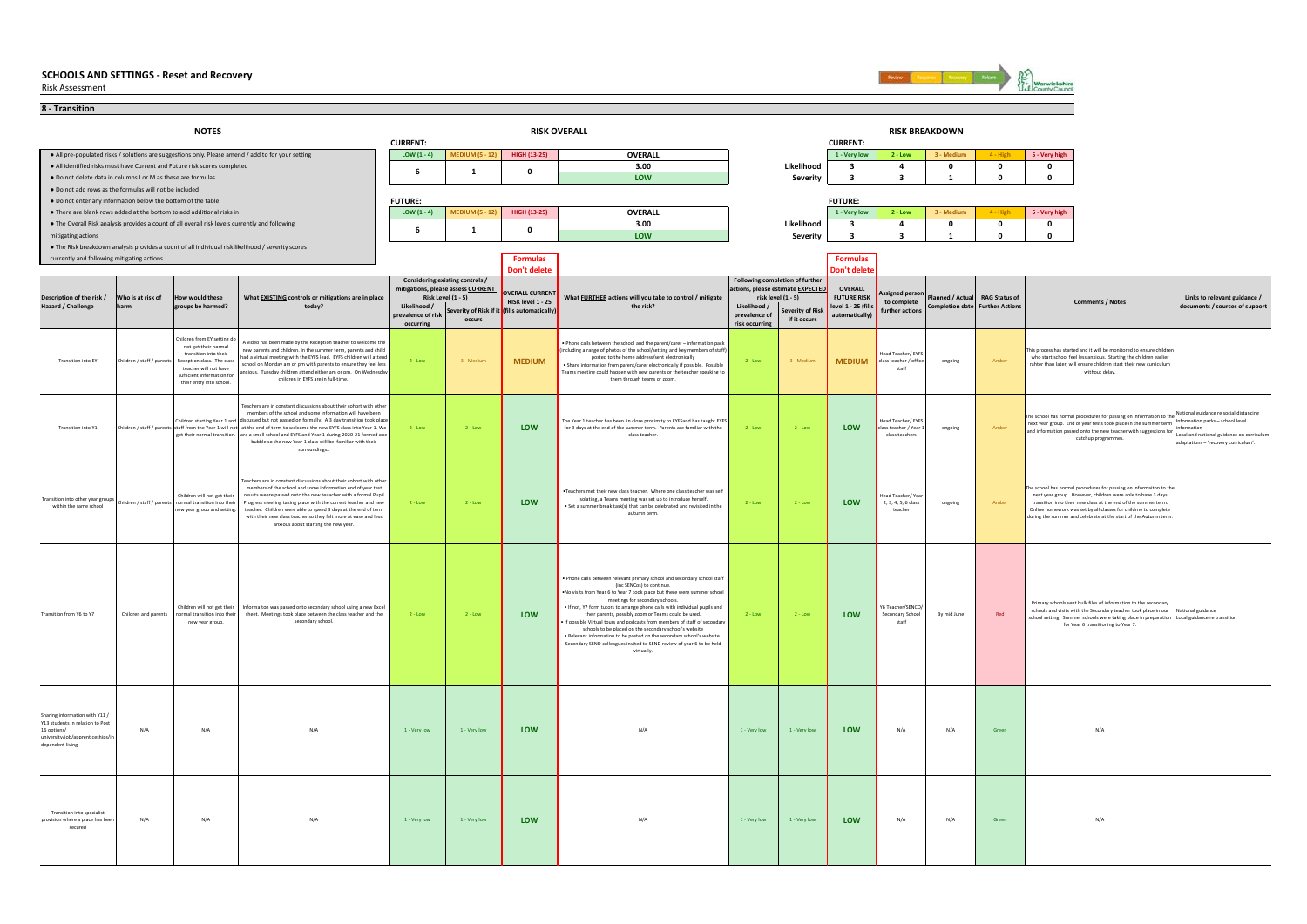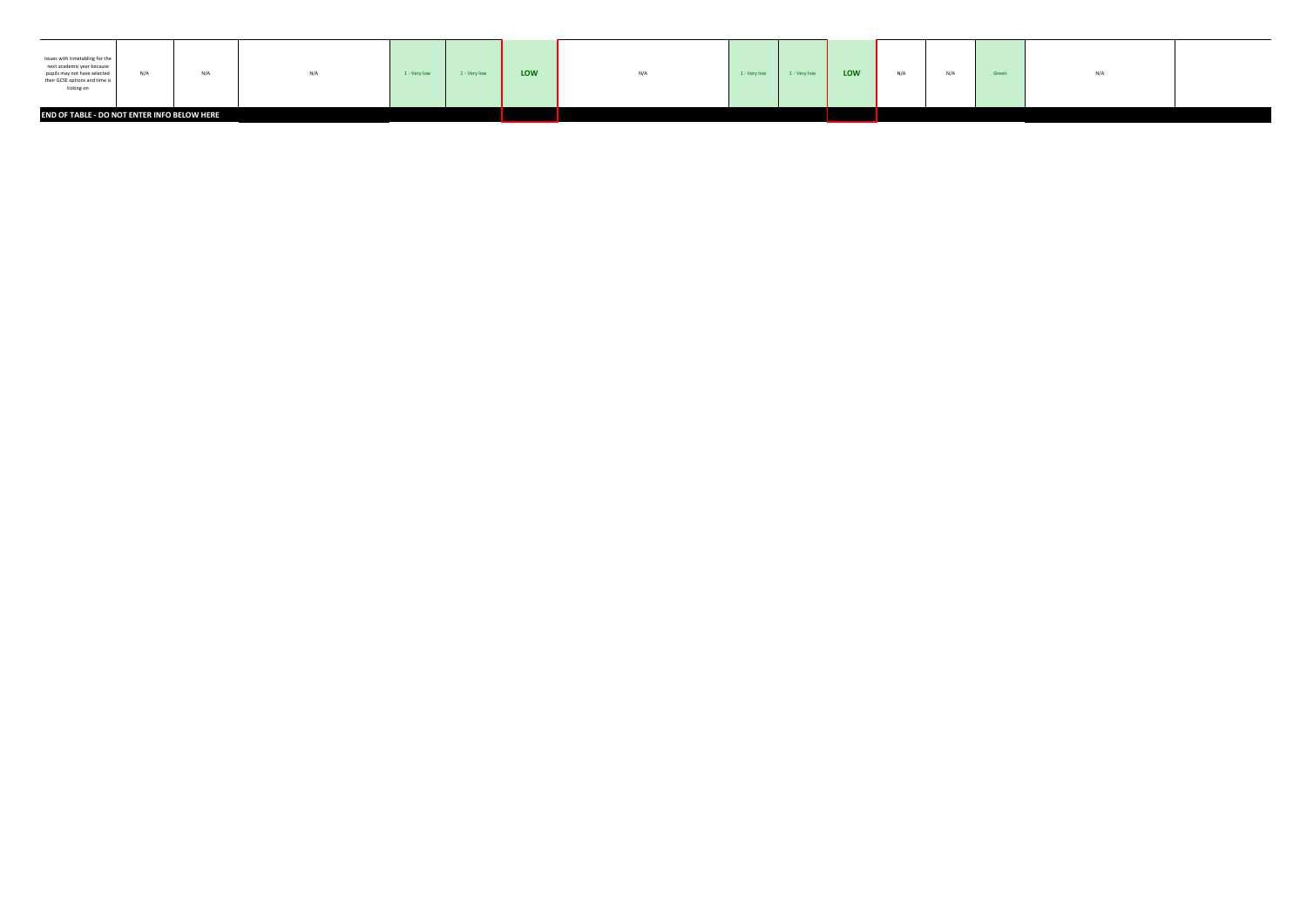| Issues with timetabling for the<br>next academic year because<br>pupils may not have selected<br>their GCSE options and time is<br>ticking on | N/A                                         | N/A | N/A | 1 - Very low | 1 - Very low | LOW | N/A | 1 - Very low | 1 - Very low | LOW | N/A | N/A | Green | N/A |  |
|-----------------------------------------------------------------------------------------------------------------------------------------------|---------------------------------------------|-----|-----|--------------|--------------|-----|-----|--------------|--------------|-----|-----|-----|-------|-----|--|
|                                                                                                                                               | END OF TABLE - DO NOT ENTER INFO BELOW HERE |     |     |              |              |     |     |              |              |     |     |     |       |     |  |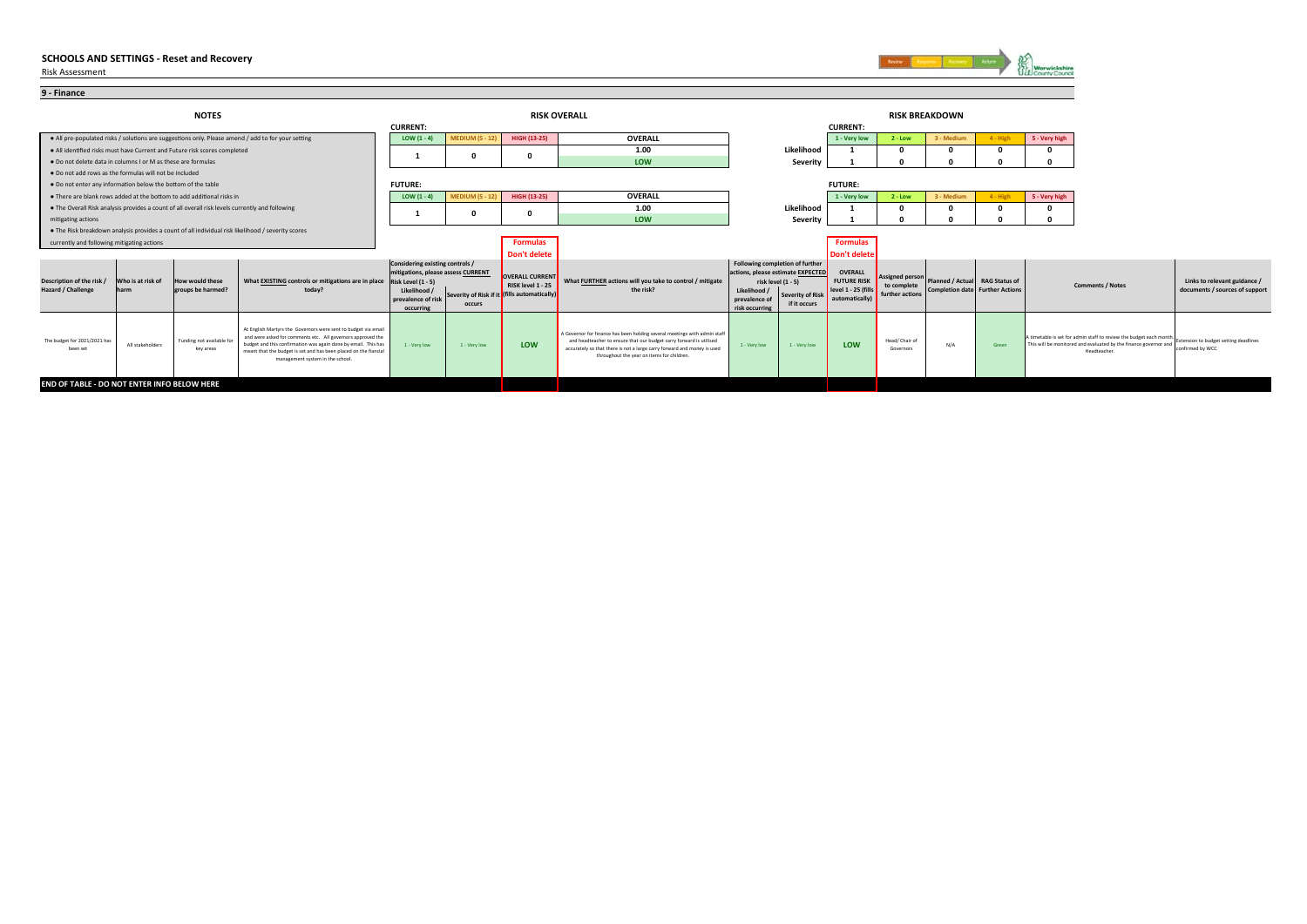Risk Assessment

**9 - Finance**



|                                                              |                                                                                                    | <b>NOTES</b>                                                                                    |                                                                                                                                                                                                                                                                                                         | <b>CURRENT:</b>                                                                                                                                |                        |                                                                                      | <b>RISK OVERALL</b>                                                                                                                                                                                                                                                       |                                                                                   |                                                                                           | <b>CURRENT:</b>                                                          |                                                          | <b>RISK BREAKDOWN</b>                                             |          |                                                                                                                                                        |                                                                |
|--------------------------------------------------------------|----------------------------------------------------------------------------------------------------|-------------------------------------------------------------------------------------------------|---------------------------------------------------------------------------------------------------------------------------------------------------------------------------------------------------------------------------------------------------------------------------------------------------------|------------------------------------------------------------------------------------------------------------------------------------------------|------------------------|--------------------------------------------------------------------------------------|---------------------------------------------------------------------------------------------------------------------------------------------------------------------------------------------------------------------------------------------------------------------------|-----------------------------------------------------------------------------------|-------------------------------------------------------------------------------------------|--------------------------------------------------------------------------|----------------------------------------------------------|-------------------------------------------------------------------|----------|--------------------------------------------------------------------------------------------------------------------------------------------------------|----------------------------------------------------------------|
|                                                              |                                                                                                    |                                                                                                 | . All pre-populated risks / solutions are suggestions only. Please amend / add to for your setting                                                                                                                                                                                                      | LOW $(1 - 4)$                                                                                                                                  | <b>MEDIUM (5 - 12)</b> | HIGH (13-25)                                                                         | OVERALL                                                                                                                                                                                                                                                                   |                                                                                   |                                                                                           | 1 - Very low                                                             | $2 - Low$                                                | 3 - Medium                                                        | 4 - High | 5 - Very high                                                                                                                                          |                                                                |
|                                                              |                                                                                                    | . All identified risks must have Current and Future risk scores completed                       |                                                                                                                                                                                                                                                                                                         |                                                                                                                                                |                        |                                                                                      | 1.00                                                                                                                                                                                                                                                                      |                                                                                   | Likelihood                                                                                |                                                                          |                                                          |                                                                   |          |                                                                                                                                                        |                                                                |
| . Do not delete data in columns I or M as these are formulas |                                                                                                    |                                                                                                 |                                                                                                                                                                                                                                                                                                         |                                                                                                                                                |                        |                                                                                      | LOW                                                                                                                                                                                                                                                                       |                                                                                   | Severity                                                                                  |                                                                          |                                                          |                                                                   |          |                                                                                                                                                        |                                                                |
| . Do not add rows as the formulas will not be included       |                                                                                                    |                                                                                                 |                                                                                                                                                                                                                                                                                                         |                                                                                                                                                |                        |                                                                                      |                                                                                                                                                                                                                                                                           |                                                                                   |                                                                                           |                                                                          |                                                          |                                                                   |          |                                                                                                                                                        |                                                                |
| . Do not enter any information below the bottom of the table |                                                                                                    |                                                                                                 |                                                                                                                                                                                                                                                                                                         | <b>FUTURE:</b>                                                                                                                                 |                        |                                                                                      |                                                                                                                                                                                                                                                                           |                                                                                   |                                                                                           | <b>FUTURE:</b>                                                           |                                                          |                                                                   |          |                                                                                                                                                        |                                                                |
|                                                              |                                                                                                    | . There are blank rows added at the bottom to add additional risks in                           |                                                                                                                                                                                                                                                                                                         | LOW $(1 - 4)$                                                                                                                                  | <b>MEDIUM (5 - 12)</b> | HIGH (13-25)                                                                         | OVERALL                                                                                                                                                                                                                                                                   |                                                                                   |                                                                                           | 1 - Very low                                                             | $2 - Low$                                                | 3 - Medium                                                        | 4 - High | 5 - Very high                                                                                                                                          |                                                                |
|                                                              |                                                                                                    | . The Overall Risk analysis provides a count of all overall risk levels currently and following |                                                                                                                                                                                                                                                                                                         |                                                                                                                                                |                        |                                                                                      | 1.00                                                                                                                                                                                                                                                                      |                                                                                   | Likelihood                                                                                |                                                                          |                                                          |                                                                   |          |                                                                                                                                                        |                                                                |
| mitigating actions                                           | . The Risk breakdown analysis provides a count of all individual risk likelihood / severity scores |                                                                                                 |                                                                                                                                                                                                                                                                                                         |                                                                                                                                                |                        |                                                                                      | LOW                                                                                                                                                                                                                                                                       |                                                                                   | Severity                                                                                  |                                                                          |                                                          |                                                                   |          |                                                                                                                                                        |                                                                |
|                                                              |                                                                                                    |                                                                                                 |                                                                                                                                                                                                                                                                                                         |                                                                                                                                                |                        |                                                                                      |                                                                                                                                                                                                                                                                           |                                                                                   |                                                                                           |                                                                          |                                                          |                                                                   |          |                                                                                                                                                        |                                                                |
| currently and following mitigating actions                   |                                                                                                    |                                                                                                 |                                                                                                                                                                                                                                                                                                         |                                                                                                                                                |                        | <b>Formulas</b>                                                                      |                                                                                                                                                                                                                                                                           |                                                                                   |                                                                                           | <b>Formulas</b>                                                          |                                                          |                                                                   |          |                                                                                                                                                        |                                                                |
|                                                              |                                                                                                    |                                                                                                 |                                                                                                                                                                                                                                                                                                         |                                                                                                                                                |                        | <b>Don't delete</b>                                                                  |                                                                                                                                                                                                                                                                           |                                                                                   |                                                                                           | Don't delete                                                             |                                                          |                                                                   |          |                                                                                                                                                        |                                                                |
| Description of the risk /<br>Hazard / Challenge              | Who is at risk of<br>harm                                                                          | How would these<br>groups be harmed?                                                            | What EXISTING controls or mitigations are in place<br>today?                                                                                                                                                                                                                                            | Considering existing controls /<br>mitigations, please assess CURRENT<br>Risk Level (1 - 5)<br>Likelihood /<br>prevalence of risl<br>occurring | occurs                 | OVERALL CURRENT<br>RISK level 1 - 25<br>Severity of Risk if it (fills automatically) | What <b>FURTHER</b> actions will you take to control / mitigate<br>the risk?                                                                                                                                                                                              | actions, please estimate EXPECTED<br>Likelihood /<br>prevalence<br>risk occurring | Following completion of further<br>risk level (1 - 5)<br>Severity of Risk<br>if it occurs | OVERALL<br><b>FUTURE RISK</b><br>level $1 - 25$ (fills<br>automatically) | <b>Assigned person</b><br>to complete<br>further actions | Planned / Actual RAG Status of<br>Completion date Further Actions |          | <b>Comments / Notes</b>                                                                                                                                | Links to relevant guidance /<br>documents / sources of support |
| The budget for 2021/2021 has<br>been set                     | All stakeholders                                                                                   | Funding not available for<br>key areas                                                          | At English Martyrs the Governors were sent to budget via email<br>and were asked for comments etc. All governors approved the<br>budget and this confirmation was again done by email. This has<br>meant that the budget is set and has been placed on the fiancial<br>management system in the school. | 1 - Very low                                                                                                                                   | 1 - Very low           | LOW                                                                                  | A Governor for finance has been holding several meetings with admin staff<br>and headteacher to ensure that our budget carry forward is utilised<br>accurately so that there is not a large carry forward and money is used<br>throughout the year on items for children. | 1 - Very low                                                                      | 1 - Very low                                                                              | LOW                                                                      | Head/ Chair of<br>Governors                              | N/A                                                               | Green    | A timetable is set for admin staff to review the budget each month<br>This will be monitored and evaluated by the finance governor and<br>Headteacher. | Extension to budget setting deadlines<br>confirmed by WCC      |
| END OF TABLE - DO NOT ENTER INFO BELOW HERE                  |                                                                                                    |                                                                                                 |                                                                                                                                                                                                                                                                                                         |                                                                                                                                                |                        |                                                                                      |                                                                                                                                                                                                                                                                           |                                                                                   |                                                                                           |                                                                          |                                                          |                                                                   |          |                                                                                                                                                        |                                                                |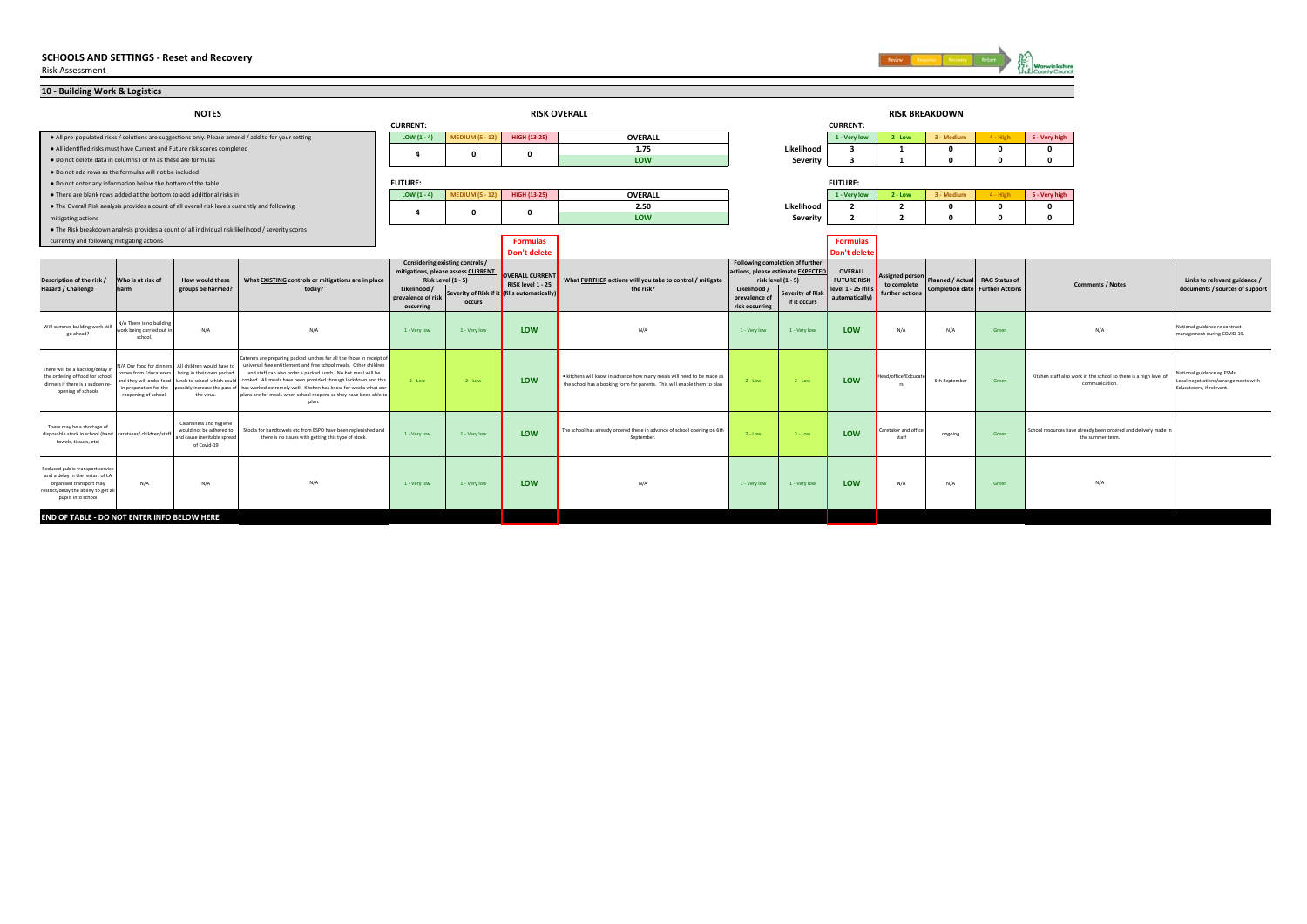

| 10 - Building Work & Logistics                                                                                                                                 |                                                                                                     |                                                                                                                                                               |                                                                                                                                                                                                                                                                                                                                                                                                                            |                                                 |                                                                                                       |                                                                                                                                                                      |                                                                                                                                                    |                                                 |                                                                                                                                      |                                                                               |                                                          |                                |                                        |                                                                                     |                                                                                                |
|----------------------------------------------------------------------------------------------------------------------------------------------------------------|-----------------------------------------------------------------------------------------------------|---------------------------------------------------------------------------------------------------------------------------------------------------------------|----------------------------------------------------------------------------------------------------------------------------------------------------------------------------------------------------------------------------------------------------------------------------------------------------------------------------------------------------------------------------------------------------------------------------|-------------------------------------------------|-------------------------------------------------------------------------------------------------------|----------------------------------------------------------------------------------------------------------------------------------------------------------------------|----------------------------------------------------------------------------------------------------------------------------------------------------|-------------------------------------------------|--------------------------------------------------------------------------------------------------------------------------------------|-------------------------------------------------------------------------------|----------------------------------------------------------|--------------------------------|----------------------------------------|-------------------------------------------------------------------------------------|------------------------------------------------------------------------------------------------|
|                                                                                                                                                                |                                                                                                     | <b>NOTES</b>                                                                                                                                                  |                                                                                                                                                                                                                                                                                                                                                                                                                            |                                                 |                                                                                                       | <b>RISK OVERALL</b>                                                                                                                                                  |                                                                                                                                                    |                                                 |                                                                                                                                      |                                                                               |                                                          | <b>RISK BREAKDOWN</b>          |                                        |                                                                                     |                                                                                                |
|                                                                                                                                                                |                                                                                                     |                                                                                                                                                               |                                                                                                                                                                                                                                                                                                                                                                                                                            | <b>CURRENT:</b>                                 |                                                                                                       |                                                                                                                                                                      |                                                                                                                                                    |                                                 |                                                                                                                                      | <b>CURRENT:</b>                                                               |                                                          |                                |                                        |                                                                                     |                                                                                                |
|                                                                                                                                                                |                                                                                                     |                                                                                                                                                               | . All pre-populated risks / solutions are suggestions only. Please amend / add to for your setting                                                                                                                                                                                                                                                                                                                         | LOW $(1 - 4)$                                   | <b>MEDIUM (5 - 12)</b>                                                                                | HIGH (13-25)                                                                                                                                                         | <b>OVERALL</b>                                                                                                                                     |                                                 |                                                                                                                                      | 1 - Very low                                                                  | $2 - Low$                                                | 3 - Medium                     | $4 - High$                             | 5 - Very high                                                                       |                                                                                                |
|                                                                                                                                                                |                                                                                                     | . All identified risks must have Current and Future risk scores completed                                                                                     |                                                                                                                                                                                                                                                                                                                                                                                                                            | $\mathbf{a}$                                    | $\mathbf 0$                                                                                           | $\Omega$                                                                                                                                                             | 1.75                                                                                                                                               |                                                 | Likelihood                                                                                                                           | $\overline{\mathbf{3}}$                                                       | 1                                                        | $\mathbf{0}$                   | $\mathbf{0}$                           | $\Omega$                                                                            |                                                                                                |
| . Do not delete data in columns I or M as these are formulas                                                                                                   |                                                                                                     |                                                                                                                                                               |                                                                                                                                                                                                                                                                                                                                                                                                                            |                                                 |                                                                                                       |                                                                                                                                                                      | LOW                                                                                                                                                |                                                 | Severity                                                                                                                             | ર                                                                             | $\mathbf{1}$                                             | $\mathbf{r}$                   | $\Omega$                               | $\Omega$                                                                            |                                                                                                |
| . Do not add rows as the formulas will not be included                                                                                                         |                                                                                                     |                                                                                                                                                               |                                                                                                                                                                                                                                                                                                                                                                                                                            |                                                 |                                                                                                       |                                                                                                                                                                      |                                                                                                                                                    |                                                 |                                                                                                                                      |                                                                               |                                                          |                                |                                        |                                                                                     |                                                                                                |
| . Do not enter any information below the bottom of the table                                                                                                   |                                                                                                     |                                                                                                                                                               |                                                                                                                                                                                                                                                                                                                                                                                                                            | <b>FUTURE:</b>                                  |                                                                                                       |                                                                                                                                                                      |                                                                                                                                                    |                                                 |                                                                                                                                      | <b>FUTURE:</b>                                                                |                                                          |                                |                                        |                                                                                     |                                                                                                |
|                                                                                                                                                                |                                                                                                     | . There are blank rows added at the bottom to add additional risks in                                                                                         |                                                                                                                                                                                                                                                                                                                                                                                                                            | LOW $(1 - 4)$                                   | <b>MEDIUM (5 - 12)</b>                                                                                | HIGH (13-25)                                                                                                                                                         | OVERALL                                                                                                                                            |                                                 |                                                                                                                                      | 1 - Very low                                                                  | $2 - Low$                                                | 3 - Medium                     | $4 - High$                             | 5 - Very high                                                                       |                                                                                                |
|                                                                                                                                                                |                                                                                                     | . The Overall Risk analysis provides a count of all overall risk levels currently and following                                                               |                                                                                                                                                                                                                                                                                                                                                                                                                            |                                                 | $\mathbf 0$                                                                                           | - 0                                                                                                                                                                  | 2.50                                                                                                                                               |                                                 | Likelihood                                                                                                                           | $\overline{2}$                                                                | $\overline{2}$                                           | $\mathbf{0}$                   | $\mathbf{0}$                           | $\Omega$                                                                            |                                                                                                |
| mitigating actions                                                                                                                                             |                                                                                                     |                                                                                                                                                               |                                                                                                                                                                                                                                                                                                                                                                                                                            |                                                 |                                                                                                       |                                                                                                                                                                      | LOW                                                                                                                                                |                                                 | Severity                                                                                                                             | $\overline{2}$                                                                | $\overline{2}$                                           | $\sqrt{2}$                     | $\sqrt{2}$                             | $\mathbf{r}$                                                                        |                                                                                                |
|                                                                                                                                                                |                                                                                                     |                                                                                                                                                               | . The Risk breakdown analysis provides a count of all individual risk likelihood / severity scores                                                                                                                                                                                                                                                                                                                         |                                                 |                                                                                                       |                                                                                                                                                                      |                                                                                                                                                    |                                                 |                                                                                                                                      |                                                                               |                                                          |                                |                                        |                                                                                     |                                                                                                |
| currently and following mitigating actions                                                                                                                     |                                                                                                     |                                                                                                                                                               |                                                                                                                                                                                                                                                                                                                                                                                                                            |                                                 |                                                                                                       | <b>Formulas</b>                                                                                                                                                      |                                                                                                                                                    |                                                 |                                                                                                                                      | <b>Formulas</b>                                                               |                                                          |                                |                                        |                                                                                     |                                                                                                |
|                                                                                                                                                                |                                                                                                     |                                                                                                                                                               |                                                                                                                                                                                                                                                                                                                                                                                                                            |                                                 |                                                                                                       | <b>Don't delete</b>                                                                                                                                                  |                                                                                                                                                    |                                                 |                                                                                                                                      | Don't delet                                                                   |                                                          |                                |                                        |                                                                                     |                                                                                                |
| Description of the risk /<br><b>Hazard / Challenge</b>                                                                                                         | Who is at risk of<br>harm                                                                           | How would these<br>groups be harmed?                                                                                                                          | What EXISTING controls or mitigations are in place<br>today?                                                                                                                                                                                                                                                                                                                                                               | Likelihood /<br>prevalence of risk<br>occurring | Considering existing controls /<br>mitigations, please assess CURRENT<br>Risk Level (1 - 5)<br>occurs | <b>OVERALL CURRENT</b><br>What FURTHER actions will you take to control / mitigate<br>RISK level 1 - 25<br>the risk?<br>Severity of Risk if it (fills automatically) |                                                                                                                                                    | Likelihood /<br>prevalence of<br>risk occurring | Following completion of further<br>actions, please estimate EXPECTED<br>risk level (1 - 5)<br><b>Severity of Ris</b><br>if it occurs | <b>OVERALL</b><br><b>FUTURE RISK</b><br>level 1 - 25 (fills<br>automatically) | <b>Assigned person</b><br>to complete<br>further actions | Planned / Actual RAG Status of | <b>Completion date</b> Further Actions | <b>Comments / Notes</b>                                                             | Links to relevant guidance /<br>documents / sources of support                                 |
| Will summer building work still<br>go ahead?                                                                                                                   | N/A There is no building<br>work being carried out in<br>school.                                    | N/A                                                                                                                                                           | N/A                                                                                                                                                                                                                                                                                                                                                                                                                        | 1 - Very low                                    | 1 - Very low                                                                                          | LOW                                                                                                                                                                  | N/A                                                                                                                                                | 1 - Very low                                    | 1 - Very low                                                                                                                         | LOW                                                                           | N/A                                                      | N/A                            | Green                                  | N/A                                                                                 | National guidance re contract<br>management during COVID-19.                                   |
| There will be a backlog/delay i<br>the ordering of food for school<br>dinners if there is a sudden re<br>opening of schools                                    | comes from Educaterers<br>and they will order food<br>in preparation for the<br>reopening of school | N/A Our food for dinners All children would have to<br>bring in their own packed<br>lunch to school which could<br>possibly increase the pass o<br>the virus. | Caterers are preparing packed lunches for all the those in receipt o<br>universal free entitlement and free school meals. Other children<br>and staff can also order a packed lunch. No hot meal will be<br>cooked. All meals have been provided through lockdown and this<br>has worked extremely well. Kitchen has know for weeks what our<br>plans are for meals when school reopens so they have been able to<br>plan. | $2 - Low$                                       | $2 - Low$                                                                                             | LOW                                                                                                                                                                  | . kitchens will know in advance how many meals will need to be made as<br>the school has a booking form for parents. This will enable them to plan | $2 - Low$                                       | $2 - Low$                                                                                                                            | <b>LOW</b>                                                                    | Head/office/Edcucat<br>rs.                               | 6th September                  | Green                                  | Kitchen staff also work in the school so there is a high level of<br>communication. | National guidance eg FSMs<br>Local negotiations/arrangements with<br>Educaterers, if relevant. |
| There may be a shortage of<br>disposable stock in school (hand caretaker/ children/staff<br>towels, tissues, etc)                                              |                                                                                                     | Cleanliness and hygiene<br>would not be adhered to<br>and cause inevitable spread<br>of Covid-19                                                              | Stocks for handtowels etc from ESPO have been replenished and<br>there is no issues with getting this type of stock.                                                                                                                                                                                                                                                                                                       | 1 - Very low                                    | 1 - Very low                                                                                          | LOW                                                                                                                                                                  | The school has already ordered these in advance of school opening on 6th<br>September.                                                             | $2 - Low$                                       | $2 - Low$                                                                                                                            | LOW                                                                           | Caretaker and office<br>staff                            | ongoing                        | Green                                  | School resources have already been ordered and delivery made in<br>the summer term. |                                                                                                |
| Reduced public transport service<br>and a delay in the restart of LA<br>organised transport may<br>restrict/delay the ability to get all<br>pupils into school | N/A                                                                                                 | N/A                                                                                                                                                           | N/A                                                                                                                                                                                                                                                                                                                                                                                                                        | 1 - Very low                                    | 1 - Very low                                                                                          | LOW                                                                                                                                                                  | N/A                                                                                                                                                | 1 - Very low                                    | 1 - Very low                                                                                                                         | <b>LOW</b>                                                                    | N/A                                                      | N/A                            | Green                                  | N/A                                                                                 |                                                                                                |
| END OF TABLE - DO NOT ENTER INFO BELOW HERE                                                                                                                    |                                                                                                     |                                                                                                                                                               |                                                                                                                                                                                                                                                                                                                                                                                                                            |                                                 |                                                                                                       |                                                                                                                                                                      |                                                                                                                                                    |                                                 |                                                                                                                                      |                                                                               |                                                          |                                |                                        |                                                                                     |                                                                                                |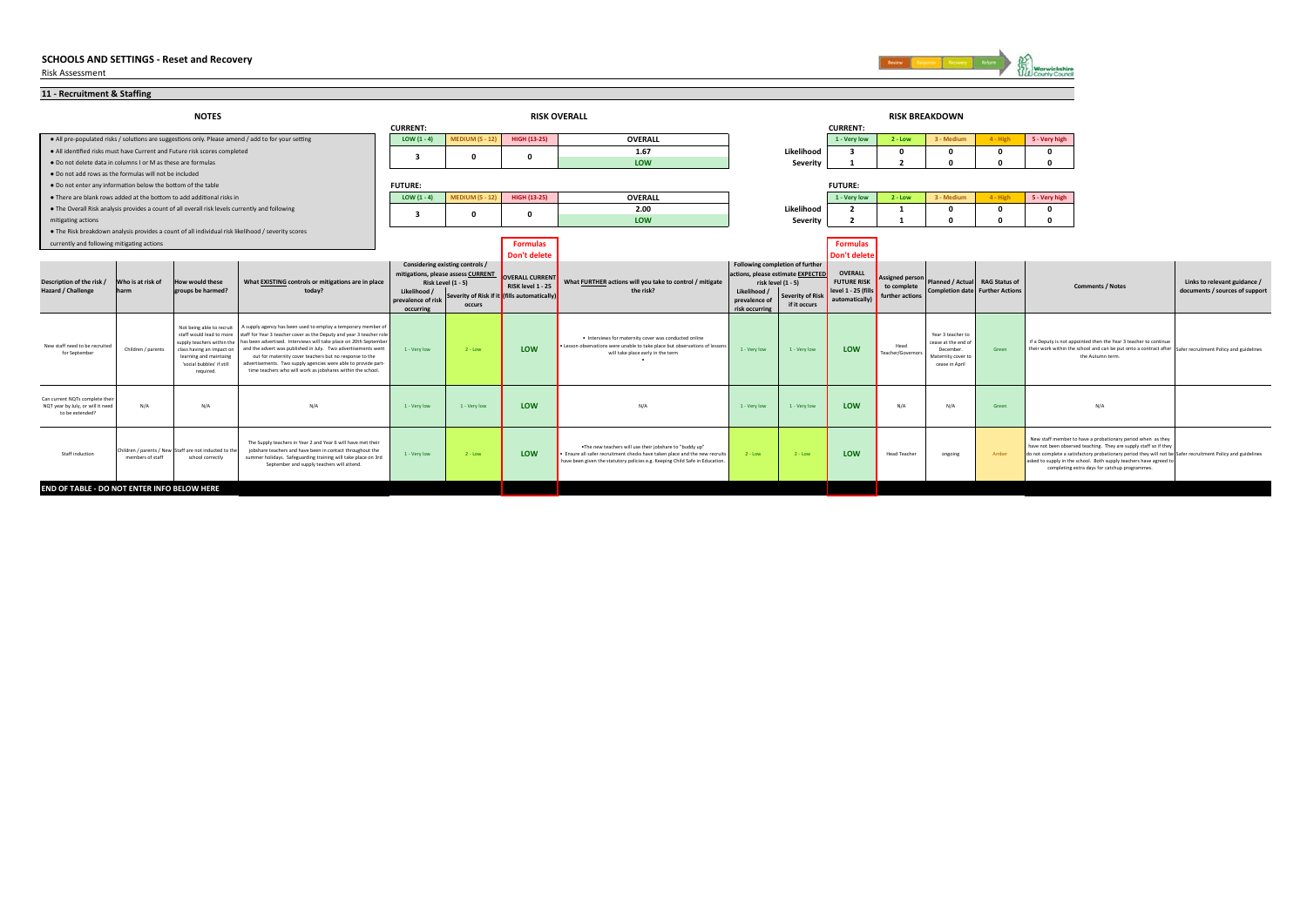

| 11 - Recruitment & Staffing                                                             |                           |                                                                                                                                                                                      |                                                                                                                                                                                                                                                                                                                                                                                                                                                                       |                                 |                                                                       |                                             |                                                                                                                                                                                                                         |                                                                                                                                       |              |                          |                                |                                                                                               |                                        |                                                                                                                                                                                                                                                                                                                                                                        |                                                                |
|-----------------------------------------------------------------------------------------|---------------------------|--------------------------------------------------------------------------------------------------------------------------------------------------------------------------------------|-----------------------------------------------------------------------------------------------------------------------------------------------------------------------------------------------------------------------------------------------------------------------------------------------------------------------------------------------------------------------------------------------------------------------------------------------------------------------|---------------------------------|-----------------------------------------------------------------------|---------------------------------------------|-------------------------------------------------------------------------------------------------------------------------------------------------------------------------------------------------------------------------|---------------------------------------------------------------------------------------------------------------------------------------|--------------|--------------------------|--------------------------------|-----------------------------------------------------------------------------------------------|----------------------------------------|------------------------------------------------------------------------------------------------------------------------------------------------------------------------------------------------------------------------------------------------------------------------------------------------------------------------------------------------------------------------|----------------------------------------------------------------|
| <b>NOTES</b>                                                                            |                           |                                                                                                                                                                                      |                                                                                                                                                                                                                                                                                                                                                                                                                                                                       |                                 |                                                                       | <b>RISK OVERALL</b>                         |                                                                                                                                                                                                                         |                                                                                                                                       |              |                          |                                |                                                                                               |                                        |                                                                                                                                                                                                                                                                                                                                                                        |                                                                |
|                                                                                         |                           |                                                                                                                                                                                      |                                                                                                                                                                                                                                                                                                                                                                                                                                                                       | <b>CURRENT:</b>                 |                                                                       |                                             |                                                                                                                                                                                                                         |                                                                                                                                       |              | <b>CURRENT:</b>          |                                |                                                                                               |                                        |                                                                                                                                                                                                                                                                                                                                                                        |                                                                |
|                                                                                         |                           |                                                                                                                                                                                      | . All pre-populated risks / solutions are suggestions only. Please amend / add to for your setting                                                                                                                                                                                                                                                                                                                                                                    | LOW $(1 - 4)$                   | <b>MEDIUM (5 - 12)</b>                                                | HIGH (13-25)                                | OVERALL                                                                                                                                                                                                                 |                                                                                                                                       |              | 1 - Very low             | $2 - Low$                      | 3 - Medium                                                                                    | $4 - High$                             | 5 - Very high                                                                                                                                                                                                                                                                                                                                                          |                                                                |
|                                                                                         |                           | . All identified risks must have Current and Future risk scores completed                                                                                                            |                                                                                                                                                                                                                                                                                                                                                                                                                                                                       | з                               | 0                                                                     |                                             | 1.67                                                                                                                                                                                                                    |                                                                                                                                       | Likelihood   |                          | $\mathbf 0$                    |                                                                                               | $\Omega$                               |                                                                                                                                                                                                                                                                                                                                                                        |                                                                |
| . Do not delete data in columns I or M as these are formulas                            |                           |                                                                                                                                                                                      |                                                                                                                                                                                                                                                                                                                                                                                                                                                                       |                                 |                                                                       |                                             | LOW                                                                                                                                                                                                                     |                                                                                                                                       | Severity     |                          | $\overline{\phantom{a}}$       |                                                                                               |                                        |                                                                                                                                                                                                                                                                                                                                                                        |                                                                |
| . Do not add rows as the formulas will not be included                                  |                           |                                                                                                                                                                                      |                                                                                                                                                                                                                                                                                                                                                                                                                                                                       |                                 |                                                                       |                                             |                                                                                                                                                                                                                         |                                                                                                                                       |              |                          |                                |                                                                                               |                                        |                                                                                                                                                                                                                                                                                                                                                                        |                                                                |
| . Do not enter any information below the bottom of the table                            |                           |                                                                                                                                                                                      |                                                                                                                                                                                                                                                                                                                                                                                                                                                                       | <b>FUTURE:</b>                  |                                                                       |                                             |                                                                                                                                                                                                                         |                                                                                                                                       |              | <b>FUTURE:</b>           |                                |                                                                                               |                                        |                                                                                                                                                                                                                                                                                                                                                                        |                                                                |
|                                                                                         |                           | . There are blank rows added at the bottom to add additional risks in                                                                                                                |                                                                                                                                                                                                                                                                                                                                                                                                                                                                       | LOW $(1 - 4)$                   | <b>MEDIUM (5 - 12)</b>                                                | HIGH (13-25)                                | OVERALL                                                                                                                                                                                                                 |                                                                                                                                       |              | 1 - Very low             | $2 - Low$                      | 3 - Medium                                                                                    | $4 - High$                             | 5 - Very high                                                                                                                                                                                                                                                                                                                                                          |                                                                |
|                                                                                         |                           | . The Overall Risk analysis provides a count of all overall risk levels currently and following                                                                                      |                                                                                                                                                                                                                                                                                                                                                                                                                                                                       | 3                               | 0                                                                     |                                             | 2.00                                                                                                                                                                                                                    |                                                                                                                                       | Likelihood   | $\overline{\phantom{a}}$ | -1                             |                                                                                               | $\Omega$                               | $\Omega$                                                                                                                                                                                                                                                                                                                                                               |                                                                |
| mitigating actions                                                                      |                           |                                                                                                                                                                                      |                                                                                                                                                                                                                                                                                                                                                                                                                                                                       |                                 |                                                                       |                                             | LOW                                                                                                                                                                                                                     |                                                                                                                                       | Severity     |                          |                                |                                                                                               |                                        |                                                                                                                                                                                                                                                                                                                                                                        |                                                                |
|                                                                                         |                           |                                                                                                                                                                                      | . The Risk breakdown analysis provides a count of all individual risk likelihood / severity scores                                                                                                                                                                                                                                                                                                                                                                    |                                 |                                                                       |                                             |                                                                                                                                                                                                                         |                                                                                                                                       |              |                          |                                |                                                                                               |                                        |                                                                                                                                                                                                                                                                                                                                                                        |                                                                |
| currently and following mitigating actions                                              |                           |                                                                                                                                                                                      |                                                                                                                                                                                                                                                                                                                                                                                                                                                                       | <b>Formulas</b>                 |                                                                       |                                             |                                                                                                                                                                                                                         | <b>Formulas</b>                                                                                                                       |              |                          |                                |                                                                                               |                                        |                                                                                                                                                                                                                                                                                                                                                                        |                                                                |
|                                                                                         |                           |                                                                                                                                                                                      |                                                                                                                                                                                                                                                                                                                                                                                                                                                                       |                                 |                                                                       | <b>Don't delete</b>                         |                                                                                                                                                                                                                         |                                                                                                                                       |              | Don't delete             |                                |                                                                                               |                                        |                                                                                                                                                                                                                                                                                                                                                                        |                                                                |
|                                                                                         | Who is at risk of<br>harm | <b>How would these</b><br>groups be harmed?                                                                                                                                          | What EXISTING controls or mitigations are in place<br>today?                                                                                                                                                                                                                                                                                                                                                                                                          |                                 | Considering existing controls /<br>mitigations, please assess CURRENT |                                             | What FURTHER actions will you take to control / mitigate<br>the risk?                                                                                                                                                   | Following completion of further<br>actions, please estimate EXPECTED<br>risk level (1 - 5)<br>Likelihood /<br><b>Severity of Risk</b> |              | OVERALL                  |                                |                                                                                               |                                        |                                                                                                                                                                                                                                                                                                                                                                        | Links to relevant guidance /<br>documents / sources of support |
| Description of the risk /                                                               |                           |                                                                                                                                                                                      |                                                                                                                                                                                                                                                                                                                                                                                                                                                                       |                                 | <b>Risk Level (1 - 5)</b>                                             | <b>OVERALL CURRENT</b><br>RISK level 1 - 25 |                                                                                                                                                                                                                         |                                                                                                                                       |              | <b>FUTURE RISK</b>       | <b>Assigned person</b>         | Planned / Actual RAG Status of                                                                |                                        | <b>Comments / Notes</b>                                                                                                                                                                                                                                                                                                                                                |                                                                |
| Hazard / Challenge                                                                      |                           |                                                                                                                                                                                      |                                                                                                                                                                                                                                                                                                                                                                                                                                                                       | Likelihood /                    | Severity of Risk if it (fills automatically)<br>occurs                |                                             |                                                                                                                                                                                                                         |                                                                                                                                       |              | level 1 - 25 (fills      | to complete<br>further actions |                                                                                               | <b>Completion date Further Actions</b> |                                                                                                                                                                                                                                                                                                                                                                        |                                                                |
|                                                                                         |                           |                                                                                                                                                                                      |                                                                                                                                                                                                                                                                                                                                                                                                                                                                       | prevalence of risl<br>occurring |                                                                       |                                             |                                                                                                                                                                                                                         | prevalence c<br>risk occurring                                                                                                        | if it occurs | automatically)           |                                |                                                                                               |                                        |                                                                                                                                                                                                                                                                                                                                                                        |                                                                |
| New staff need to be recruited<br>for September                                         | Children / parents        | Not being able to recruit<br>staff would lead to more<br>supply teachers within the<br>class having an impact on<br>learning and maintaing<br>'social bubbles' if still<br>required. | supply agency has been used to employ a temporary member of<br>staff for Year 3 teacher cover as the Deputy and year 3 teacher role<br>has been advertised. Interviews will take place on 20th September<br>and the advert was published in July. Two advertisements went<br>out for maternity cover teachers but no response to the<br>advertisements. Two supply agencies were able to provide part-<br>time teachers who will work as jobshares within the school. | 1 - Very low                    | $2 - Low$                                                             | LOW                                         | . Interviews for maternity cover was conducted online<br>. Lesson observations were unable to take place but observations of lessons<br>will take place early in the term                                               | 1 - Very low                                                                                                                          | 1 - Very low | LOW                      | Head<br>Teacher/Governors      | Year 3 teacher to<br>cease at the end of<br>December.<br>Maternity cover to<br>cease in April | Green                                  | if a Deputy is not appointed then the Year 3 teacher to continue<br>their work within the school and can be put onto a contract after Safer recruitment Policy and guidelines<br>the Autumn term.                                                                                                                                                                      |                                                                |
| Can current NQTs complete their<br>NQT year by July, or will it need<br>to be extended? | N/A                       | N/A                                                                                                                                                                                  | N/A                                                                                                                                                                                                                                                                                                                                                                                                                                                                   | 1 - Very low                    | 1 - Very low                                                          | LOW                                         | N/A                                                                                                                                                                                                                     | 1 - Very low                                                                                                                          | 1 - Very low | LOW                      | N/A                            | N/A                                                                                           | Green                                  | N/A                                                                                                                                                                                                                                                                                                                                                                    |                                                                |
| Staff induction                                                                         | members of staff          | Children / parents / New Staff are not inducted to th<br>school correctly                                                                                                            | The Supply teachers in Year 2 and Year 6 will have met their<br>jobshare teachers and have been in contact throughout the<br>summer holidays. Safeguarding training will take place on 3rd<br>September and supply teachers will attend.                                                                                                                                                                                                                              | 1 - Very low                    | $2 - Low$                                                             | LOW                                         | . The new teachers will use their jobshare to "buddy up"<br>. Ensure all safer recruitment checks have taken place and the new recruits<br>have been given the statutory policies e.g. Keeping Child Safe in Education. | $2 - Low$                                                                                                                             | $2 - Low$    | <b>LOW</b>               | <b>Head Teacher</b>            | ongoing                                                                                       | Amber                                  | New staff member to have a probationary period when as they<br>have not been observed teaching. They are supply staff so if they<br>do not complete a satisfactory probationary period they will not be Safer recruitment Policy and guidelines<br>asked to supply in the school. Both supply teachers have agreed to<br>completing extra days for catchup programmes. |                                                                |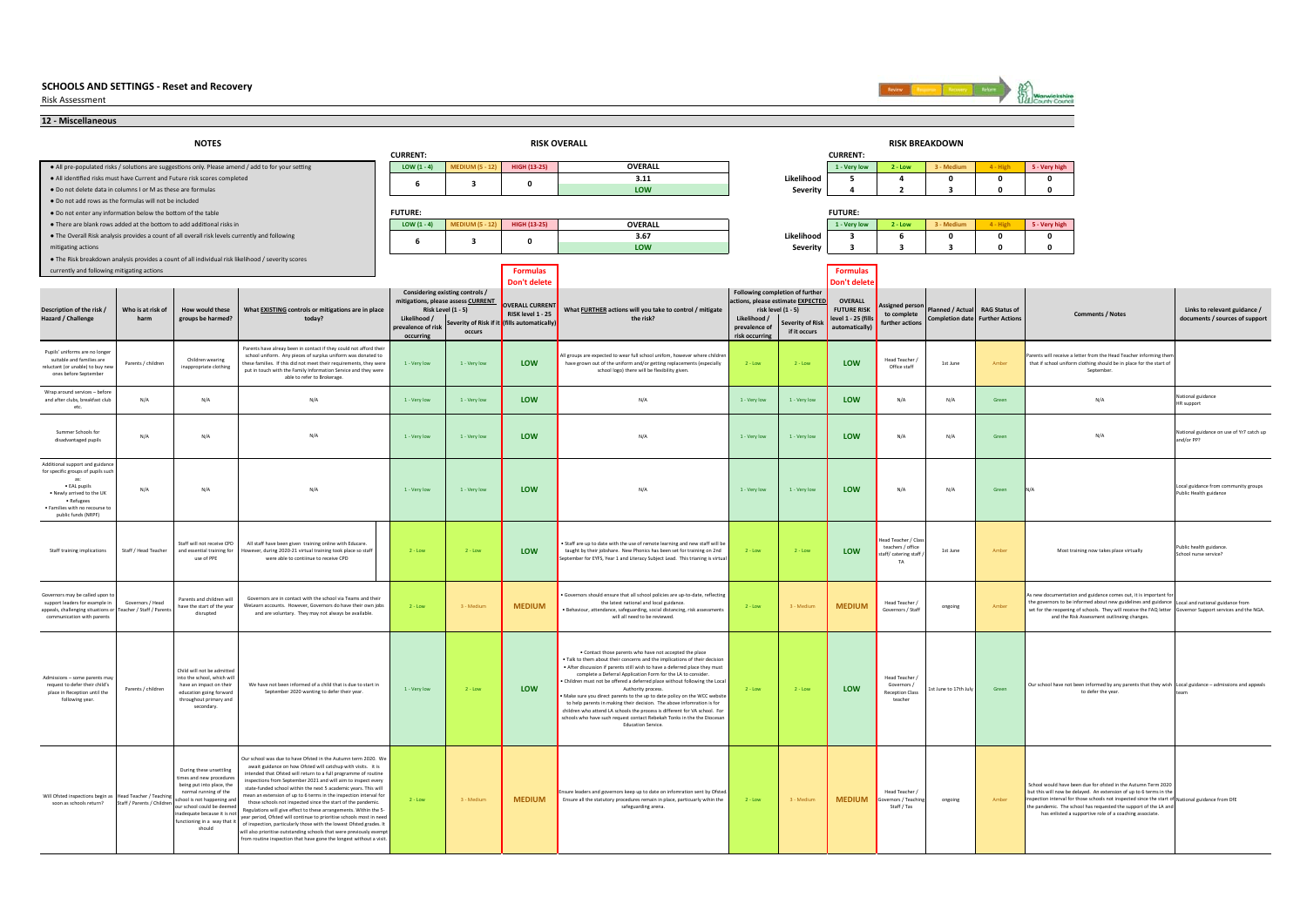Risk Assessment



**12 - Miscellaneous•** All pre-populated risks / solutions are suggestions only. Please amend / add to for your setting **LOW (1 - 4) LOW (1 - 4) MEDIUM (5 - 12) HIGH (13-25) OVERALL 1 - Very low 2 - Low 3 - Medium 4 - High 5 - Very high** ● All idenƟfied risks must have Current and Future risk scores completed **3.11 Likelihood 5 4 0 0 0** ● Do not delete data in columns I or M as these are formulas**LOW Severity 4 2 3 0 0** ● Do not add rows as the formulas will not be included● Do not enter any informaƟon below the boƩom of the table ● There are blank rows added at the boƩom to add addiƟonal risks in **LOW (1 - 4) MEDIUM (5 - 12) HIGH (13-25) OVERALL 1 - Very low 2 - Low 3 - Medium 4 - High 5 - Very high** ● The Overall Risk analysis provides a count of all overall risk levels currently and following **3.67 Likelihood 3 6 0 0 0** mitigating actions **LOW Severity 3 3 3 0 0** ● The Risk breakdown analysis provides a count of all individual risk likelihood / severity scores **Currently and following mitigating actions Formulas Formulas Formulas Formulas Formulas Formulas Formulas Formulas Formulas Formulas Don't delete Don't delete Likelihood / prevalence of risk occurring Serverity of Risk if occursLikelihood / prevalence of risk occurring Severity of Ris if it occurs**Pupils' uniforms are no long suitable and families are reluctant (or unable) to buy new ones before September Parents / children waring the following children ware the children ware of the children ware of the children ware of the children ware of the children ware of the children and the children and the children and the children Wran around services – before and after clubs, breakfast club etc. N/A N/A 1 - Very low 1 - Very low **LOW**N/A 1 - Very low <mark>1 - Very low LOW N/A N/A Green N/A N/A N/A N/A N</mark>ational guidance Summer Schools for disadvantaged pupils Summar Schools N/A N/A N/A 1 - Very low LOW N/A N/A 2 - Very Now 1 - Very Now 1 - Very Now 1 - Very Now 1 - Very Now 1 - Very Now 1 - Very Now 1 - Very Now 1 - Very Now 1 - Very Now 1 - Very Now 1 - Very Now 1 - Very Now 1 Additional support and guid for specific groups of pupils su as: • EAL pupils • Newly arrived to the UK • Refugees • Families with no reco public funds (NRPF) N/A N/A 1 - Very low 1 - Very low **LOW**N/A 1-Very low 1-Very low 1 - Very low <mark>LOW</mark> N/A N/A Green N/A Green M<sup>A</sup>A <sup>L</sup>ocal guidance from community groups Public Health guidance from community groups Public Health guidance from community groups Public Health guid Staff training implications Staff / Head Teacher Staff will not receive CPD ant was not receive as<br>ind essential training fo use of PPE All staff have been given training online with Educare. start have been given training online with Educate<br>ver, during 2020-21 virtual training took place so st were able to contiinue to receive CPD 2 - Low 2 - Low **LOW** • Staff are up to date with the use of remote learning and new staff will be taught by their jobshare. New Phonics has been set for training on 2nd tember for EYFS, Year 1 and Literacy Subject Lead. This trianing is virtual 2 - Low 2 - Low **LOW**ad Teacher / Cl teachers / office saun...,<br>ff/ catering sta TA 1st Junee Amber Most training now takes place virtually Public health guidance.<br>School nurse service? ublic health guidance<br>chool nurse service? Governors may be called upo support leaders for example in appeals, challenging situations or communication with parent Governors / Head acher / Staff / Par Parents and children will have the start of the year disrupted 2 - Low 3 - Medium **MEDIUM**• Governors should ensure that all school policies are up-to-date, reflecting the latest national and local guidance. • Behaviour, attendance, safeguarding, social distancing, risk assessments will all need to be reviewed. 2 - Low 3 - Medium **MEDIUM**Head Teacher / ongoing and the governors to be informed about new guidelines and guidance | Local and national guidance from<br>| Governors / Staff | ongoing staff | set for the recopening of schools. They will receive the FA Admissions – some parents may request to defer their child's place in Reception until the following year. Parents / childre Child will not be adm into will not be barricted. have an impact on their education going forward throughout primary an secondary. 1 - Very low **Low** 2 - Low LOW • Contact those parents who have not accepted the place • Talk to them about their concerns and the implications of their decision • After discussion if parents still wish to have a deferred place they must complete a Deferral Application Form for the LA to conside • Children must not be offered a deferred place without following the Loc Authority process. • Make sure you direct parents to the up to date policy on the WCC website to help parents in making their decision. The above infomration is for children who attend LA schools the process is different for VA school. For schools who have such request contact Rebekah Tonks in the the Diocesa Education Service.2 - Low 2 - Low **LOW** Head Teacher / Governors / Reception Class teacher 1st June to 17th July Green Cur school have not been informed by any parents that they wish Local guidance – admissions and appeals that they wish to the defect the year that they wish that they wish that they wish that th Will Ofsted inspections begin as soon as schools return?**Head Teacher / Teach** neau Teacher / Teach<br>Staff / Parents / Childr During these unsettling times and new procedure being put into place, the normal running of the school is not happening and<br>our school could be deemed adequate because it is no increduce because it is not<br>inctioning in a way that it should 2 - Low 3 - Medium **MEDIUM**ure leaders and governors keep up to date on infomration sent by Ofste Ensure all the statutory procedures remain in place, particuarly wihin the safeguarding arena. 2 - Low 3 - Medium **MEDIUM**Head Teacher / Governors *I* Teach Staff / Tas ongoing and amber an inspection interval for those schools not inspected since the start of National guidance from DfE **NOTES RISK OVERALL RISK BREAKDOWN CURRENT: CURRENT: Description of the risk / Hazard / Challenge Who is at risk of harmHow would these groups be harmed? What EXISTING controls or mitigations are in place today? Considering existing controls / mitigations, please assess CURRENT Risk Level (1 - 5) 630** $\mathbf 0$ **Links to relevant guidance / documents / sources of support FUTURE: FUTURE: 630RAG Status of Further Action Comments / Notes** N/AA la terrior interview in the total and the terrior interview interview interview interview in the terrior interview in the territor in the territor in the territor in the N/A is geen in the N/A is geen in the N/A is geen N/AA la terrior interview in the total and the terrior interview interview interview interview in the terrior interview in the territor in the territor in the territor in the N/A is geen in the N/A is geen in the N/A is geen Governors are in contact with the school via Teams and their WeLearn accounts. However, Governors do have their own jobs and are voluntary. They may not always be available. nentation and guidance comes out, it is important We have not been informed of a child that is due to start in September 2020 wanting to defer their year. to defer the year. N/AA I 1-Vervinw I 1-Vervinw I IOW I → N/A I 1-Vervinw I 1-Vervinw I IOW I N/A I N/A i Green IN/A rents have alreay been in contact if they could not afford their school uniform. Any pieces of surplus uniform was donated to these families. If this did not meet their requirements, they were put in touch with the Family Information Service and they were if the name is able to refer to Brokerage. Parents will receive a letter from the Head Teacher informing them that if school uniform clothing should be in place for the start of September **VERALL CURRENT RISK level 1 - 25 (fills automatically) What FURTHER actions will you take to control / mitigate the risk?Following completion of further actions, please estimate EXPECTE risk level (1 - 5) OVERALL FUTURE RISK evel 1 - 25 (fill automatically) Assigned person to complete further actionsPlanned / Actual Completion date** Our school was due to have Ofsted in the Autumn term 2020. We await guidance on how Ofsted will catchup with visits. it is intended that Ofsted will return to a full programme of routine inspections from September 2021 and will aim to inspect every state-funded school within the next 5 academic years. This will mean an extension of up to 6 terms in the inspection interval for those schools not inspected since the start of the pandemic. Regulations will give effect to these arrangements. Within the 5 year period. Ofsted will continue to prioritise schools most in nee of inspection, particularly those with the lowest Ofsted grades. It will also prioritise outstanding schools that were previously exempt from routine inspection that have gone the longest without a visit School would have been due for ofsted in the Autumn Term 2020 but this will now be delayed. An extension of up to 6 terms in the pecual interval for those schools not inspected since the start is has enlisted a supportive role of a coaching associate.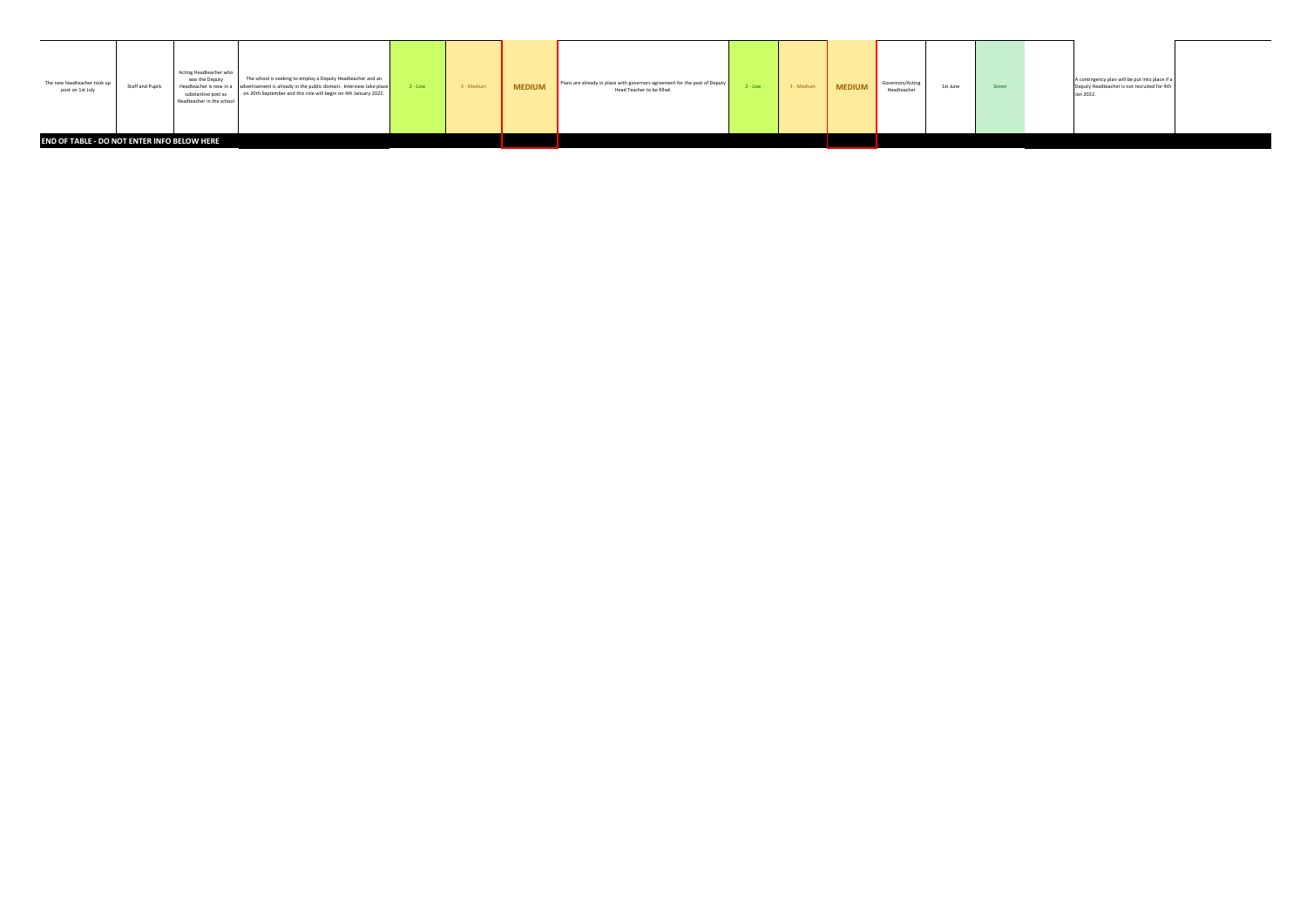| The new headteacher took up<br>post on 1st July | Staff and Pupils | Acting Headteacher who<br>was the Deputy<br>substantive post as<br>Headteacher in the school | The school is seeking to employ a Deputy Headteacher and an<br>Headteacher is now in a advertisement is already in the public domain. Interview take place<br>on 20th September and this role will begin on 4th January 2022. | $2 - Low$ | 3 - Medium | <b>MEDIUM</b> | Plans are already in place with governors agreement for the post of Deputy<br>Head Teacher to be filled. | $2 - Low$ | 3 - Medium | <b>MEDIUM</b> | Governors/Acting<br>Headteacher | 1st June | Green | A contingency plan will be put into place if a<br>Deputy Headteacher is not recruited for 4th<br>Jan 2022. |  |
|-------------------------------------------------|------------------|----------------------------------------------------------------------------------------------|-------------------------------------------------------------------------------------------------------------------------------------------------------------------------------------------------------------------------------|-----------|------------|---------------|----------------------------------------------------------------------------------------------------------|-----------|------------|---------------|---------------------------------|----------|-------|------------------------------------------------------------------------------------------------------------|--|
| END OF TABLE - DO NOT ENTER INFO BELOW HERE     |                  |                                                                                              |                                                                                                                                                                                                                               |           |            |               |                                                                                                          |           |            |               |                                 |          |       |                                                                                                            |  |